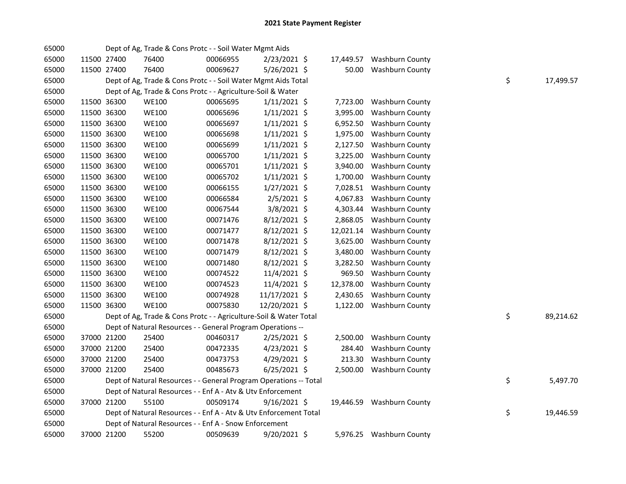| 65000 |             | Dept of Ag, Trade & Cons Protc - - Soil Water Mgmt Aids           |          |                |           |                           |    |           |
|-------|-------------|-------------------------------------------------------------------|----------|----------------|-----------|---------------------------|----|-----------|
| 65000 | 11500 27400 | 76400                                                             | 00066955 | $2/23/2021$ \$ | 17,449.57 | <b>Washburn County</b>    |    |           |
| 65000 | 11500 27400 | 76400                                                             | 00069627 | 5/26/2021 \$   | 50.00     | <b>Washburn County</b>    |    |           |
| 65000 |             | Dept of Ag, Trade & Cons Protc - - Soil Water Mgmt Aids Total     |          |                |           |                           | \$ | 17,499.57 |
| 65000 |             | Dept of Ag, Trade & Cons Protc - - Agriculture-Soil & Water       |          |                |           |                           |    |           |
| 65000 | 11500 36300 | <b>WE100</b>                                                      | 00065695 | $1/11/2021$ \$ |           | 7,723.00 Washburn County  |    |           |
| 65000 | 11500 36300 | <b>WE100</b>                                                      | 00065696 | $1/11/2021$ \$ | 3,995.00  | <b>Washburn County</b>    |    |           |
| 65000 | 11500 36300 | <b>WE100</b>                                                      | 00065697 | $1/11/2021$ \$ | 6,952.50  | <b>Washburn County</b>    |    |           |
| 65000 | 11500 36300 | <b>WE100</b>                                                      | 00065698 | $1/11/2021$ \$ | 1,975.00  | <b>Washburn County</b>    |    |           |
| 65000 | 11500 36300 | <b>WE100</b>                                                      | 00065699 | $1/11/2021$ \$ | 2,127.50  | <b>Washburn County</b>    |    |           |
| 65000 | 11500 36300 | <b>WE100</b>                                                      | 00065700 | $1/11/2021$ \$ | 3,225.00  | <b>Washburn County</b>    |    |           |
| 65000 | 11500 36300 | <b>WE100</b>                                                      | 00065701 | $1/11/2021$ \$ | 3,940.00  | <b>Washburn County</b>    |    |           |
| 65000 | 11500 36300 | <b>WE100</b>                                                      | 00065702 | $1/11/2021$ \$ | 1,700.00  | <b>Washburn County</b>    |    |           |
| 65000 | 11500 36300 | <b>WE100</b>                                                      | 00066155 | $1/27/2021$ \$ | 7,028.51  | <b>Washburn County</b>    |    |           |
| 65000 | 11500 36300 | <b>WE100</b>                                                      | 00066584 | $2/5/2021$ \$  | 4,067.83  | Washburn County           |    |           |
| 65000 | 11500 36300 | <b>WE100</b>                                                      | 00067544 | 3/8/2021 \$    | 4,303.44  | <b>Washburn County</b>    |    |           |
| 65000 | 11500 36300 | <b>WE100</b>                                                      | 00071476 | 8/12/2021 \$   | 2,868.05  | <b>Washburn County</b>    |    |           |
| 65000 | 11500 36300 | <b>WE100</b>                                                      | 00071477 | 8/12/2021 \$   | 12,021.14 | <b>Washburn County</b>    |    |           |
| 65000 | 11500 36300 | <b>WE100</b>                                                      | 00071478 | 8/12/2021 \$   | 3,625.00  | Washburn County           |    |           |
| 65000 | 11500 36300 | <b>WE100</b>                                                      | 00071479 | 8/12/2021 \$   | 3,480.00  | <b>Washburn County</b>    |    |           |
| 65000 | 11500 36300 | <b>WE100</b>                                                      | 00071480 | 8/12/2021 \$   | 3,282.50  | Washburn County           |    |           |
| 65000 | 11500 36300 | <b>WE100</b>                                                      | 00074522 | 11/4/2021 \$   | 969.50    | Washburn County           |    |           |
| 65000 | 11500 36300 | <b>WE100</b>                                                      | 00074523 | 11/4/2021 \$   | 12,378.00 | Washburn County           |    |           |
| 65000 | 11500 36300 | <b>WE100</b>                                                      | 00074928 | 11/17/2021 \$  | 2,430.65  | <b>Washburn County</b>    |    |           |
| 65000 | 11500 36300 | <b>WE100</b>                                                      | 00075830 | 12/20/2021 \$  | 1,122.00  | <b>Washburn County</b>    |    |           |
| 65000 |             | Dept of Ag, Trade & Cons Protc - - Agriculture-Soil & Water Total |          |                |           |                           | \$ | 89,214.62 |
| 65000 |             | Dept of Natural Resources - - General Program Operations --       |          |                |           |                           |    |           |
| 65000 | 37000 21200 | 25400                                                             | 00460317 | $2/25/2021$ \$ | 2,500.00  | <b>Washburn County</b>    |    |           |
| 65000 | 37000 21200 | 25400                                                             | 00472335 | $4/23/2021$ \$ | 284.40    | <b>Washburn County</b>    |    |           |
| 65000 | 37000 21200 | 25400                                                             | 00473753 | 4/29/2021 \$   | 213.30    | <b>Washburn County</b>    |    |           |
| 65000 | 37000 21200 | 25400                                                             | 00485673 | $6/25/2021$ \$ |           | 2,500.00 Washburn County  |    |           |
| 65000 |             | Dept of Natural Resources - - General Program Operations -- Total |          |                |           |                           | \$ | 5,497.70  |
| 65000 |             | Dept of Natural Resources - - Enf A - Atv & Utv Enforcement       |          |                |           |                           |    |           |
| 65000 | 37000 21200 | 55100                                                             | 00509174 | $9/16/2021$ \$ |           | 19,446.59 Washburn County |    |           |
| 65000 |             | Dept of Natural Resources - - Enf A - Atv & Utv Enforcement Total |          |                |           |                           | \$ | 19,446.59 |
| 65000 |             | Dept of Natural Resources - - Enf A - Snow Enforcement            |          |                |           |                           |    |           |
| 65000 | 37000 21200 | 55200                                                             | 00509639 | 9/20/2021 \$   |           | 5,976.25 Washburn County  |    |           |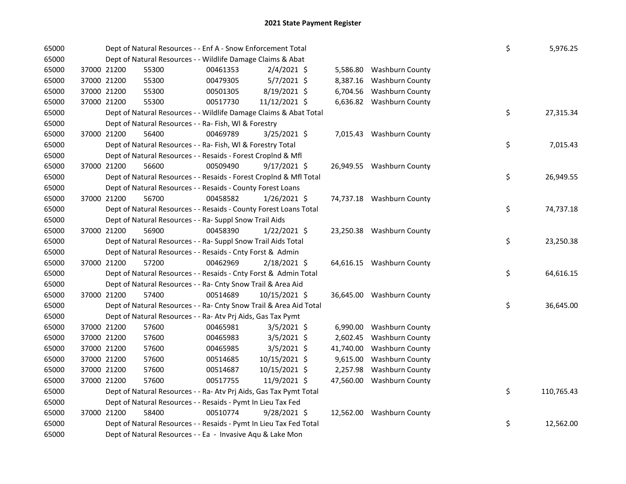| 65000 |             |             | Dept of Natural Resources - - Enf A - Snow Enforcement Total       |          |                |           |                           | \$ | 5,976.25   |
|-------|-------------|-------------|--------------------------------------------------------------------|----------|----------------|-----------|---------------------------|----|------------|
| 65000 |             |             | Dept of Natural Resources - - Wildlife Damage Claims & Abat        |          |                |           |                           |    |            |
| 65000 |             | 37000 21200 | 55300                                                              | 00461353 | $2/4/2021$ \$  |           | 5,586.80 Washburn County  |    |            |
| 65000 |             | 37000 21200 | 55300                                                              | 00479305 | $5/7/2021$ \$  | 8,387.16  | <b>Washburn County</b>    |    |            |
| 65000 | 37000 21200 |             | 55300                                                              | 00501305 | 8/19/2021 \$   |           | 6,704.56 Washburn County  |    |            |
| 65000 | 37000 21200 |             | 55300                                                              | 00517730 | 11/12/2021 \$  |           | 6,636.82 Washburn County  |    |            |
| 65000 |             |             | Dept of Natural Resources - - Wildlife Damage Claims & Abat Total  |          |                |           |                           | \$ | 27,315.34  |
| 65000 |             |             | Dept of Natural Resources - - Ra- Fish, WI & Forestry              |          |                |           |                           |    |            |
| 65000 |             | 37000 21200 | 56400                                                              | 00469789 | 3/25/2021 \$   |           | 7,015.43 Washburn County  |    |            |
| 65000 |             |             | Dept of Natural Resources - - Ra- Fish, WI & Forestry Total        |          |                |           |                           | \$ | 7,015.43   |
| 65000 |             |             | Dept of Natural Resources - - Resaids - Forest CropInd & Mfl       |          |                |           |                           |    |            |
| 65000 | 37000 21200 |             | 56600                                                              | 00509490 | $9/17/2021$ \$ |           | 26,949.55 Washburn County |    |            |
| 65000 |             |             | Dept of Natural Resources - - Resaids - Forest Croplnd & Mfl Total |          |                |           |                           | \$ | 26,949.55  |
| 65000 |             |             | Dept of Natural Resources - - Resaids - County Forest Loans        |          |                |           |                           |    |            |
| 65000 |             | 37000 21200 | 56700                                                              | 00458582 | $1/26/2021$ \$ |           | 74,737.18 Washburn County |    |            |
| 65000 |             |             | Dept of Natural Resources - - Resaids - County Forest Loans Total  |          |                |           |                           | \$ | 74,737.18  |
| 65000 |             |             | Dept of Natural Resources - - Ra- Suppl Snow Trail Aids            |          |                |           |                           |    |            |
| 65000 |             | 37000 21200 | 56900                                                              | 00458390 | $1/22/2021$ \$ |           | 23,250.38 Washburn County |    |            |
| 65000 |             |             | Dept of Natural Resources - - Ra- Suppl Snow Trail Aids Total      |          |                |           |                           | \$ | 23,250.38  |
| 65000 |             |             | Dept of Natural Resources - - Resaids - Cnty Forst & Admin         |          |                |           |                           |    |            |
| 65000 |             | 37000 21200 | 57200                                                              | 00462969 | $2/18/2021$ \$ |           | 64,616.15 Washburn County |    |            |
| 65000 |             |             | Dept of Natural Resources - - Resaids - Cnty Forst & Admin Total   |          |                |           |                           | \$ | 64,616.15  |
| 65000 |             |             | Dept of Natural Resources - - Ra- Cnty Snow Trail & Area Aid       |          |                |           |                           |    |            |
| 65000 |             | 37000 21200 | 57400                                                              | 00514689 | 10/15/2021 \$  |           | 36,645.00 Washburn County |    |            |
| 65000 |             |             | Dept of Natural Resources - - Ra- Cnty Snow Trail & Area Aid Total |          |                |           |                           | \$ | 36,645.00  |
| 65000 |             |             | Dept of Natural Resources - - Ra- Atv Prj Aids, Gas Tax Pymt       |          |                |           |                           |    |            |
| 65000 |             | 37000 21200 | 57600                                                              | 00465981 | $3/5/2021$ \$  |           | 6,990.00 Washburn County  |    |            |
| 65000 |             | 37000 21200 | 57600                                                              | 00465983 | $3/5/2021$ \$  | 2,602.45  | <b>Washburn County</b>    |    |            |
| 65000 |             | 37000 21200 | 57600                                                              | 00465985 | $3/5/2021$ \$  | 41,740.00 | <b>Washburn County</b>    |    |            |
| 65000 | 37000 21200 |             | 57600                                                              | 00514685 | 10/15/2021 \$  | 9,615.00  | <b>Washburn County</b>    |    |            |
| 65000 | 37000 21200 |             | 57600                                                              | 00514687 | 10/15/2021 \$  | 2,257.98  | <b>Washburn County</b>    |    |            |
| 65000 | 37000 21200 |             | 57600                                                              | 00517755 | 11/9/2021 \$   |           | 47,560.00 Washburn County |    |            |
| 65000 |             |             | Dept of Natural Resources - - Ra- Atv Prj Aids, Gas Tax Pymt Total |          |                |           |                           | \$ | 110,765.43 |
| 65000 |             |             | Dept of Natural Resources - - Resaids - Pymt In Lieu Tax Fed       |          |                |           |                           |    |            |
| 65000 |             | 37000 21200 | 58400                                                              | 00510774 | 9/28/2021 \$   |           | 12,562.00 Washburn County |    |            |
| 65000 |             |             | Dept of Natural Resources - - Resaids - Pymt In Lieu Tax Fed Total |          |                |           |                           | \$ | 12,562.00  |
| 65000 |             |             | Dept of Natural Resources - - Ea - Invasive Aqu & Lake Mon         |          |                |           |                           |    |            |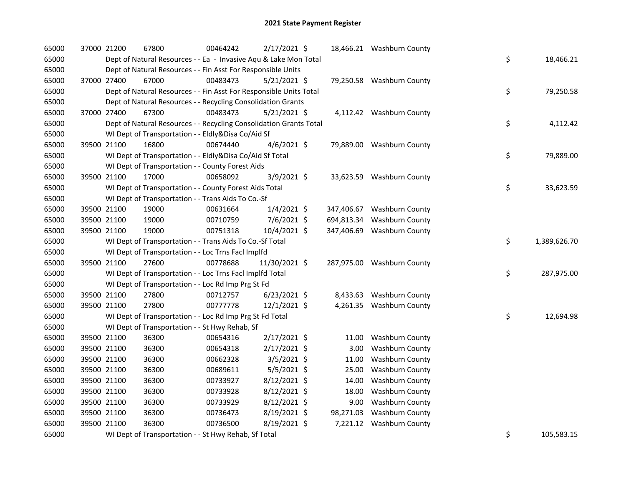| 65000 | 37000 21200 | 67800                                                              | 00464242 | 2/17/2021 \$   |            | 18,466.21 Washburn County  |                    |
|-------|-------------|--------------------------------------------------------------------|----------|----------------|------------|----------------------------|--------------------|
| 65000 |             | Dept of Natural Resources - - Ea - Invasive Aqu & Lake Mon Total   |          |                |            |                            | \$<br>18,466.21    |
| 65000 |             | Dept of Natural Resources - - Fin Asst For Responsible Units       |          |                |            |                            |                    |
| 65000 | 37000 27400 | 67000                                                              | 00483473 | $5/21/2021$ \$ |            | 79,250.58 Washburn County  |                    |
| 65000 |             | Dept of Natural Resources - - Fin Asst For Responsible Units Total |          |                |            |                            | \$<br>79,250.58    |
| 65000 |             | Dept of Natural Resources - - Recycling Consolidation Grants       |          |                |            |                            |                    |
| 65000 | 37000 27400 | 67300                                                              | 00483473 | $5/21/2021$ \$ |            | 4,112.42 Washburn County   |                    |
| 65000 |             | Dept of Natural Resources - - Recycling Consolidation Grants Total |          |                |            |                            | \$<br>4,112.42     |
| 65000 |             | WI Dept of Transportation - - Eldly&Disa Co/Aid Sf                 |          |                |            |                            |                    |
| 65000 | 39500 21100 | 16800                                                              | 00674440 | $4/6/2021$ \$  |            | 79,889.00 Washburn County  |                    |
| 65000 |             | WI Dept of Transportation - - Eldly&Disa Co/Aid Sf Total           |          |                |            |                            | \$<br>79,889.00    |
| 65000 |             | WI Dept of Transportation - - County Forest Aids                   |          |                |            |                            |                    |
| 65000 | 39500 21100 | 17000                                                              | 00658092 | 3/9/2021 \$    |            | 33,623.59 Washburn County  |                    |
| 65000 |             | WI Dept of Transportation - - County Forest Aids Total             |          |                |            |                            | \$<br>33,623.59    |
| 65000 |             | WI Dept of Transportation - - Trans Aids To Co.-Sf                 |          |                |            |                            |                    |
| 65000 | 39500 21100 | 19000                                                              | 00631664 | 1/4/2021 \$    |            | 347,406.67 Washburn County |                    |
| 65000 | 39500 21100 | 19000                                                              | 00710759 | 7/6/2021 \$    | 694,813.34 | Washburn County            |                    |
| 65000 | 39500 21100 | 19000                                                              | 00751318 | 10/4/2021 \$   |            | 347,406.69 Washburn County |                    |
| 65000 |             | WI Dept of Transportation - - Trans Aids To Co.-Sf Total           |          |                |            |                            | \$<br>1,389,626.70 |
| 65000 |             | WI Dept of Transportation - - Loc Trns Facl Implfd                 |          |                |            |                            |                    |
| 65000 | 39500 21100 | 27600                                                              | 00778688 | 11/30/2021 \$  |            | 287,975.00 Washburn County |                    |
| 65000 |             | WI Dept of Transportation - - Loc Trns Facl Implfd Total           |          |                |            |                            | \$<br>287,975.00   |
| 65000 |             | WI Dept of Transportation - - Loc Rd Imp Prg St Fd                 |          |                |            |                            |                    |
| 65000 | 39500 21100 | 27800                                                              | 00712757 | $6/23/2021$ \$ |            | 8,433.63 Washburn County   |                    |
| 65000 | 39500 21100 | 27800                                                              | 00777778 | 12/1/2021 \$   |            | 4,261.35 Washburn County   |                    |
| 65000 |             | WI Dept of Transportation - - Loc Rd Imp Prg St Fd Total           |          |                |            |                            | \$<br>12,694.98    |
| 65000 |             | WI Dept of Transportation - - St Hwy Rehab, Sf                     |          |                |            |                            |                    |
| 65000 | 39500 21100 | 36300                                                              | 00654316 | 2/17/2021 \$   | 11.00      | Washburn County            |                    |
| 65000 | 39500 21100 | 36300                                                              | 00654318 | 2/17/2021 \$   | 3.00       | Washburn County            |                    |
| 65000 | 39500 21100 | 36300                                                              | 00662328 | 3/5/2021 \$    | 11.00      | Washburn County            |                    |
| 65000 | 39500 21100 | 36300                                                              | 00689611 | $5/5/2021$ \$  | 25.00      | Washburn County            |                    |
| 65000 | 39500 21100 | 36300                                                              | 00733927 | 8/12/2021 \$   | 14.00      | Washburn County            |                    |
| 65000 | 39500 21100 | 36300                                                              | 00733928 | $8/12/2021$ \$ | 18.00      | <b>Washburn County</b>     |                    |
| 65000 | 39500 21100 | 36300                                                              | 00733929 | $8/12/2021$ \$ | 9.00       | Washburn County            |                    |
| 65000 | 39500 21100 | 36300                                                              | 00736473 | $8/19/2021$ \$ | 98,271.03  | <b>Washburn County</b>     |                    |
| 65000 | 39500 21100 | 36300                                                              | 00736500 | 8/19/2021 \$   | 7,221.12   | <b>Washburn County</b>     |                    |
| 65000 |             | WI Dept of Transportation - - St Hwy Rehab, Sf Total               |          |                |            |                            | \$<br>105,583.15   |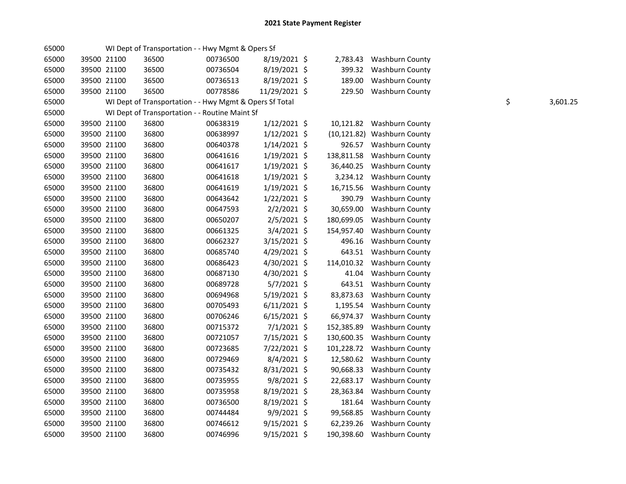| 65000 |             | WI Dept of Transportation - - Hwy Mgmt & Opers Sf       |          |                |            |                             |    |          |
|-------|-------------|---------------------------------------------------------|----------|----------------|------------|-----------------------------|----|----------|
| 65000 | 39500 21100 | 36500                                                   | 00736500 | 8/19/2021 \$   | 2,783.43   | Washburn County             |    |          |
| 65000 | 39500 21100 | 36500                                                   | 00736504 | 8/19/2021 \$   | 399.32     | <b>Washburn County</b>      |    |          |
| 65000 | 39500 21100 | 36500                                                   | 00736513 | 8/19/2021 \$   | 189.00     | Washburn County             |    |          |
| 65000 | 39500 21100 | 36500                                                   | 00778586 | 11/29/2021 \$  | 229.50     | Washburn County             |    |          |
| 65000 |             | WI Dept of Transportation - - Hwy Mgmt & Opers Sf Total |          |                |            |                             | \$ | 3,601.25 |
| 65000 |             | WI Dept of Transportation - - Routine Maint Sf          |          |                |            |                             |    |          |
| 65000 | 39500 21100 | 36800                                                   | 00638319 | $1/12/2021$ \$ | 10,121.82  | <b>Washburn County</b>      |    |          |
| 65000 | 39500 21100 | 36800                                                   | 00638997 | 1/12/2021 \$   |            | (10,121.82) Washburn County |    |          |
| 65000 | 39500 21100 | 36800                                                   | 00640378 | 1/14/2021 \$   | 926.57     | <b>Washburn County</b>      |    |          |
| 65000 | 39500 21100 | 36800                                                   | 00641616 | $1/19/2021$ \$ | 138,811.58 | Washburn County             |    |          |
| 65000 | 39500 21100 | 36800                                                   | 00641617 | 1/19/2021 \$   | 36,440.25  | Washburn County             |    |          |
| 65000 | 39500 21100 | 36800                                                   | 00641618 | 1/19/2021 \$   | 3,234.12   | <b>Washburn County</b>      |    |          |
| 65000 | 39500 21100 | 36800                                                   | 00641619 | $1/19/2021$ \$ | 16,715.56  | Washburn County             |    |          |
| 65000 | 39500 21100 | 36800                                                   | 00643642 | 1/22/2021 \$   | 390.79     | <b>Washburn County</b>      |    |          |
| 65000 | 39500 21100 | 36800                                                   | 00647593 | $2/2/2021$ \$  | 30,659.00  | Washburn County             |    |          |
| 65000 | 39500 21100 | 36800                                                   | 00650207 | $2/5/2021$ \$  | 180,699.05 | Washburn County             |    |          |
| 65000 | 39500 21100 | 36800                                                   | 00661325 | 3/4/2021 \$    | 154,957.40 | Washburn County             |    |          |
| 65000 | 39500 21100 | 36800                                                   | 00662327 | 3/15/2021 \$   | 496.16     | Washburn County             |    |          |
| 65000 | 39500 21100 | 36800                                                   | 00685740 | 4/29/2021 \$   | 643.51     | Washburn County             |    |          |
| 65000 | 39500 21100 | 36800                                                   | 00686423 | 4/30/2021 \$   | 114,010.32 | <b>Washburn County</b>      |    |          |
| 65000 | 39500 21100 | 36800                                                   | 00687130 | 4/30/2021 \$   | 41.04      | Washburn County             |    |          |
| 65000 | 39500 21100 | 36800                                                   | 00689728 | 5/7/2021 \$    | 643.51     | <b>Washburn County</b>      |    |          |
| 65000 | 39500 21100 | 36800                                                   | 00694968 | 5/19/2021 \$   | 83,873.63  | Washburn County             |    |          |
| 65000 | 39500 21100 | 36800                                                   | 00705493 | $6/11/2021$ \$ | 1,195.54   | Washburn County             |    |          |
| 65000 | 39500 21100 | 36800                                                   | 00706246 | $6/15/2021$ \$ | 66,974.37  | Washburn County             |    |          |
| 65000 | 39500 21100 | 36800                                                   | 00715372 | 7/1/2021 \$    | 152,385.89 | <b>Washburn County</b>      |    |          |
| 65000 | 39500 21100 | 36800                                                   | 00721057 | 7/15/2021 \$   | 130,600.35 | <b>Washburn County</b>      |    |          |
| 65000 | 39500 21100 | 36800                                                   | 00723685 | 7/22/2021 \$   | 101,228.72 | <b>Washburn County</b>      |    |          |
| 65000 | 39500 21100 | 36800                                                   | 00729469 | $8/4/2021$ \$  | 12,580.62  | Washburn County             |    |          |
| 65000 | 39500 21100 | 36800                                                   | 00735432 | 8/31/2021 \$   | 90,668.33  | Washburn County             |    |          |
| 65000 | 39500 21100 | 36800                                                   | 00735955 | 9/8/2021 \$    | 22,683.17  | <b>Washburn County</b>      |    |          |
| 65000 | 39500 21100 | 36800                                                   | 00735958 | 8/19/2021 \$   | 28,363.84  | <b>Washburn County</b>      |    |          |
| 65000 | 39500 21100 | 36800                                                   | 00736500 | 8/19/2021 \$   | 181.64     | Washburn County             |    |          |
| 65000 | 39500 21100 | 36800                                                   | 00744484 | 9/9/2021 \$    | 99,568.85  | Washburn County             |    |          |
| 65000 | 39500 21100 | 36800                                                   | 00746612 | $9/15/2021$ \$ | 62,239.26  | Washburn County             |    |          |
| 65000 | 39500 21100 | 36800                                                   | 00746996 | $9/15/2021$ \$ | 190,398.60 | <b>Washburn County</b>      |    |          |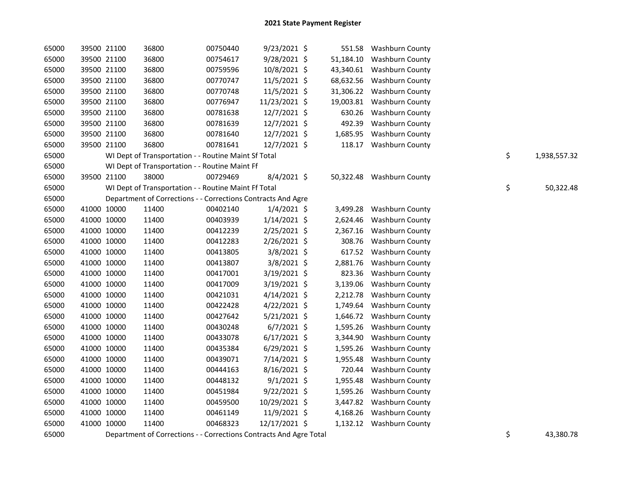| 65000 |             | 39500 21100 | 36800                                                              | 00750440 | 9/23/2021 \$   |           | 551.58 Washburn County    |    |              |
|-------|-------------|-------------|--------------------------------------------------------------------|----------|----------------|-----------|---------------------------|----|--------------|
| 65000 |             | 39500 21100 | 36800                                                              | 00754617 | $9/28/2021$ \$ | 51,184.10 | <b>Washburn County</b>    |    |              |
| 65000 |             | 39500 21100 | 36800                                                              | 00759596 | 10/8/2021 \$   | 43,340.61 | <b>Washburn County</b>    |    |              |
| 65000 |             | 39500 21100 | 36800                                                              | 00770747 | 11/5/2021 \$   | 68,632.56 | <b>Washburn County</b>    |    |              |
| 65000 |             | 39500 21100 | 36800                                                              | 00770748 | 11/5/2021 \$   | 31,306.22 | <b>Washburn County</b>    |    |              |
| 65000 |             | 39500 21100 | 36800                                                              | 00776947 | 11/23/2021 \$  | 19,003.81 | Washburn County           |    |              |
| 65000 |             | 39500 21100 | 36800                                                              | 00781638 | 12/7/2021 \$   | 630.26    | Washburn County           |    |              |
| 65000 |             | 39500 21100 | 36800                                                              | 00781639 | 12/7/2021 \$   | 492.39    | Washburn County           |    |              |
| 65000 |             | 39500 21100 | 36800                                                              | 00781640 | 12/7/2021 \$   | 1,685.95  | <b>Washburn County</b>    |    |              |
| 65000 |             | 39500 21100 | 36800                                                              | 00781641 | 12/7/2021 \$   |           | 118.17 Washburn County    |    |              |
| 65000 |             |             | WI Dept of Transportation - - Routine Maint Sf Total               |          |                |           |                           | \$ | 1,938,557.32 |
| 65000 |             |             | WI Dept of Transportation - - Routine Maint Ff                     |          |                |           |                           |    |              |
| 65000 |             | 39500 21100 | 38000                                                              | 00729469 | 8/4/2021 \$    |           | 50,322.48 Washburn County |    |              |
| 65000 |             |             | WI Dept of Transportation - - Routine Maint Ff Total               |          |                |           |                           | \$ | 50,322.48    |
| 65000 |             |             | Department of Corrections - - Corrections Contracts And Agre       |          |                |           |                           |    |              |
| 65000 |             | 41000 10000 | 11400                                                              | 00402140 | 1/4/2021 \$    | 3,499.28  | <b>Washburn County</b>    |    |              |
| 65000 |             | 41000 10000 | 11400                                                              | 00403939 | $1/14/2021$ \$ | 2,624.46  | Washburn County           |    |              |
| 65000 |             | 41000 10000 | 11400                                                              | 00412239 | 2/25/2021 \$   | 2,367.16  | Washburn County           |    |              |
| 65000 |             | 41000 10000 | 11400                                                              | 00412283 | 2/26/2021 \$   | 308.76    | Washburn County           |    |              |
| 65000 |             | 41000 10000 | 11400                                                              | 00413805 | 3/8/2021 \$    | 617.52    | <b>Washburn County</b>    |    |              |
| 65000 |             | 41000 10000 | 11400                                                              | 00413807 | $3/8/2021$ \$  | 2,881.76  | <b>Washburn County</b>    |    |              |
| 65000 |             | 41000 10000 | 11400                                                              | 00417001 | 3/19/2021 \$   | 823.36    | <b>Washburn County</b>    |    |              |
| 65000 |             | 41000 10000 | 11400                                                              | 00417009 | 3/19/2021 \$   | 3,139.06  | Washburn County           |    |              |
| 65000 |             | 41000 10000 | 11400                                                              | 00421031 | $4/14/2021$ \$ | 2,212.78  | <b>Washburn County</b>    |    |              |
| 65000 |             | 41000 10000 | 11400                                                              | 00422428 | $4/22/2021$ \$ | 1,749.64  | Washburn County           |    |              |
| 65000 |             | 41000 10000 | 11400                                                              | 00427642 | $5/21/2021$ \$ | 1,646.72  | Washburn County           |    |              |
| 65000 |             | 41000 10000 | 11400                                                              | 00430248 | $6/7/2021$ \$  | 1,595.26  | <b>Washburn County</b>    |    |              |
| 65000 |             | 41000 10000 | 11400                                                              | 00433078 | $6/17/2021$ \$ | 3,344.90  | <b>Washburn County</b>    |    |              |
| 65000 |             | 41000 10000 | 11400                                                              | 00435384 | $6/29/2021$ \$ | 1,595.26  | Washburn County           |    |              |
| 65000 | 41000 10000 |             | 11400                                                              | 00439071 | 7/14/2021 \$   | 1,955.48  | <b>Washburn County</b>    |    |              |
| 65000 | 41000 10000 |             | 11400                                                              | 00444163 | $8/16/2021$ \$ | 720.44    | <b>Washburn County</b>    |    |              |
| 65000 | 41000 10000 |             | 11400                                                              | 00448132 | $9/1/2021$ \$  | 1,955.48  | <b>Washburn County</b>    |    |              |
| 65000 |             | 41000 10000 | 11400                                                              | 00451984 | $9/22/2021$ \$ | 1,595.26  | <b>Washburn County</b>    |    |              |
| 65000 |             | 41000 10000 | 11400                                                              | 00459500 | 10/29/2021 \$  |           | 3,447.82 Washburn County  |    |              |
| 65000 | 41000 10000 |             | 11400                                                              | 00461149 | 11/9/2021 \$   | 4,168.26  | <b>Washburn County</b>    |    |              |
| 65000 |             | 41000 10000 | 11400                                                              | 00468323 | 12/17/2021 \$  |           | 1,132.12 Washburn County  |    |              |
| 65000 |             |             | Department of Corrections - - Corrections Contracts And Agre Total |          |                |           |                           | \$ | 43,380.78    |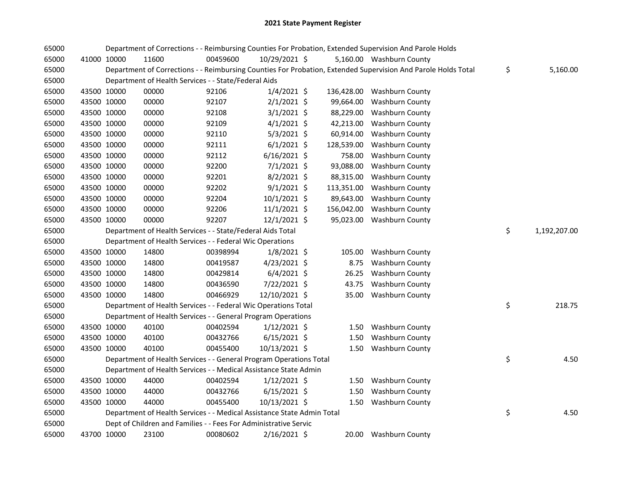| 65000 |             |             |                                                                        |          |                |            | Department of Corrections - - Reimbursing Counties For Probation, Extended Supervision And Parole Holds       |                    |
|-------|-------------|-------------|------------------------------------------------------------------------|----------|----------------|------------|---------------------------------------------------------------------------------------------------------------|--------------------|
| 65000 |             | 41000 10000 | 11600                                                                  | 00459600 | 10/29/2021 \$  |            | 5,160.00 Washburn County                                                                                      |                    |
| 65000 |             |             |                                                                        |          |                |            | Department of Corrections - - Reimbursing Counties For Probation, Extended Supervision And Parole Holds Total | \$<br>5,160.00     |
| 65000 |             |             | Department of Health Services - - State/Federal Aids                   |          |                |            |                                                                                                               |                    |
| 65000 | 43500 10000 |             | 00000                                                                  | 92106    | $1/4/2021$ \$  |            | 136,428.00 Washburn County                                                                                    |                    |
| 65000 | 43500 10000 |             | 00000                                                                  | 92107    | $2/1/2021$ \$  | 99,664.00  | Washburn County                                                                                               |                    |
| 65000 | 43500 10000 |             | 00000                                                                  | 92108    | $3/1/2021$ \$  | 88,229.00  | Washburn County                                                                                               |                    |
| 65000 | 43500 10000 |             | 00000                                                                  | 92109    | $4/1/2021$ \$  | 42,213.00  | <b>Washburn County</b>                                                                                        |                    |
| 65000 | 43500 10000 |             | 00000                                                                  | 92110    | 5/3/2021 \$    | 60,914.00  | Washburn County                                                                                               |                    |
| 65000 | 43500 10000 |             | 00000                                                                  | 92111    | $6/1/2021$ \$  | 128,539.00 | <b>Washburn County</b>                                                                                        |                    |
| 65000 | 43500 10000 |             | 00000                                                                  | 92112    | $6/16/2021$ \$ | 758.00     | Washburn County                                                                                               |                    |
| 65000 | 43500 10000 |             | 00000                                                                  | 92200    | 7/1/2021 \$    | 93,088.00  | Washburn County                                                                                               |                    |
| 65000 | 43500 10000 |             | 00000                                                                  | 92201    | 8/2/2021 \$    | 88,315.00  | <b>Washburn County</b>                                                                                        |                    |
| 65000 | 43500 10000 |             | 00000                                                                  | 92202    | $9/1/2021$ \$  | 113,351.00 | Washburn County                                                                                               |                    |
| 65000 | 43500 10000 |             | 00000                                                                  | 92204    | 10/1/2021 \$   | 89,643.00  | Washburn County                                                                                               |                    |
| 65000 | 43500 10000 |             | 00000                                                                  | 92206    | $11/1/2021$ \$ | 156,042.00 | Washburn County                                                                                               |                    |
| 65000 | 43500 10000 |             | 00000                                                                  | 92207    | $12/1/2021$ \$ | 95,023.00  | <b>Washburn County</b>                                                                                        |                    |
| 65000 |             |             | Department of Health Services - - State/Federal Aids Total             |          |                |            |                                                                                                               | \$<br>1,192,207.00 |
| 65000 |             |             | Department of Health Services - - Federal Wic Operations               |          |                |            |                                                                                                               |                    |
| 65000 |             | 43500 10000 | 14800                                                                  | 00398994 | $1/8/2021$ \$  | 105.00     | Washburn County                                                                                               |                    |
| 65000 | 43500 10000 |             | 14800                                                                  | 00419587 | $4/23/2021$ \$ | 8.75       | Washburn County                                                                                               |                    |
| 65000 | 43500 10000 |             | 14800                                                                  | 00429814 | $6/4/2021$ \$  | 26.25      | <b>Washburn County</b>                                                                                        |                    |
| 65000 | 43500 10000 |             | 14800                                                                  | 00436590 | 7/22/2021 \$   | 43.75      | Washburn County                                                                                               |                    |
| 65000 | 43500 10000 |             | 14800                                                                  | 00466929 | 12/10/2021 \$  |            | 35.00 Washburn County                                                                                         |                    |
| 65000 |             |             | Department of Health Services - - Federal Wic Operations Total         |          |                |            |                                                                                                               | \$<br>218.75       |
| 65000 |             |             | Department of Health Services - - General Program Operations           |          |                |            |                                                                                                               |                    |
| 65000 |             | 43500 10000 | 40100                                                                  | 00402594 | $1/12/2021$ \$ |            | 1.50 Washburn County                                                                                          |                    |
| 65000 |             | 43500 10000 | 40100                                                                  | 00432766 | $6/15/2021$ \$ | 1.50       | Washburn County                                                                                               |                    |
| 65000 | 43500 10000 |             | 40100                                                                  | 00455400 | 10/13/2021 \$  |            | 1.50 Washburn County                                                                                          |                    |
| 65000 |             |             | Department of Health Services - - General Program Operations Total     |          |                |            |                                                                                                               | \$<br>4.50         |
| 65000 |             |             | Department of Health Services - - Medical Assistance State Admin       |          |                |            |                                                                                                               |                    |
| 65000 | 43500 10000 |             | 44000                                                                  | 00402594 | $1/12/2021$ \$ |            | 1.50 Washburn County                                                                                          |                    |
| 65000 |             | 43500 10000 | 44000                                                                  | 00432766 | $6/15/2021$ \$ | 1.50       | Washburn County                                                                                               |                    |
| 65000 | 43500 10000 |             | 44000                                                                  | 00455400 | 10/13/2021 \$  |            | 1.50 Washburn County                                                                                          |                    |
| 65000 |             |             | Department of Health Services - - Medical Assistance State Admin Total |          |                |            |                                                                                                               | \$<br>4.50         |
| 65000 |             |             | Dept of Children and Families - - Fees For Administrative Servic       |          |                |            |                                                                                                               |                    |
| 65000 |             | 43700 10000 | 23100                                                                  | 00080602 | 2/16/2021 \$   |            | 20.00 Washburn County                                                                                         |                    |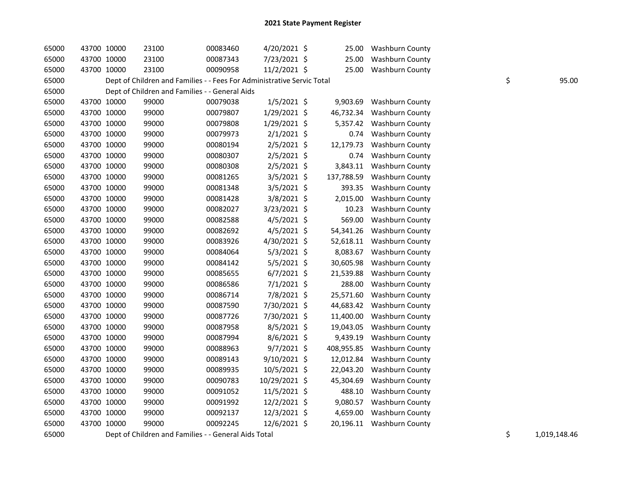| 65000 | 43700 10000 |             | 23100                                                                  | 00083460 | 4/20/2021 \$   | 25.00      | <b>Washburn County</b>    |    |       |
|-------|-------------|-------------|------------------------------------------------------------------------|----------|----------------|------------|---------------------------|----|-------|
| 65000 | 43700 10000 |             | 23100                                                                  | 00087343 | 7/23/2021 \$   | 25.00      | <b>Washburn County</b>    |    |       |
| 65000 | 43700 10000 |             | 23100                                                                  | 00090958 | 11/2/2021 \$   | 25.00      | Washburn County           |    |       |
| 65000 |             |             | Dept of Children and Families - - Fees For Administrative Servic Total |          |                |            |                           | \$ | 95.00 |
| 65000 |             |             | Dept of Children and Families - - General Aids                         |          |                |            |                           |    |       |
| 65000 | 43700 10000 |             | 99000                                                                  | 00079038 | $1/5/2021$ \$  | 9,903.69   | Washburn County           |    |       |
| 65000 | 43700 10000 |             | 99000                                                                  | 00079807 | 1/29/2021 \$   | 46,732.34  | <b>Washburn County</b>    |    |       |
| 65000 | 43700 10000 |             | 99000                                                                  | 00079808 | 1/29/2021 \$   | 5,357.42   | <b>Washburn County</b>    |    |       |
| 65000 | 43700 10000 |             | 99000                                                                  | 00079973 | $2/1/2021$ \$  | 0.74       | <b>Washburn County</b>    |    |       |
| 65000 | 43700 10000 |             | 99000                                                                  | 00080194 | $2/5/2021$ \$  | 12,179.73  | Washburn County           |    |       |
| 65000 | 43700 10000 |             | 99000                                                                  | 00080307 | $2/5/2021$ \$  | 0.74       | Washburn County           |    |       |
| 65000 | 43700 10000 |             | 99000                                                                  | 00080308 | $2/5/2021$ \$  | 3,843.11   | <b>Washburn County</b>    |    |       |
| 65000 | 43700 10000 |             | 99000                                                                  | 00081265 | $3/5/2021$ \$  | 137,788.59 | <b>Washburn County</b>    |    |       |
| 65000 | 43700 10000 |             | 99000                                                                  | 00081348 | $3/5/2021$ \$  | 393.35     | <b>Washburn County</b>    |    |       |
| 65000 | 43700 10000 |             | 99000                                                                  | 00081428 | 3/8/2021 \$    | 2,015.00   | <b>Washburn County</b>    |    |       |
| 65000 | 43700 10000 |             | 99000                                                                  | 00082027 | 3/23/2021 \$   | 10.23      | Washburn County           |    |       |
| 65000 | 43700 10000 |             | 99000                                                                  | 00082588 | $4/5/2021$ \$  | 569.00     | Washburn County           |    |       |
| 65000 | 43700 10000 |             | 99000                                                                  | 00082692 | $4/5/2021$ \$  | 54,341.26  | Washburn County           |    |       |
| 65000 | 43700 10000 |             | 99000                                                                  | 00083926 | 4/30/2021 \$   | 52,618.11  | Washburn County           |    |       |
| 65000 | 43700 10000 |             | 99000                                                                  | 00084064 | $5/3/2021$ \$  | 8,083.67   | <b>Washburn County</b>    |    |       |
| 65000 | 43700 10000 |             | 99000                                                                  | 00084142 | $5/5/2021$ \$  | 30,605.98  | Washburn County           |    |       |
| 65000 | 43700 10000 |             | 99000                                                                  | 00085655 | $6/7/2021$ \$  | 21,539.88  | Washburn County           |    |       |
| 65000 |             | 43700 10000 | 99000                                                                  | 00086586 | 7/1/2021 \$    | 288.00     | Washburn County           |    |       |
| 65000 | 43700 10000 |             | 99000                                                                  | 00086714 | 7/8/2021 \$    | 25,571.60  | <b>Washburn County</b>    |    |       |
| 65000 | 43700 10000 |             | 99000                                                                  | 00087590 | 7/30/2021 \$   | 44,683.42  | <b>Washburn County</b>    |    |       |
| 65000 | 43700 10000 |             | 99000                                                                  | 00087726 | 7/30/2021 \$   | 11,400.00  | <b>Washburn County</b>    |    |       |
| 65000 | 43700 10000 |             | 99000                                                                  | 00087958 | 8/5/2021 \$    | 19,043.05  | Washburn County           |    |       |
| 65000 | 43700 10000 |             | 99000                                                                  | 00087994 | 8/6/2021 \$    | 9,439.19   | Washburn County           |    |       |
| 65000 | 43700 10000 |             | 99000                                                                  | 00088963 | $9/7/2021$ \$  | 408,955.85 | <b>Washburn County</b>    |    |       |
| 65000 | 43700 10000 |             | 99000                                                                  | 00089143 | 9/10/2021 \$   | 12,012.84  | Washburn County           |    |       |
| 65000 | 43700 10000 |             | 99000                                                                  | 00089935 | 10/5/2021 \$   | 22,043.20  | Washburn County           |    |       |
| 65000 | 43700 10000 |             | 99000                                                                  | 00090783 | 10/29/2021 \$  | 45,304.69  | Washburn County           |    |       |
| 65000 | 43700 10000 |             | 99000                                                                  | 00091052 | $11/5/2021$ \$ | 488.10     | <b>Washburn County</b>    |    |       |
| 65000 | 43700 10000 |             | 99000                                                                  | 00091992 | 12/2/2021 \$   | 9,080.57   | Washburn County           |    |       |
| 65000 | 43700 10000 |             | 99000                                                                  | 00092137 | 12/3/2021 \$   | 4,659.00   | <b>Washburn County</b>    |    |       |
| 65000 | 43700 10000 |             | 99000                                                                  | 00092245 | 12/6/2021 \$   |            | 20,196.11 Washburn County |    |       |
|       |             |             |                                                                        |          |                |            |                           |    |       |

65000 Dept of Children and Families - - General Aids Total 1,019,148.46 \$ 1,019,148.46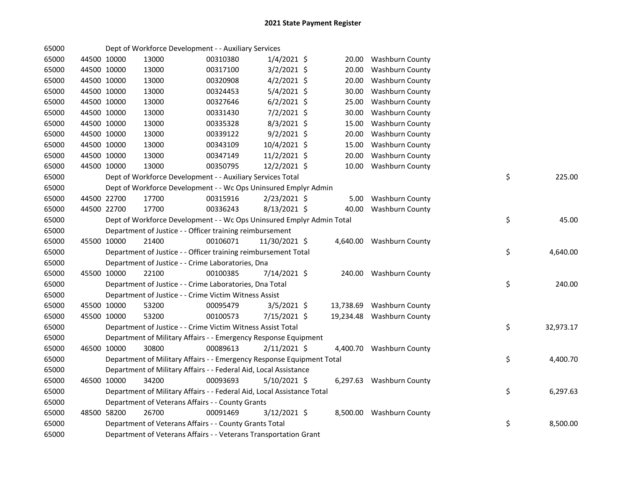| 65000 |             | Dept of Workforce Development - - Auxiliary Services                   |          |                |       |                           |    |           |
|-------|-------------|------------------------------------------------------------------------|----------|----------------|-------|---------------------------|----|-----------|
| 65000 | 44500 10000 | 13000                                                                  | 00310380 | $1/4/2021$ \$  | 20.00 | <b>Washburn County</b>    |    |           |
| 65000 | 44500 10000 | 13000                                                                  | 00317100 | $3/2/2021$ \$  | 20.00 | <b>Washburn County</b>    |    |           |
| 65000 | 44500 10000 | 13000                                                                  | 00320908 | $4/2/2021$ \$  | 20.00 | <b>Washburn County</b>    |    |           |
| 65000 | 44500 10000 | 13000                                                                  | 00324453 | 5/4/2021 \$    | 30.00 | Washburn County           |    |           |
| 65000 | 44500 10000 | 13000                                                                  | 00327646 | $6/2/2021$ \$  | 25.00 | Washburn County           |    |           |
| 65000 | 44500 10000 | 13000                                                                  | 00331430 | $7/2/2021$ \$  | 30.00 | Washburn County           |    |           |
| 65000 | 44500 10000 | 13000                                                                  | 00335328 | $8/3/2021$ \$  | 15.00 | Washburn County           |    |           |
| 65000 | 44500 10000 | 13000                                                                  | 00339122 | $9/2/2021$ \$  | 20.00 | Washburn County           |    |           |
| 65000 | 44500 10000 | 13000                                                                  | 00343109 | 10/4/2021 \$   | 15.00 | Washburn County           |    |           |
| 65000 | 44500 10000 | 13000                                                                  | 00347149 | 11/2/2021 \$   | 20.00 | Washburn County           |    |           |
| 65000 | 44500 10000 | 13000                                                                  | 00350795 | 12/2/2021 \$   | 10.00 | Washburn County           |    |           |
| 65000 |             | Dept of Workforce Development - - Auxiliary Services Total             |          |                |       |                           | \$ | 225.00    |
| 65000 |             | Dept of Workforce Development - - Wc Ops Uninsured Emplyr Admin        |          |                |       |                           |    |           |
| 65000 | 44500 22700 | 17700                                                                  | 00315916 | $2/23/2021$ \$ |       | 5.00 Washburn County      |    |           |
| 65000 | 44500 22700 | 17700                                                                  | 00336243 | 8/13/2021 \$   | 40.00 | Washburn County           |    |           |
| 65000 |             | Dept of Workforce Development - - Wc Ops Uninsured Emplyr Admin Total  |          |                |       |                           | \$ | 45.00     |
| 65000 |             | Department of Justice - - Officer training reimbursement               |          |                |       |                           |    |           |
| 65000 | 45500 10000 | 21400                                                                  | 00106071 | 11/30/2021 \$  |       | 4,640.00 Washburn County  |    |           |
| 65000 |             | Department of Justice - - Officer training reimbursement Total         |          |                |       |                           | \$ | 4,640.00  |
| 65000 |             | Department of Justice - - Crime Laboratories, Dna                      |          |                |       |                           |    |           |
| 65000 | 45500 10000 | 22100                                                                  | 00100385 | 7/14/2021 \$   |       | 240.00 Washburn County    |    |           |
| 65000 |             | Department of Justice - - Crime Laboratories, Dna Total                |          |                |       |                           | \$ | 240.00    |
| 65000 |             | Department of Justice - - Crime Victim Witness Assist                  |          |                |       |                           |    |           |
| 65000 | 45500 10000 | 53200                                                                  | 00095479 | $3/5/2021$ \$  |       | 13,738.69 Washburn County |    |           |
| 65000 | 45500 10000 | 53200                                                                  | 00100573 | 7/15/2021 \$   |       | 19,234.48 Washburn County |    |           |
| 65000 |             | Department of Justice - - Crime Victim Witness Assist Total            |          |                |       |                           | \$ | 32,973.17 |
| 65000 |             | Department of Military Affairs - - Emergency Response Equipment        |          |                |       |                           |    |           |
| 65000 | 46500 10000 | 30800                                                                  | 00089613 | $2/11/2021$ \$ |       | 4,400.70 Washburn County  |    |           |
| 65000 |             | Department of Military Affairs - - Emergency Response Equipment Total  |          |                |       |                           | \$ | 4,400.70  |
| 65000 |             | Department of Military Affairs - - Federal Aid, Local Assistance       |          |                |       |                           |    |           |
| 65000 | 46500 10000 | 34200                                                                  | 00093693 | $5/10/2021$ \$ |       | 6,297.63 Washburn County  |    |           |
| 65000 |             | Department of Military Affairs - - Federal Aid, Local Assistance Total |          |                |       |                           | \$ | 6,297.63  |
| 65000 |             | Department of Veterans Affairs - - County Grants                       |          |                |       |                           |    |           |
| 65000 | 48500 58200 | 26700                                                                  | 00091469 | $3/12/2021$ \$ |       | 8,500.00 Washburn County  |    |           |
| 65000 |             | Department of Veterans Affairs - - County Grants Total                 |          |                |       |                           | \$ | 8,500.00  |
| 65000 |             | Department of Veterans Affairs - - Veterans Transportation Grant       |          |                |       |                           |    |           |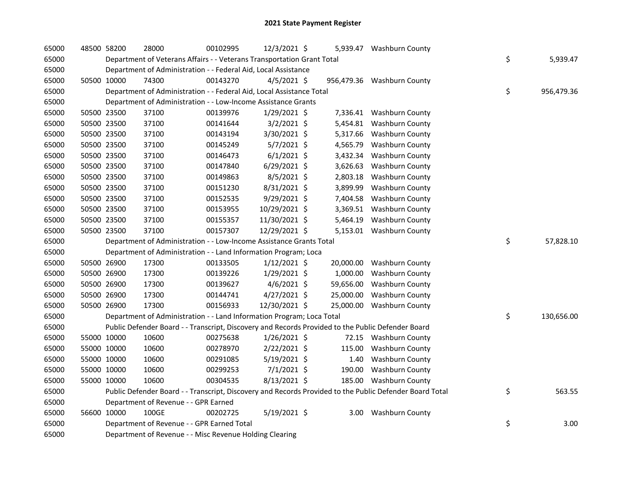| 65000 | 48500 58200 | 28000                                                                                             | 00102995 | 12/3/2021 \$   |           | 5,939.47 Washburn County                                                                                |    |            |
|-------|-------------|---------------------------------------------------------------------------------------------------|----------|----------------|-----------|---------------------------------------------------------------------------------------------------------|----|------------|
| 65000 |             | Department of Veterans Affairs - - Veterans Transportation Grant Total                            | \$       | 5,939.47       |           |                                                                                                         |    |            |
| 65000 |             | Department of Administration - - Federal Aid, Local Assistance                                    |          |                |           |                                                                                                         |    |            |
| 65000 | 50500 10000 | 74300                                                                                             | 00143270 | $4/5/2021$ \$  |           | 956,479.36 Washburn County                                                                              |    |            |
| 65000 |             | Department of Administration - - Federal Aid, Local Assistance Total                              |          |                |           |                                                                                                         | \$ | 956,479.36 |
| 65000 |             | Department of Administration - - Low-Income Assistance Grants                                     |          |                |           |                                                                                                         |    |            |
| 65000 | 50500 23500 | 37100                                                                                             | 00139976 | 1/29/2021 \$   |           | 7,336.41 Washburn County                                                                                |    |            |
| 65000 | 50500 23500 | 37100                                                                                             | 00141644 | $3/2/2021$ \$  | 5,454.81  | Washburn County                                                                                         |    |            |
| 65000 | 50500 23500 | 37100                                                                                             | 00143194 | 3/30/2021 \$   | 5,317.66  | <b>Washburn County</b>                                                                                  |    |            |
| 65000 | 50500 23500 | 37100                                                                                             | 00145249 | $5/7/2021$ \$  | 4,565.79  | <b>Washburn County</b>                                                                                  |    |            |
| 65000 | 50500 23500 | 37100                                                                                             | 00146473 | $6/1/2021$ \$  | 3,432.34  | <b>Washburn County</b>                                                                                  |    |            |
| 65000 | 50500 23500 | 37100                                                                                             | 00147840 | 6/29/2021 \$   | 3,626.63  | Washburn County                                                                                         |    |            |
| 65000 | 50500 23500 | 37100                                                                                             | 00149863 | $8/5/2021$ \$  | 2,803.18  | Washburn County                                                                                         |    |            |
| 65000 | 50500 23500 | 37100                                                                                             | 00151230 | 8/31/2021 \$   | 3,899.99  | Washburn County                                                                                         |    |            |
| 65000 | 50500 23500 | 37100                                                                                             | 00152535 | 9/29/2021 \$   |           | 7,404.58 Washburn County                                                                                |    |            |
| 65000 | 50500 23500 | 37100                                                                                             | 00153955 | 10/29/2021 \$  |           | 3,369.51 Washburn County                                                                                |    |            |
| 65000 | 50500 23500 | 37100                                                                                             | 00155357 | 11/30/2021 \$  |           | 5,464.19 Washburn County                                                                                |    |            |
| 65000 | 50500 23500 | 37100                                                                                             | 00157307 | 12/29/2021 \$  |           | 5,153.01 Washburn County                                                                                |    |            |
| 65000 |             | Department of Administration - - Low-Income Assistance Grants Total                               |          |                |           |                                                                                                         | \$ | 57,828.10  |
| 65000 |             | Department of Administration - - Land Information Program; Loca                                   |          |                |           |                                                                                                         |    |            |
| 65000 | 50500 26900 | 17300                                                                                             | 00133505 | $1/12/2021$ \$ | 20,000.00 | <b>Washburn County</b>                                                                                  |    |            |
| 65000 | 50500 26900 | 17300                                                                                             | 00139226 | 1/29/2021 \$   | 1,000.00  | <b>Washburn County</b>                                                                                  |    |            |
| 65000 | 50500 26900 | 17300                                                                                             | 00139627 | $4/6/2021$ \$  | 59,656.00 | Washburn County                                                                                         |    |            |
| 65000 | 50500 26900 | 17300                                                                                             | 00144741 | 4/27/2021 \$   | 25,000.00 | Washburn County                                                                                         |    |            |
| 65000 | 50500 26900 | 17300                                                                                             | 00156933 | 12/30/2021 \$  |           | 25,000.00 Washburn County                                                                               |    |            |
| 65000 |             | Department of Administration - - Land Information Program; Loca Total                             |          |                |           |                                                                                                         | \$ | 130,656.00 |
| 65000 |             | Public Defender Board - - Transcript, Discovery and Records Provided to the Public Defender Board |          |                |           |                                                                                                         |    |            |
| 65000 | 55000 10000 | 10600                                                                                             | 00275638 | $1/26/2021$ \$ |           | 72.15 Washburn County                                                                                   |    |            |
| 65000 | 55000 10000 | 10600                                                                                             | 00278970 | $2/22/2021$ \$ | 115.00    | <b>Washburn County</b>                                                                                  |    |            |
| 65000 | 55000 10000 | 10600                                                                                             | 00291085 | 5/19/2021 \$   | 1.40      | Washburn County                                                                                         |    |            |
| 65000 | 55000 10000 | 10600                                                                                             | 00299253 | 7/1/2021 \$    | 190.00    | Washburn County                                                                                         |    |            |
| 65000 | 55000 10000 | 10600                                                                                             | 00304535 | $8/13/2021$ \$ |           | 185.00 Washburn County                                                                                  |    |            |
| 65000 |             |                                                                                                   |          |                |           | Public Defender Board - - Transcript, Discovery and Records Provided to the Public Defender Board Total | \$ | 563.55     |
| 65000 |             | Department of Revenue - - GPR Earned                                                              |          |                |           |                                                                                                         |    |            |
| 65000 | 56600 10000 | 100GE                                                                                             | 00202725 | 5/19/2021 \$   | 3.00      | <b>Washburn County</b>                                                                                  |    |            |
| 65000 |             | Department of Revenue - - GPR Earned Total                                                        |          |                |           |                                                                                                         | \$ | 3.00       |
| 65000 |             | Department of Revenue - - Misc Revenue Holding Clearing                                           |          |                |           |                                                                                                         |    |            |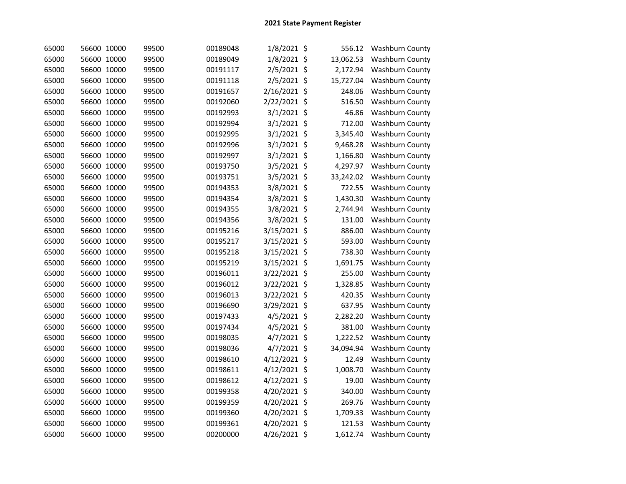| 65000 | 56600 10000 | 99500 | 00189048 | 1/8/2021 \$   | 556.12    | <b>Washburn County</b> |
|-------|-------------|-------|----------|---------------|-----------|------------------------|
| 65000 | 56600 10000 | 99500 | 00189049 | 1/8/2021 \$   | 13,062.53 | Washburn County        |
| 65000 | 56600 10000 | 99500 | 00191117 | 2/5/2021 \$   | 2,172.94  | Washburn County        |
| 65000 | 56600 10000 | 99500 | 00191118 | 2/5/2021 \$   | 15,727.04 | Washburn County        |
| 65000 | 56600 10000 | 99500 | 00191657 | 2/16/2021 \$  | 248.06    | Washburn County        |
| 65000 | 56600 10000 | 99500 | 00192060 | 2/22/2021 \$  | 516.50    | Washburn County        |
| 65000 | 56600 10000 | 99500 | 00192993 | $3/1/2021$ \$ | 46.86     | Washburn County        |
| 65000 | 56600 10000 | 99500 | 00192994 | $3/1/2021$ \$ | 712.00    | Washburn County        |
| 65000 | 56600 10000 | 99500 | 00192995 | 3/1/2021 \$   | 3,345.40  | <b>Washburn County</b> |
| 65000 | 56600 10000 | 99500 | 00192996 | $3/1/2021$ \$ | 9,468.28  | Washburn County        |
| 65000 | 56600 10000 | 99500 | 00192997 | $3/1/2021$ \$ | 1,166.80  | Washburn County        |
| 65000 | 56600 10000 | 99500 | 00193750 | 3/5/2021 \$   | 4,297.97  | Washburn County        |
| 65000 | 56600 10000 | 99500 | 00193751 | 3/5/2021 \$   | 33,242.02 | Washburn County        |
| 65000 | 56600 10000 | 99500 | 00194353 | 3/8/2021 \$   | 722.55    | Washburn County        |
| 65000 | 56600 10000 | 99500 | 00194354 | 3/8/2021 \$   | 1,430.30  | Washburn County        |
| 65000 | 56600 10000 | 99500 | 00194355 | 3/8/2021 \$   | 2,744.94  | Washburn County        |
| 65000 | 56600 10000 | 99500 | 00194356 | 3/8/2021 \$   | 131.00    | Washburn County        |
| 65000 | 56600 10000 | 99500 | 00195216 | 3/15/2021 \$  | 886.00    | Washburn County        |
| 65000 | 56600 10000 | 99500 | 00195217 | 3/15/2021 \$  | 593.00    | Washburn County        |
| 65000 | 56600 10000 | 99500 | 00195218 | 3/15/2021 \$  | 738.30    | Washburn County        |
| 65000 | 56600 10000 | 99500 | 00195219 | 3/15/2021 \$  | 1,691.75  | Washburn County        |
| 65000 | 56600 10000 | 99500 | 00196011 | 3/22/2021 \$  | 255.00    | Washburn County        |
| 65000 | 56600 10000 | 99500 | 00196012 | 3/22/2021 \$  | 1,328.85  | Washburn County        |
| 65000 | 56600 10000 | 99500 | 00196013 | 3/22/2021 \$  | 420.35    | Washburn County        |
| 65000 | 56600 10000 | 99500 | 00196690 | 3/29/2021 \$  | 637.95    | Washburn County        |
| 65000 | 56600 10000 | 99500 | 00197433 | 4/5/2021 \$   | 2,282.20  | Washburn County        |
| 65000 | 56600 10000 | 99500 | 00197434 | 4/5/2021 \$   | 381.00    | Washburn County        |
| 65000 | 56600 10000 | 99500 | 00198035 | 4/7/2021 \$   | 1,222.52  | Washburn County        |
| 65000 | 56600 10000 | 99500 | 00198036 | 4/7/2021 \$   | 34,094.94 | Washburn County        |
| 65000 | 56600 10000 | 99500 | 00198610 | 4/12/2021 \$  | 12.49     | Washburn County        |
| 65000 | 56600 10000 | 99500 | 00198611 | 4/12/2021 \$  | 1,008.70  | Washburn County        |
| 65000 | 56600 10000 | 99500 | 00198612 | 4/12/2021 \$  | 19.00     | Washburn County        |
| 65000 | 56600 10000 | 99500 | 00199358 | 4/20/2021 \$  | 340.00    | Washburn County        |
| 65000 | 56600 10000 | 99500 | 00199359 | 4/20/2021 \$  | 269.76    | Washburn County        |
| 65000 | 56600 10000 | 99500 | 00199360 | 4/20/2021 \$  | 1,709.33  | Washburn County        |
| 65000 | 56600 10000 | 99500 | 00199361 | 4/20/2021 \$  | 121.53    | Washburn County        |
| 65000 | 56600 10000 | 99500 | 00200000 | 4/26/2021 \$  | 1,612.74  | Washburn County        |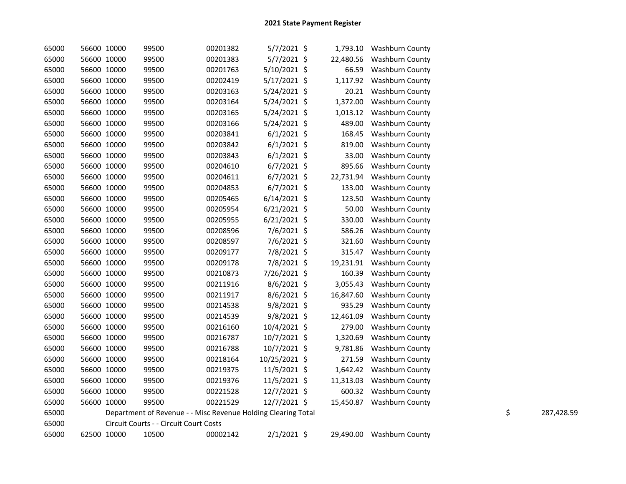| 65000 | 56600 10000 | 99500                                                         | 00201382 | $5/7/2021$ \$  | 1,793.10  | <b>Washburn County</b>    |    |            |
|-------|-------------|---------------------------------------------------------------|----------|----------------|-----------|---------------------------|----|------------|
| 65000 | 56600 10000 | 99500                                                         | 00201383 | 5/7/2021 \$    | 22,480.56 | <b>Washburn County</b>    |    |            |
| 65000 | 56600 10000 | 99500                                                         | 00201763 | 5/10/2021 \$   | 66.59     | <b>Washburn County</b>    |    |            |
| 65000 | 56600 10000 | 99500                                                         | 00202419 | $5/17/2021$ \$ | 1,117.92  | <b>Washburn County</b>    |    |            |
| 65000 | 56600 10000 | 99500                                                         | 00203163 | 5/24/2021 \$   | 20.21     | Washburn County           |    |            |
| 65000 | 56600 10000 | 99500                                                         | 00203164 | 5/24/2021 \$   | 1,372.00  | <b>Washburn County</b>    |    |            |
| 65000 | 56600 10000 | 99500                                                         | 00203165 | $5/24/2021$ \$ | 1,013.12  | Washburn County           |    |            |
| 65000 | 56600 10000 | 99500                                                         | 00203166 | $5/24/2021$ \$ | 489.00    | Washburn County           |    |            |
| 65000 | 56600 10000 | 99500                                                         | 00203841 | $6/1/2021$ \$  | 168.45    | <b>Washburn County</b>    |    |            |
| 65000 | 56600 10000 | 99500                                                         | 00203842 | $6/1/2021$ \$  | 819.00    | <b>Washburn County</b>    |    |            |
| 65000 | 56600 10000 | 99500                                                         | 00203843 | $6/1/2021$ \$  | 33.00     | <b>Washburn County</b>    |    |            |
| 65000 | 56600 10000 | 99500                                                         | 00204610 | $6/7/2021$ \$  | 895.66    | Washburn County           |    |            |
| 65000 | 56600 10000 | 99500                                                         | 00204611 | $6/7/2021$ \$  | 22,731.94 | <b>Washburn County</b>    |    |            |
| 65000 | 56600 10000 | 99500                                                         | 00204853 | $6/7/2021$ \$  | 133.00    | Washburn County           |    |            |
| 65000 | 56600 10000 | 99500                                                         | 00205465 | $6/14/2021$ \$ | 123.50    | <b>Washburn County</b>    |    |            |
| 65000 | 56600 10000 | 99500                                                         | 00205954 | $6/21/2021$ \$ | 50.00     | <b>Washburn County</b>    |    |            |
| 65000 | 56600 10000 | 99500                                                         | 00205955 | $6/21/2021$ \$ | 330.00    | Washburn County           |    |            |
| 65000 | 56600 10000 | 99500                                                         | 00208596 | 7/6/2021 \$    | 586.26    | Washburn County           |    |            |
| 65000 | 56600 10000 | 99500                                                         | 00208597 | 7/6/2021 \$    | 321.60    | Washburn County           |    |            |
| 65000 | 56600 10000 | 99500                                                         | 00209177 | 7/8/2021 \$    | 315.47    | <b>Washburn County</b>    |    |            |
| 65000 | 56600 10000 | 99500                                                         | 00209178 | 7/8/2021 \$    | 19,231.91 | <b>Washburn County</b>    |    |            |
| 65000 | 56600 10000 | 99500                                                         | 00210873 | 7/26/2021 \$   | 160.39    | Washburn County           |    |            |
| 65000 | 56600 10000 | 99500                                                         | 00211916 | 8/6/2021 \$    | 3,055.43  | <b>Washburn County</b>    |    |            |
| 65000 | 56600 10000 | 99500                                                         | 00211917 | $8/6/2021$ \$  | 16,847.60 | Washburn County           |    |            |
| 65000 | 56600 10000 | 99500                                                         | 00214538 | 9/8/2021 \$    | 935.29    | Washburn County           |    |            |
| 65000 | 56600 10000 | 99500                                                         | 00214539 | 9/8/2021 \$    | 12,461.09 | Washburn County           |    |            |
| 65000 | 56600 10000 | 99500                                                         | 00216160 | 10/4/2021 \$   | 279.00    | <b>Washburn County</b>    |    |            |
| 65000 | 56600 10000 | 99500                                                         | 00216787 | 10/7/2021 \$   | 1,320.69  | <b>Washburn County</b>    |    |            |
| 65000 | 56600 10000 | 99500                                                         | 00216788 | 10/7/2021 \$   | 9,781.86  | Washburn County           |    |            |
| 65000 | 56600 10000 | 99500                                                         | 00218164 | 10/25/2021 \$  | 271.59    | <b>Washburn County</b>    |    |            |
| 65000 | 56600 10000 | 99500                                                         | 00219375 | 11/5/2021 \$   | 1,642.42  | <b>Washburn County</b>    |    |            |
| 65000 | 56600 10000 | 99500                                                         | 00219376 | 11/5/2021 \$   | 11,313.03 | <b>Washburn County</b>    |    |            |
| 65000 | 56600 10000 | 99500                                                         | 00221528 | 12/7/2021 \$   |           | 600.32 Washburn County    |    |            |
| 65000 | 56600 10000 | 99500                                                         | 00221529 | 12/7/2021 \$   |           | 15,450.87 Washburn County |    |            |
| 65000 |             | Department of Revenue - - Misc Revenue Holding Clearing Total |          |                |           |                           | \$ | 287,428.59 |
| 65000 |             | Circuit Courts - - Circuit Court Costs                        |          |                |           |                           |    |            |
| 65000 | 62500 10000 | 10500                                                         | 00002142 | $2/1/2021$ \$  | 29,490.00 | Washburn County           |    |            |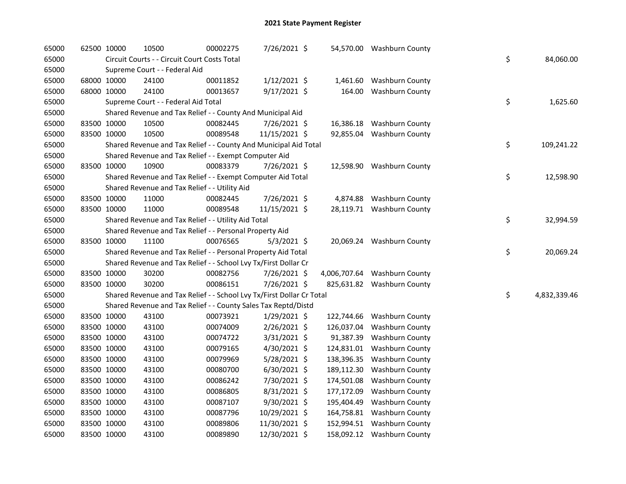| 65000 | 62500 10000 |             | 10500                                                                 | 00002275 | 7/26/2021 \$   |            | 54,570.00 Washburn County    |    |              |
|-------|-------------|-------------|-----------------------------------------------------------------------|----------|----------------|------------|------------------------------|----|--------------|
| 65000 |             |             | Circuit Courts - - Circuit Court Costs Total                          |          |                |            |                              | \$ | 84,060.00    |
| 65000 |             |             | Supreme Court - - Federal Aid                                         |          |                |            |                              |    |              |
| 65000 |             | 68000 10000 | 24100                                                                 | 00011852 | $1/12/2021$ \$ |            | 1,461.60 Washburn County     |    |              |
| 65000 |             | 68000 10000 | 24100                                                                 | 00013657 | 9/17/2021 \$   |            | 164.00 Washburn County       |    |              |
| 65000 |             |             | Supreme Court - - Federal Aid Total                                   |          |                |            |                              | \$ | 1,625.60     |
| 65000 |             |             | Shared Revenue and Tax Relief - - County And Municipal Aid            |          |                |            |                              |    |              |
| 65000 |             | 83500 10000 | 10500                                                                 | 00082445 | 7/26/2021 \$   |            | 16,386.18 Washburn County    |    |              |
| 65000 |             | 83500 10000 | 10500                                                                 | 00089548 | 11/15/2021 \$  |            | 92,855.04 Washburn County    |    |              |
| 65000 |             |             | Shared Revenue and Tax Relief - - County And Municipal Aid Total      |          |                |            |                              | \$ | 109,241.22   |
| 65000 |             |             | Shared Revenue and Tax Relief - - Exempt Computer Aid                 |          |                |            |                              |    |              |
| 65000 |             | 83500 10000 | 10900                                                                 | 00083379 | 7/26/2021 \$   |            | 12,598.90 Washburn County    |    |              |
| 65000 |             |             | Shared Revenue and Tax Relief - - Exempt Computer Aid Total           |          |                |            |                              | \$ | 12,598.90    |
| 65000 |             |             | Shared Revenue and Tax Relief - - Utility Aid                         |          |                |            |                              |    |              |
| 65000 |             | 83500 10000 | 11000                                                                 | 00082445 | 7/26/2021 \$   |            | 4,874.88 Washburn County     |    |              |
| 65000 |             | 83500 10000 | 11000                                                                 | 00089548 | 11/15/2021 \$  |            | 28,119.71 Washburn County    |    |              |
| 65000 |             |             | Shared Revenue and Tax Relief - - Utility Aid Total                   |          |                |            |                              | \$ | 32,994.59    |
| 65000 |             |             | Shared Revenue and Tax Relief - - Personal Property Aid               |          |                |            |                              |    |              |
| 65000 |             | 83500 10000 | 11100                                                                 | 00076565 | $5/3/2021$ \$  |            | 20,069.24 Washburn County    |    |              |
| 65000 |             |             | Shared Revenue and Tax Relief - - Personal Property Aid Total         |          |                |            |                              | \$ | 20,069.24    |
| 65000 |             |             | Shared Revenue and Tax Relief - - School Lvy Tx/First Dollar Cr       |          |                |            |                              |    |              |
| 65000 |             | 83500 10000 | 30200                                                                 | 00082756 | 7/26/2021 \$   |            | 4,006,707.64 Washburn County |    |              |
| 65000 |             | 83500 10000 | 30200                                                                 | 00086151 | 7/26/2021 \$   |            | 825,631.82 Washburn County   |    |              |
| 65000 |             |             | Shared Revenue and Tax Relief - - School Lvy Tx/First Dollar Cr Total |          |                |            |                              | \$ | 4,832,339.46 |
| 65000 |             |             | Shared Revenue and Tax Relief - - County Sales Tax Reptd/Distd        |          |                |            |                              |    |              |
| 65000 |             | 83500 10000 | 43100                                                                 | 00073921 | $1/29/2021$ \$ |            | 122,744.66 Washburn County   |    |              |
| 65000 |             | 83500 10000 | 43100                                                                 | 00074009 | 2/26/2021 \$   | 126,037.04 | Washburn County              |    |              |
| 65000 |             | 83500 10000 | 43100                                                                 | 00074722 | $3/31/2021$ \$ |            | 91,387.39 Washburn County    |    |              |
| 65000 |             | 83500 10000 | 43100                                                                 | 00079165 | $4/30/2021$ \$ |            | 124,831.01 Washburn County   |    |              |
| 65000 |             | 83500 10000 | 43100                                                                 | 00079969 | $5/28/2021$ \$ |            | 138,396.35 Washburn County   |    |              |
| 65000 |             | 83500 10000 | 43100                                                                 | 00080700 | $6/30/2021$ \$ | 189,112.30 | <b>Washburn County</b>       |    |              |
| 65000 |             | 83500 10000 | 43100                                                                 | 00086242 | 7/30/2021 \$   |            | 174,501.08 Washburn County   |    |              |
| 65000 |             | 83500 10000 | 43100                                                                 | 00086805 | 8/31/2021 \$   |            | 177,172.09 Washburn County   |    |              |
| 65000 |             | 83500 10000 | 43100                                                                 | 00087107 | $9/30/2021$ \$ |            | 195,404.49 Washburn County   |    |              |
| 65000 |             | 83500 10000 | 43100                                                                 | 00087796 | 10/29/2021 \$  |            | 164,758.81 Washburn County   |    |              |
| 65000 |             | 83500 10000 | 43100                                                                 | 00089806 | 11/30/2021 \$  |            | 152,994.51 Washburn County   |    |              |
| 65000 | 83500 10000 |             | 43100                                                                 | 00089890 | 12/30/2021 \$  |            | 158,092.12 Washburn County   |    |              |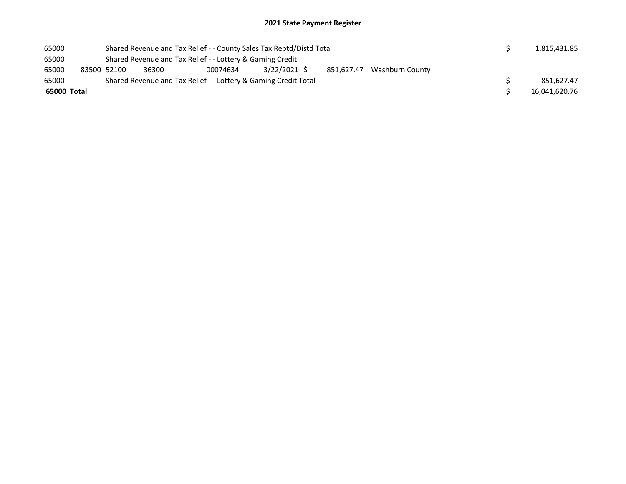| 65000       |  | Shared Revenue and Tax Relief - - County Sales Tax Reptd/Distd Total |                                                                 | 1,815,431.85 |  |  |  |  |               |  |  |  |
|-------------|--|----------------------------------------------------------------------|-----------------------------------------------------------------|--------------|--|--|--|--|---------------|--|--|--|
| 65000       |  | Shared Revenue and Tax Relief - - Lottery & Gaming Credit            |                                                                 |              |  |  |  |  |               |  |  |  |
| 65000       |  | 83500 52100                                                          | 3/22/2021 \$<br>851,627.47 Washburn County<br>36300<br>00074634 |              |  |  |  |  |               |  |  |  |
| 65000       |  | Shared Revenue and Tax Relief - - Lottery & Gaming Credit Total      |                                                                 | 851.627.47   |  |  |  |  |               |  |  |  |
| 65000 Total |  |                                                                      |                                                                 |              |  |  |  |  | 16,041,620.76 |  |  |  |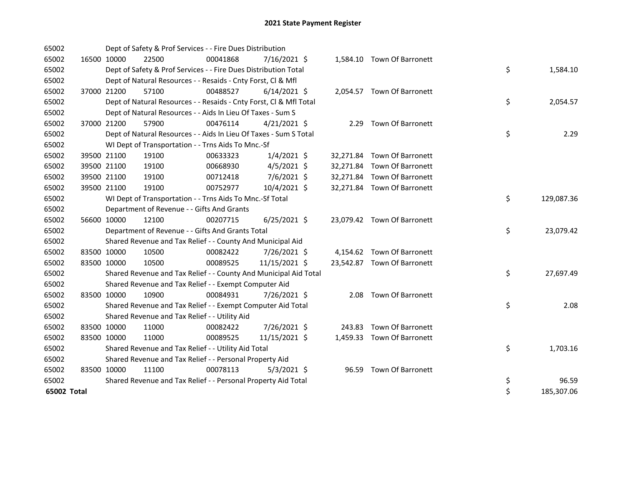| 65002       |             |             | Dept of Safety & Prof Services - - Fire Dues Distribution          |          |                |  |                             |    |            |
|-------------|-------------|-------------|--------------------------------------------------------------------|----------|----------------|--|-----------------------------|----|------------|
| 65002       | 16500 10000 |             | 22500                                                              | 00041868 | 7/16/2021 \$   |  | 1,584.10 Town Of Barronett  |    |            |
| 65002       |             |             | Dept of Safety & Prof Services - - Fire Dues Distribution Total    |          |                |  |                             | \$ | 1,584.10   |
| 65002       |             |             | Dept of Natural Resources - - Resaids - Cnty Forst, Cl & Mfl       |          |                |  |                             |    |            |
| 65002       |             | 37000 21200 | 57100                                                              | 00488527 | $6/14/2021$ \$ |  | 2,054.57 Town Of Barronett  |    |            |
| 65002       |             |             | Dept of Natural Resources - - Resaids - Cnty Forst, CI & Mfl Total |          |                |  |                             | \$ | 2,054.57   |
| 65002       |             |             | Dept of Natural Resources - - Aids In Lieu Of Taxes - Sum S        |          |                |  |                             |    |            |
| 65002       |             | 37000 21200 | 57900                                                              | 00476114 | $4/21/2021$ \$ |  | 2.29 Town Of Barronett      |    |            |
| 65002       |             |             | Dept of Natural Resources - - Aids In Lieu Of Taxes - Sum S Total  |          |                |  |                             | \$ | 2.29       |
| 65002       |             |             | WI Dept of Transportation - - Trns Aids To Mnc.-Sf                 |          |                |  |                             |    |            |
| 65002       |             | 39500 21100 | 19100                                                              | 00633323 | $1/4/2021$ \$  |  | 32,271.84 Town Of Barronett |    |            |
| 65002       |             | 39500 21100 | 19100                                                              | 00668930 | $4/5/2021$ \$  |  | 32,271.84 Town Of Barronett |    |            |
| 65002       |             | 39500 21100 | 19100                                                              | 00712418 | $7/6/2021$ \$  |  | 32,271.84 Town Of Barronett |    |            |
| 65002       |             | 39500 21100 | 19100                                                              | 00752977 | 10/4/2021 \$   |  | 32,271.84 Town Of Barronett |    |            |
| 65002       |             |             | WI Dept of Transportation - - Trns Aids To Mnc.-Sf Total           |          |                |  |                             | \$ | 129,087.36 |
| 65002       |             |             | Department of Revenue - - Gifts And Grants                         |          |                |  |                             |    |            |
| 65002       |             | 56600 10000 | 12100                                                              | 00207715 | $6/25/2021$ \$ |  | 23,079.42 Town Of Barronett |    |            |
| 65002       |             |             | Department of Revenue - - Gifts And Grants Total                   |          |                |  |                             | \$ | 23,079.42  |
| 65002       |             |             | Shared Revenue and Tax Relief - - County And Municipal Aid         |          |                |  |                             |    |            |
| 65002       | 83500 10000 |             | 10500                                                              | 00082422 | 7/26/2021 \$   |  | 4,154.62 Town Of Barronett  |    |            |
| 65002       | 83500 10000 |             | 10500                                                              | 00089525 | 11/15/2021 \$  |  | 23,542.87 Town Of Barronett |    |            |
| 65002       |             |             | Shared Revenue and Tax Relief - - County And Municipal Aid Total   |          |                |  |                             | \$ | 27,697.49  |
| 65002       |             |             | Shared Revenue and Tax Relief - - Exempt Computer Aid              |          |                |  |                             |    |            |
| 65002       | 83500 10000 |             | 10900                                                              | 00084931 | 7/26/2021 \$   |  | 2.08 Town Of Barronett      |    |            |
| 65002       |             |             | Shared Revenue and Tax Relief - - Exempt Computer Aid Total        |          |                |  |                             | \$ | 2.08       |
| 65002       |             |             | Shared Revenue and Tax Relief - - Utility Aid                      |          |                |  |                             |    |            |
| 65002       |             | 83500 10000 | 11000                                                              | 00082422 | 7/26/2021 \$   |  | 243.83 Town Of Barronett    |    |            |
| 65002       |             | 83500 10000 | 11000                                                              | 00089525 | 11/15/2021 \$  |  | 1,459.33 Town Of Barronett  |    |            |
| 65002       |             |             | Shared Revenue and Tax Relief - - Utility Aid Total                |          |                |  |                             | \$ | 1,703.16   |
| 65002       |             |             | Shared Revenue and Tax Relief - - Personal Property Aid            |          |                |  |                             |    |            |
| 65002       | 83500 10000 |             | 11100                                                              | 00078113 | $5/3/2021$ \$  |  | 96.59 Town Of Barronett     |    |            |
| 65002       |             |             | Shared Revenue and Tax Relief - - Personal Property Aid Total      |          |                |  |                             | \$ | 96.59      |
| 65002 Total |             |             |                                                                    |          |                |  |                             | \$ | 185,307.06 |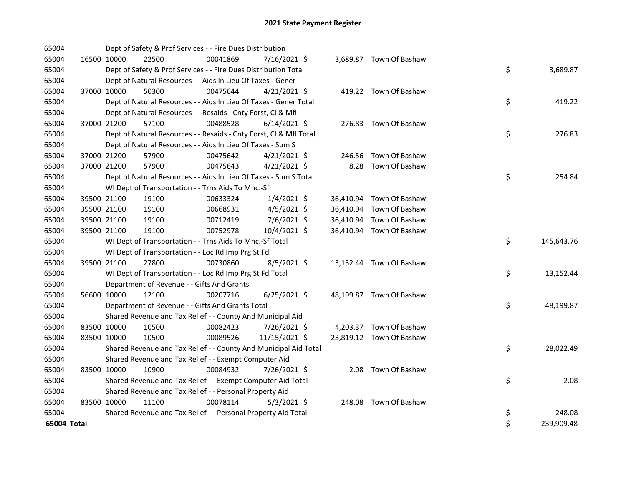| 65004       |             |             | Dept of Safety & Prof Services - - Fire Dues Distribution          |          |                |  |                          |    |            |
|-------------|-------------|-------------|--------------------------------------------------------------------|----------|----------------|--|--------------------------|----|------------|
| 65004       |             | 16500 10000 | 22500                                                              | 00041869 | 7/16/2021 \$   |  | 3,689.87 Town Of Bashaw  |    |            |
| 65004       |             |             | Dept of Safety & Prof Services - - Fire Dues Distribution Total    |          |                |  |                          | \$ | 3,689.87   |
| 65004       |             |             | Dept of Natural Resources - - Aids In Lieu Of Taxes - Gener        |          |                |  |                          |    |            |
| 65004       |             | 37000 10000 | 50300                                                              | 00475644 | $4/21/2021$ \$ |  | 419.22 Town Of Bashaw    |    |            |
| 65004       |             |             | Dept of Natural Resources - - Aids In Lieu Of Taxes - Gener Total  |          |                |  |                          | \$ | 419.22     |
| 65004       |             |             | Dept of Natural Resources - - Resaids - Cnty Forst, Cl & Mfl       |          |                |  |                          |    |            |
| 65004       |             | 37000 21200 | 57100                                                              | 00488528 | $6/14/2021$ \$ |  | 276.83 Town Of Bashaw    |    |            |
| 65004       |             |             | Dept of Natural Resources - - Resaids - Cnty Forst, Cl & Mfl Total |          |                |  |                          | \$ | 276.83     |
| 65004       |             |             | Dept of Natural Resources - - Aids In Lieu Of Taxes - Sum S        |          |                |  |                          |    |            |
| 65004       |             | 37000 21200 | 57900                                                              | 00475642 | $4/21/2021$ \$ |  | 246.56 Town Of Bashaw    |    |            |
| 65004       |             | 37000 21200 | 57900                                                              | 00475643 | $4/21/2021$ \$ |  | 8.28 Town Of Bashaw      |    |            |
| 65004       |             |             | Dept of Natural Resources - - Aids In Lieu Of Taxes - Sum S Total  |          |                |  |                          | \$ | 254.84     |
| 65004       |             |             | WI Dept of Transportation - - Trns Aids To Mnc.-Sf                 |          |                |  |                          |    |            |
| 65004       |             | 39500 21100 | 19100                                                              | 00633324 | $1/4/2021$ \$  |  | 36,410.94 Town Of Bashaw |    |            |
| 65004       |             | 39500 21100 | 19100                                                              | 00668931 | $4/5/2021$ \$  |  | 36,410.94 Town Of Bashaw |    |            |
| 65004       |             | 39500 21100 | 19100                                                              | 00712419 | 7/6/2021 \$    |  | 36,410.94 Town Of Bashaw |    |            |
| 65004       |             | 39500 21100 | 19100                                                              | 00752978 | 10/4/2021 \$   |  | 36,410.94 Town Of Bashaw |    |            |
| 65004       |             |             | WI Dept of Transportation - - Trns Aids To Mnc.-Sf Total           |          |                |  |                          | \$ | 145,643.76 |
| 65004       |             |             | WI Dept of Transportation - - Loc Rd Imp Prg St Fd                 |          |                |  |                          |    |            |
| 65004       |             | 39500 21100 | 27800                                                              | 00730860 | $8/5/2021$ \$  |  | 13,152.44 Town Of Bashaw |    |            |
| 65004       |             |             | WI Dept of Transportation - - Loc Rd Imp Prg St Fd Total           |          |                |  |                          | \$ | 13,152.44  |
| 65004       |             |             | Department of Revenue - - Gifts And Grants                         |          |                |  |                          |    |            |
| 65004       |             | 56600 10000 | 12100                                                              | 00207716 | $6/25/2021$ \$ |  | 48,199.87 Town Of Bashaw |    |            |
| 65004       |             |             | Department of Revenue - - Gifts And Grants Total                   |          |                |  |                          | \$ | 48,199.87  |
| 65004       |             |             | Shared Revenue and Tax Relief - - County And Municipal Aid         |          |                |  |                          |    |            |
| 65004       |             | 83500 10000 | 10500                                                              | 00082423 | 7/26/2021 \$   |  | 4,203.37 Town Of Bashaw  |    |            |
| 65004       | 83500 10000 |             | 10500                                                              | 00089526 | 11/15/2021 \$  |  | 23,819.12 Town Of Bashaw |    |            |
| 65004       |             |             | Shared Revenue and Tax Relief - - County And Municipal Aid Total   |          |                |  |                          | \$ | 28,022.49  |
| 65004       |             |             | Shared Revenue and Tax Relief - - Exempt Computer Aid              |          |                |  |                          |    |            |
| 65004       | 83500 10000 |             | 10900                                                              | 00084932 | 7/26/2021 \$   |  | 2.08 Town Of Bashaw      |    |            |
| 65004       |             |             | Shared Revenue and Tax Relief - - Exempt Computer Aid Total        |          |                |  |                          | \$ | 2.08       |
| 65004       |             |             | Shared Revenue and Tax Relief - - Personal Property Aid            |          |                |  |                          |    |            |
| 65004       | 83500 10000 |             | 11100                                                              | 00078114 | 5/3/2021 \$    |  | 248.08 Town Of Bashaw    |    |            |
| 65004       |             |             | Shared Revenue and Tax Relief - - Personal Property Aid Total      |          |                |  |                          | \$ | 248.08     |
| 65004 Total |             |             |                                                                    |          |                |  |                          | \$ | 239,909.48 |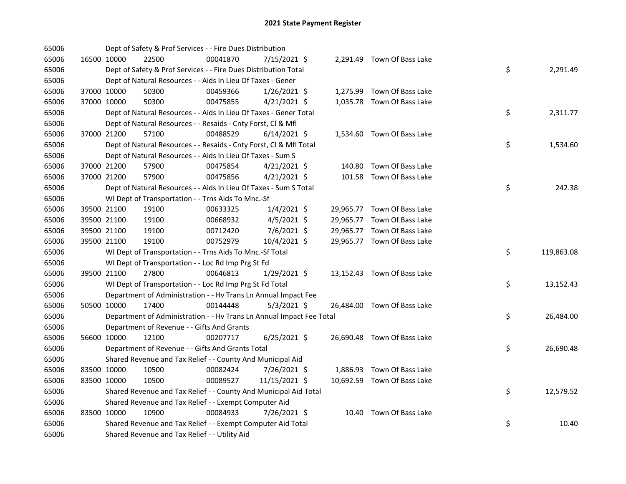| 65006 |             |             | Dept of Safety & Prof Services - - Fire Dues Distribution            |          |                |  |                             |    |            |
|-------|-------------|-------------|----------------------------------------------------------------------|----------|----------------|--|-----------------------------|----|------------|
| 65006 |             | 16500 10000 | 22500                                                                | 00041870 | 7/15/2021 \$   |  | 2,291.49 Town Of Bass Lake  |    |            |
| 65006 |             |             | Dept of Safety & Prof Services - - Fire Dues Distribution Total      |          |                |  |                             | \$ | 2,291.49   |
| 65006 |             |             | Dept of Natural Resources - - Aids In Lieu Of Taxes - Gener          |          |                |  |                             |    |            |
| 65006 |             | 37000 10000 | 50300                                                                | 00459366 | $1/26/2021$ \$ |  | 1,275.99 Town Of Bass Lake  |    |            |
| 65006 |             | 37000 10000 | 50300                                                                | 00475855 | $4/21/2021$ \$ |  | 1,035.78 Town Of Bass Lake  |    |            |
| 65006 |             |             | Dept of Natural Resources - - Aids In Lieu Of Taxes - Gener Total    |          |                |  |                             | \$ | 2,311.77   |
| 65006 |             |             | Dept of Natural Resources - - Resaids - Cnty Forst, Cl & Mfl         |          |                |  |                             |    |            |
| 65006 | 37000 21200 |             | 57100                                                                | 00488529 | $6/14/2021$ \$ |  | 1,534.60 Town Of Bass Lake  |    |            |
| 65006 |             |             | Dept of Natural Resources - - Resaids - Cnty Forst, Cl & Mfl Total   |          |                |  |                             | \$ | 1,534.60   |
| 65006 |             |             | Dept of Natural Resources - - Aids In Lieu Of Taxes - Sum S          |          |                |  |                             |    |            |
| 65006 |             | 37000 21200 | 57900                                                                | 00475854 | $4/21/2021$ \$ |  | 140.80 Town Of Bass Lake    |    |            |
| 65006 |             | 37000 21200 | 57900                                                                | 00475856 | $4/21/2021$ \$ |  | 101.58 Town Of Bass Lake    |    |            |
| 65006 |             |             | Dept of Natural Resources - - Aids In Lieu Of Taxes - Sum S Total    |          |                |  |                             | \$ | 242.38     |
| 65006 |             |             | WI Dept of Transportation - - Trns Aids To Mnc.-Sf                   |          |                |  |                             |    |            |
| 65006 |             | 39500 21100 | 19100                                                                | 00633325 | $1/4/2021$ \$  |  | 29,965.77 Town Of Bass Lake |    |            |
| 65006 |             | 39500 21100 | 19100                                                                | 00668932 | $4/5/2021$ \$  |  | 29,965.77 Town Of Bass Lake |    |            |
| 65006 |             | 39500 21100 | 19100                                                                | 00712420 | $7/6/2021$ \$  |  | 29,965.77 Town Of Bass Lake |    |            |
| 65006 |             | 39500 21100 | 19100                                                                | 00752979 | 10/4/2021 \$   |  | 29,965.77 Town Of Bass Lake |    |            |
| 65006 |             |             | WI Dept of Transportation - - Trns Aids To Mnc.-Sf Total             |          |                |  |                             | \$ | 119,863.08 |
| 65006 |             |             | WI Dept of Transportation - - Loc Rd Imp Prg St Fd                   |          |                |  |                             |    |            |
| 65006 |             | 39500 21100 | 27800                                                                | 00646813 | 1/29/2021 \$   |  | 13,152.43 Town Of Bass Lake |    |            |
| 65006 |             |             | WI Dept of Transportation - - Loc Rd Imp Prg St Fd Total             |          |                |  |                             | \$ | 13,152.43  |
| 65006 |             |             | Department of Administration - - Hv Trans Ln Annual Impact Fee       |          |                |  |                             |    |            |
| 65006 |             | 50500 10000 | 17400                                                                | 00144448 | $5/3/2021$ \$  |  | 26,484.00 Town Of Bass Lake |    |            |
| 65006 |             |             | Department of Administration - - Hv Trans Ln Annual Impact Fee Total |          |                |  |                             | \$ | 26,484.00  |
| 65006 |             |             | Department of Revenue - - Gifts And Grants                           |          |                |  |                             |    |            |
| 65006 |             | 56600 10000 | 12100                                                                | 00207717 | $6/25/2021$ \$ |  | 26,690.48 Town Of Bass Lake |    |            |
| 65006 |             |             | Department of Revenue - - Gifts And Grants Total                     |          |                |  |                             | \$ | 26,690.48  |
| 65006 |             |             | Shared Revenue and Tax Relief - - County And Municipal Aid           |          |                |  |                             |    |            |
| 65006 |             | 83500 10000 | 10500                                                                | 00082424 | 7/26/2021 \$   |  | 1,886.93 Town Of Bass Lake  |    |            |
| 65006 |             | 83500 10000 | 10500                                                                | 00089527 | 11/15/2021 \$  |  | 10,692.59 Town Of Bass Lake |    |            |
| 65006 |             |             | Shared Revenue and Tax Relief - - County And Municipal Aid Total     |          |                |  |                             | \$ | 12,579.52  |
| 65006 |             |             | Shared Revenue and Tax Relief - - Exempt Computer Aid                |          |                |  |                             |    |            |
| 65006 |             | 83500 10000 | 10900                                                                | 00084933 | 7/26/2021 \$   |  | 10.40 Town Of Bass Lake     |    |            |
| 65006 |             |             | Shared Revenue and Tax Relief - - Exempt Computer Aid Total          |          |                |  |                             | \$ | 10.40      |
| 65006 |             |             | Shared Revenue and Tax Relief - - Utility Aid                        |          |                |  |                             |    |            |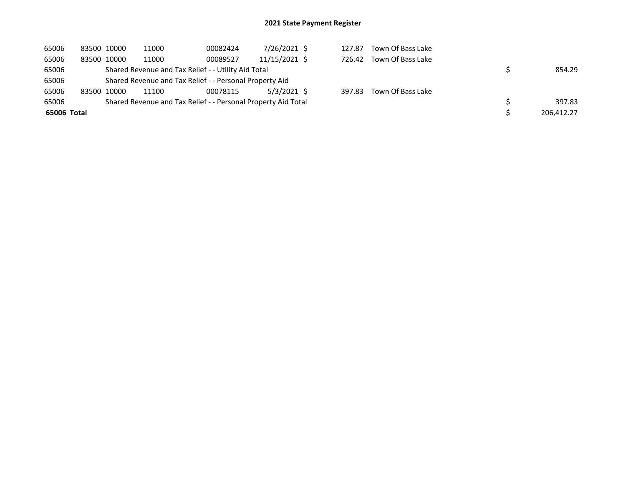| 65006       | 83500 10000 |             | 11000                                                         | 00082424 | 7/26/2021 \$  | 127.87 | Town Of Bass Lake |            |
|-------------|-------------|-------------|---------------------------------------------------------------|----------|---------------|--------|-------------------|------------|
| 65006       |             | 83500 10000 | 11000                                                         | 00089527 | 11/15/2021 \$ | 726.42 | Town Of Bass Lake |            |
| 65006       |             |             | Shared Revenue and Tax Relief - - Utility Aid Total           |          |               |        |                   | 854.29     |
| 65006       |             |             | Shared Revenue and Tax Relief - - Personal Property Aid       |          |               |        |                   |            |
| 65006       | 83500 10000 |             | 11100                                                         | 00078115 | 5/3/2021 \$   | 397.83 | Town Of Bass Lake |            |
| 65006       |             |             | Shared Revenue and Tax Relief - - Personal Property Aid Total |          |               |        |                   | 397.83     |
| 65006 Total |             |             |                                                               |          |               |        |                   | 206,412.27 |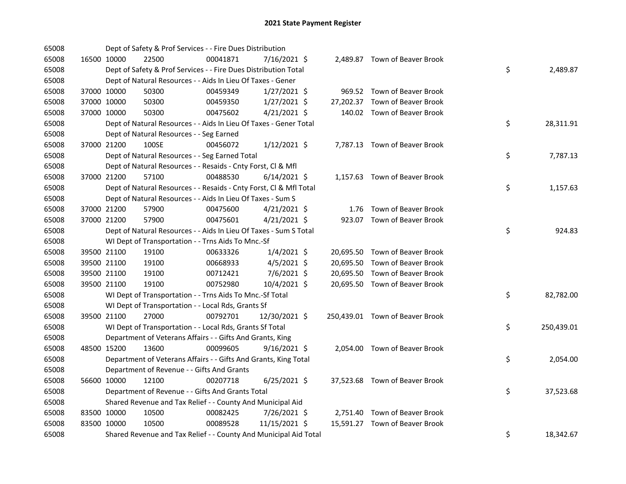| 65008 |             |             | Dept of Safety & Prof Services - - Fire Dues Distribution          |          |                |      |                                 |    |            |
|-------|-------------|-------------|--------------------------------------------------------------------|----------|----------------|------|---------------------------------|----|------------|
| 65008 |             | 16500 10000 | 22500                                                              | 00041871 | 7/16/2021 \$   |      | 2,489.87 Town of Beaver Brook   |    |            |
| 65008 |             |             | Dept of Safety & Prof Services - - Fire Dues Distribution Total    |          |                |      |                                 | \$ | 2,489.87   |
| 65008 |             |             | Dept of Natural Resources - - Aids In Lieu Of Taxes - Gener        |          |                |      |                                 |    |            |
| 65008 |             | 37000 10000 | 50300                                                              | 00459349 | $1/27/2021$ \$ |      | 969.52 Town of Beaver Brook     |    |            |
| 65008 |             | 37000 10000 | 50300                                                              | 00459350 | $1/27/2021$ \$ |      | 27,202.37 Town of Beaver Brook  |    |            |
| 65008 | 37000 10000 |             | 50300                                                              | 00475602 | $4/21/2021$ \$ |      | 140.02 Town of Beaver Brook     |    |            |
| 65008 |             |             | Dept of Natural Resources - - Aids In Lieu Of Taxes - Gener Total  |          |                |      |                                 | \$ | 28,311.91  |
| 65008 |             |             | Dept of Natural Resources - - Seg Earned                           |          |                |      |                                 |    |            |
| 65008 | 37000 21200 |             | 100SE                                                              | 00456072 | $1/12/2021$ \$ |      | 7,787.13 Town of Beaver Brook   |    |            |
| 65008 |             |             | Dept of Natural Resources - - Seg Earned Total                     |          |                |      |                                 | \$ | 7,787.13   |
| 65008 |             |             | Dept of Natural Resources - - Resaids - Cnty Forst, Cl & Mfl       |          |                |      |                                 |    |            |
| 65008 |             | 37000 21200 | 57100                                                              | 00488530 | $6/14/2021$ \$ |      | 1,157.63 Town of Beaver Brook   |    |            |
| 65008 |             |             | Dept of Natural Resources - - Resaids - Cnty Forst, Cl & Mfl Total |          |                |      |                                 | \$ | 1,157.63   |
| 65008 |             |             | Dept of Natural Resources - - Aids In Lieu Of Taxes - Sum S        |          |                |      |                                 |    |            |
| 65008 |             | 37000 21200 | 57900                                                              | 00475600 | $4/21/2021$ \$ | 1.76 | Town of Beaver Brook            |    |            |
| 65008 | 37000 21200 |             | 57900                                                              | 00475601 | $4/21/2021$ \$ |      | 923.07 Town of Beaver Brook     |    |            |
| 65008 |             |             | Dept of Natural Resources - - Aids In Lieu Of Taxes - Sum S Total  |          |                |      |                                 | \$ | 924.83     |
| 65008 |             |             | WI Dept of Transportation - - Trns Aids To Mnc.-Sf                 |          |                |      |                                 |    |            |
| 65008 |             | 39500 21100 | 19100                                                              | 00633326 | $1/4/2021$ \$  |      | 20,695.50 Town of Beaver Brook  |    |            |
| 65008 |             | 39500 21100 | 19100                                                              | 00668933 | $4/5/2021$ \$  |      | 20,695.50 Town of Beaver Brook  |    |            |
| 65008 |             | 39500 21100 | 19100                                                              | 00712421 | 7/6/2021 \$    |      | 20,695.50 Town of Beaver Brook  |    |            |
| 65008 | 39500 21100 |             | 19100                                                              | 00752980 | 10/4/2021 \$   |      | 20,695.50 Town of Beaver Brook  |    |            |
| 65008 |             |             | WI Dept of Transportation - - Trns Aids To Mnc.-Sf Total           |          |                |      |                                 | \$ | 82,782.00  |
| 65008 |             |             | WI Dept of Transportation - - Local Rds, Grants Sf                 |          |                |      |                                 |    |            |
| 65008 |             | 39500 21100 | 27000                                                              | 00792701 | 12/30/2021 \$  |      | 250,439.01 Town of Beaver Brook |    |            |
| 65008 |             |             | WI Dept of Transportation - - Local Rds, Grants Sf Total           |          |                |      |                                 | \$ | 250,439.01 |
| 65008 |             |             | Department of Veterans Affairs - - Gifts And Grants, King          |          |                |      |                                 |    |            |
| 65008 |             | 48500 15200 | 13600                                                              | 00099605 | $9/16/2021$ \$ |      | 2,054.00 Town of Beaver Brook   |    |            |
| 65008 |             |             | Department of Veterans Affairs - - Gifts And Grants, King Total    |          |                |      |                                 | \$ | 2,054.00   |
| 65008 |             |             | Department of Revenue - - Gifts And Grants                         |          |                |      |                                 |    |            |
| 65008 |             | 56600 10000 | 12100                                                              | 00207718 | $6/25/2021$ \$ |      | 37,523.68 Town of Beaver Brook  |    |            |
| 65008 |             |             | Department of Revenue - - Gifts And Grants Total                   |          |                |      |                                 | \$ | 37,523.68  |
| 65008 |             |             | Shared Revenue and Tax Relief - - County And Municipal Aid         |          |                |      |                                 |    |            |
| 65008 | 83500 10000 |             | 10500                                                              | 00082425 | 7/26/2021 \$   |      | 2,751.40 Town of Beaver Brook   |    |            |
| 65008 | 83500 10000 |             | 10500                                                              | 00089528 | 11/15/2021 \$  |      | 15,591.27 Town of Beaver Brook  |    |            |
| 65008 |             |             | Shared Revenue and Tax Relief - - County And Municipal Aid Total   |          |                |      |                                 | \$ | 18,342.67  |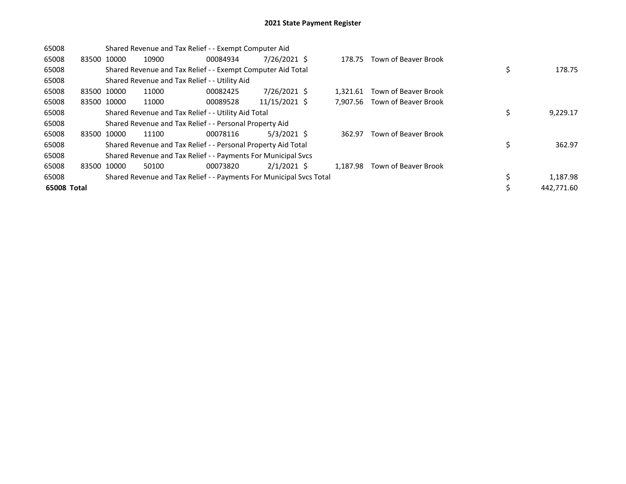| 65008       | Shared Revenue and Tax Relief - - Exempt Computer Aid |       |                                                                     |               |  |          |                             |    |            |  |  |
|-------------|-------------------------------------------------------|-------|---------------------------------------------------------------------|---------------|--|----------|-----------------------------|----|------------|--|--|
| 65008       | 83500 10000                                           | 10900 | 00084934                                                            | 7/26/2021 \$  |  | 178.75   | Town of Beaver Brook        |    |            |  |  |
| 65008       |                                                       |       | Shared Revenue and Tax Relief - - Exempt Computer Aid Total         |               |  |          |                             | \$ | 178.75     |  |  |
| 65008       |                                                       |       | Shared Revenue and Tax Relief - - Utility Aid                       |               |  |          |                             |    |            |  |  |
| 65008       | 83500 10000                                           | 11000 | 00082425                                                            | 7/26/2021 \$  |  | 1.321.61 | <b>Town of Beaver Brook</b> |    |            |  |  |
| 65008       | 83500 10000                                           | 11000 | 00089528                                                            | 11/15/2021 \$ |  | 7.907.56 | <b>Town of Beaver Brook</b> |    |            |  |  |
| 65008       |                                                       |       | Shared Revenue and Tax Relief - - Utility Aid Total                 |               |  |          |                             | \$ | 9,229.17   |  |  |
| 65008       |                                                       |       | Shared Revenue and Tax Relief - - Personal Property Aid             |               |  |          |                             |    |            |  |  |
| 65008       | 83500 10000                                           | 11100 | 00078116                                                            | $5/3/2021$ \$ |  | 362.97   | Town of Beaver Brook        |    |            |  |  |
| 65008       |                                                       |       | Shared Revenue and Tax Relief - - Personal Property Aid Total       |               |  |          |                             | \$ | 362.97     |  |  |
| 65008       |                                                       |       | Shared Revenue and Tax Relief - - Payments For Municipal Svcs       |               |  |          |                             |    |            |  |  |
| 65008       | 83500 10000                                           | 50100 | 00073820                                                            | $2/1/2021$ \$ |  | 1.187.98 | <b>Town of Beaver Brook</b> |    |            |  |  |
| 65008       |                                                       |       | Shared Revenue and Tax Relief - - Payments For Municipal Svcs Total |               |  |          |                             | \$ | 1,187.98   |  |  |
| 65008 Total |                                                       |       |                                                                     |               |  |          |                             | Ś  | 442.771.60 |  |  |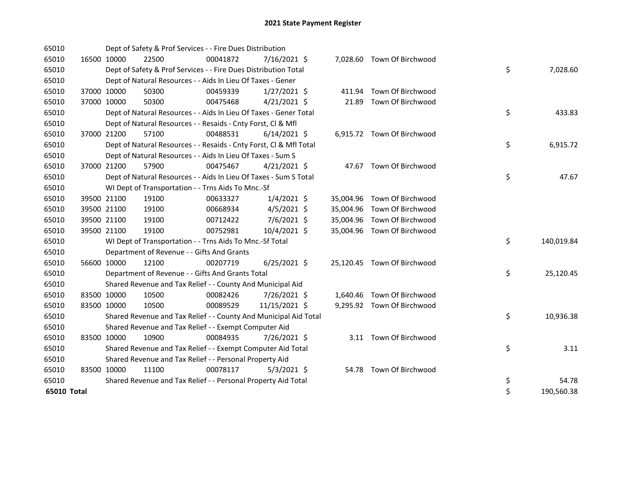| 65010       |             |             | Dept of Safety & Prof Services - - Fire Dues Distribution          |          |                |        |                             |    |            |
|-------------|-------------|-------------|--------------------------------------------------------------------|----------|----------------|--------|-----------------------------|----|------------|
| 65010       | 16500 10000 |             | 22500                                                              | 00041872 | 7/16/2021 \$   |        | 7,028.60 Town Of Birchwood  |    |            |
| 65010       |             |             | Dept of Safety & Prof Services - - Fire Dues Distribution Total    |          |                |        |                             | \$ | 7,028.60   |
| 65010       |             |             | Dept of Natural Resources - - Aids In Lieu Of Taxes - Gener        |          |                |        |                             |    |            |
| 65010       | 37000 10000 |             | 50300                                                              | 00459339 | $1/27/2021$ \$ | 411.94 | Town Of Birchwood           |    |            |
| 65010       | 37000 10000 |             | 50300                                                              | 00475468 | $4/21/2021$ \$ |        | 21.89 Town Of Birchwood     |    |            |
| 65010       |             |             | Dept of Natural Resources - - Aids In Lieu Of Taxes - Gener Total  |          |                |        |                             | \$ | 433.83     |
| 65010       |             |             | Dept of Natural Resources - - Resaids - Cnty Forst, Cl & Mfl       |          |                |        |                             |    |            |
| 65010       | 37000 21200 |             | 57100                                                              | 00488531 | $6/14/2021$ \$ |        | 6,915.72 Town Of Birchwood  |    |            |
| 65010       |             |             | Dept of Natural Resources - - Resaids - Cnty Forst, Cl & Mfl Total |          |                |        |                             | \$ | 6,915.72   |
| 65010       |             |             | Dept of Natural Resources - - Aids In Lieu Of Taxes - Sum S        |          |                |        |                             |    |            |
| 65010       | 37000 21200 |             | 57900                                                              | 00475467 | $4/21/2021$ \$ |        | 47.67 Town Of Birchwood     |    |            |
| 65010       |             |             | Dept of Natural Resources - - Aids In Lieu Of Taxes - Sum S Total  |          |                |        |                             | \$ | 47.67      |
| 65010       |             |             | WI Dept of Transportation - - Trns Aids To Mnc.-Sf                 |          |                |        |                             |    |            |
| 65010       |             | 39500 21100 | 19100                                                              | 00633327 | $1/4/2021$ \$  |        | 35,004.96 Town Of Birchwood |    |            |
| 65010       | 39500 21100 |             | 19100                                                              | 00668934 | $4/5/2021$ \$  |        | 35,004.96 Town Of Birchwood |    |            |
| 65010       | 39500 21100 |             | 19100                                                              | 00712422 | $7/6/2021$ \$  |        | 35,004.96 Town Of Birchwood |    |            |
| 65010       | 39500 21100 |             | 19100                                                              | 00752981 | 10/4/2021 \$   |        | 35,004.96 Town Of Birchwood |    |            |
| 65010       |             |             | WI Dept of Transportation - - Trns Aids To Mnc.-Sf Total           |          |                |        |                             | \$ | 140,019.84 |
| 65010       |             |             | Department of Revenue - - Gifts And Grants                         |          |                |        |                             |    |            |
| 65010       | 56600 10000 |             | 12100                                                              | 00207719 | $6/25/2021$ \$ |        | 25,120.45 Town Of Birchwood |    |            |
| 65010       |             |             | Department of Revenue - - Gifts And Grants Total                   |          |                |        |                             | \$ | 25,120.45  |
| 65010       |             |             | Shared Revenue and Tax Relief - - County And Municipal Aid         |          |                |        |                             |    |            |
| 65010       | 83500 10000 |             | 10500                                                              | 00082426 | 7/26/2021 \$   |        | 1,640.46 Town Of Birchwood  |    |            |
| 65010       | 83500 10000 |             | 10500                                                              | 00089529 | 11/15/2021 \$  |        | 9,295.92 Town Of Birchwood  |    |            |
| 65010       |             |             | Shared Revenue and Tax Relief - - County And Municipal Aid Total   |          |                |        |                             | \$ | 10,936.38  |
| 65010       |             |             | Shared Revenue and Tax Relief - - Exempt Computer Aid              |          |                |        |                             |    |            |
| 65010       | 83500 10000 |             | 10900                                                              | 00084935 | 7/26/2021 \$   |        | 3.11 Town Of Birchwood      |    |            |
| 65010       |             |             | Shared Revenue and Tax Relief - - Exempt Computer Aid Total        |          |                |        |                             | \$ | 3.11       |
| 65010       |             |             | Shared Revenue and Tax Relief - - Personal Property Aid            |          |                |        |                             |    |            |
| 65010       | 83500 10000 |             | 11100                                                              | 00078117 | $5/3/2021$ \$  |        | 54.78 Town Of Birchwood     |    |            |
| 65010       |             |             | Shared Revenue and Tax Relief - - Personal Property Aid Total      |          |                |        |                             | \$ | 54.78      |
| 65010 Total |             |             |                                                                    |          |                |        |                             | \$ | 190,560.38 |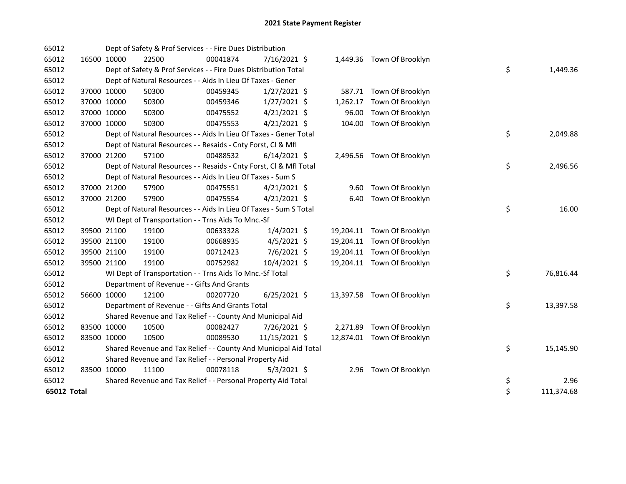| 65012       |             | Dept of Safety & Prof Services - - Fire Dues Distribution          |          |                |          |                            |    |            |
|-------------|-------------|--------------------------------------------------------------------|----------|----------------|----------|----------------------------|----|------------|
| 65012       | 16500 10000 | 22500                                                              | 00041874 | 7/16/2021 \$   |          | 1,449.36 Town Of Brooklyn  |    |            |
| 65012       |             | Dept of Safety & Prof Services - - Fire Dues Distribution Total    |          |                |          |                            | \$ | 1,449.36   |
| 65012       |             | Dept of Natural Resources - - Aids In Lieu Of Taxes - Gener        |          |                |          |                            |    |            |
| 65012       | 37000 10000 | 50300                                                              | 00459345 | $1/27/2021$ \$ |          | 587.71 Town Of Brooklyn    |    |            |
| 65012       | 37000 10000 | 50300                                                              | 00459346 | $1/27/2021$ \$ | 1,262.17 | Town Of Brooklyn           |    |            |
| 65012       | 37000 10000 | 50300                                                              | 00475552 | $4/21/2021$ \$ |          | 96.00 Town Of Brooklyn     |    |            |
| 65012       | 37000 10000 | 50300                                                              | 00475553 | $4/21/2021$ \$ |          | 104.00 Town Of Brooklyn    |    |            |
| 65012       |             | Dept of Natural Resources - - Aids In Lieu Of Taxes - Gener Total  |          |                |          |                            | \$ | 2,049.88   |
| 65012       |             | Dept of Natural Resources - - Resaids - Cnty Forst, Cl & Mfl       |          |                |          |                            |    |            |
| 65012       | 37000 21200 | 57100                                                              | 00488532 | $6/14/2021$ \$ |          | 2,496.56 Town Of Brooklyn  |    |            |
| 65012       |             | Dept of Natural Resources - - Resaids - Cnty Forst, Cl & Mfl Total |          |                |          |                            | \$ | 2,496.56   |
| 65012       |             | Dept of Natural Resources - - Aids In Lieu Of Taxes - Sum S        |          |                |          |                            |    |            |
| 65012       | 37000 21200 | 57900                                                              | 00475551 | $4/21/2021$ \$ |          | 9.60 Town Of Brooklyn      |    |            |
| 65012       | 37000 21200 | 57900                                                              | 00475554 | $4/21/2021$ \$ |          | 6.40 Town Of Brooklyn      |    |            |
| 65012       |             | Dept of Natural Resources - - Aids In Lieu Of Taxes - Sum S Total  |          |                |          |                            | \$ | 16.00      |
| 65012       |             | WI Dept of Transportation - - Trns Aids To Mnc.-Sf                 |          |                |          |                            |    |            |
| 65012       | 39500 21100 | 19100                                                              | 00633328 | $1/4/2021$ \$  |          | 19,204.11 Town Of Brooklyn |    |            |
| 65012       | 39500 21100 | 19100                                                              | 00668935 | $4/5/2021$ \$  |          | 19,204.11 Town Of Brooklyn |    |            |
| 65012       | 39500 21100 | 19100                                                              | 00712423 | 7/6/2021 \$    |          | 19,204.11 Town Of Brooklyn |    |            |
| 65012       | 39500 21100 | 19100                                                              | 00752982 | 10/4/2021 \$   |          | 19,204.11 Town Of Brooklyn |    |            |
| 65012       |             | WI Dept of Transportation - - Trns Aids To Mnc.-Sf Total           |          |                |          |                            | \$ | 76,816.44  |
| 65012       |             | Department of Revenue - - Gifts And Grants                         |          |                |          |                            |    |            |
| 65012       | 56600 10000 | 12100                                                              | 00207720 | $6/25/2021$ \$ |          | 13,397.58 Town Of Brooklyn |    |            |
| 65012       |             | Department of Revenue - - Gifts And Grants Total                   |          |                |          |                            | \$ | 13,397.58  |
| 65012       |             | Shared Revenue and Tax Relief - - County And Municipal Aid         |          |                |          |                            |    |            |
| 65012       | 83500 10000 | 10500                                                              | 00082427 | 7/26/2021 \$   |          | 2,271.89 Town Of Brooklyn  |    |            |
| 65012       | 83500 10000 | 10500                                                              | 00089530 | 11/15/2021 \$  |          | 12,874.01 Town Of Brooklyn |    |            |
| 65012       |             | Shared Revenue and Tax Relief - - County And Municipal Aid Total   |          |                |          |                            | \$ | 15,145.90  |
| 65012       |             | Shared Revenue and Tax Relief - - Personal Property Aid            |          |                |          |                            |    |            |
| 65012       | 83500 10000 | 11100                                                              | 00078118 | $5/3/2021$ \$  |          | 2.96 Town Of Brooklyn      |    |            |
| 65012       |             | Shared Revenue and Tax Relief - - Personal Property Aid Total      |          |                |          |                            | \$ | 2.96       |
| 65012 Total |             |                                                                    |          |                |          |                            | \$ | 111,374.68 |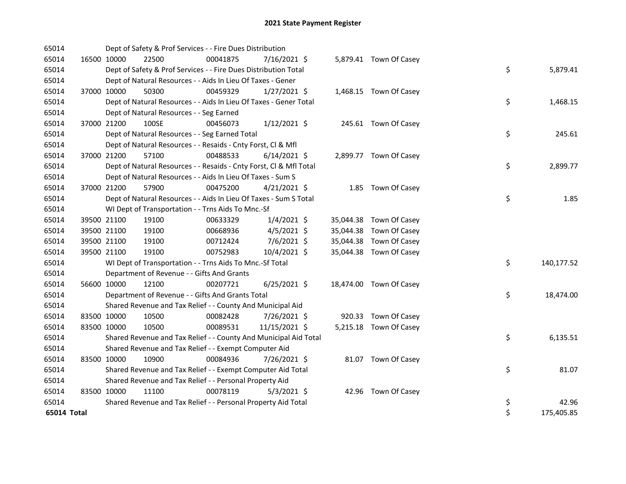| 65014       |             | Dept of Safety & Prof Services - - Fire Dues Distribution          |          |                |  |                         |    |            |
|-------------|-------------|--------------------------------------------------------------------|----------|----------------|--|-------------------------|----|------------|
| 65014       | 16500 10000 | 22500                                                              | 00041875 | 7/16/2021 \$   |  | 5,879.41 Town Of Casey  |    |            |
| 65014       |             | Dept of Safety & Prof Services - - Fire Dues Distribution Total    |          |                |  |                         | \$ | 5,879.41   |
| 65014       |             | Dept of Natural Resources - - Aids In Lieu Of Taxes - Gener        |          |                |  |                         |    |            |
| 65014       | 37000 10000 | 50300                                                              | 00459329 | $1/27/2021$ \$ |  | 1,468.15 Town Of Casey  |    |            |
| 65014       |             | Dept of Natural Resources - - Aids In Lieu Of Taxes - Gener Total  |          |                |  |                         | \$ | 1,468.15   |
| 65014       |             | Dept of Natural Resources - - Seg Earned                           |          |                |  |                         |    |            |
| 65014       | 37000 21200 | 100SE                                                              | 00456073 | $1/12/2021$ \$ |  | 245.61 Town Of Casey    |    |            |
| 65014       |             | Dept of Natural Resources - - Seg Earned Total                     |          |                |  |                         | \$ | 245.61     |
| 65014       |             | Dept of Natural Resources - - Resaids - Cnty Forst, Cl & Mfl       |          |                |  |                         |    |            |
| 65014       | 37000 21200 | 57100                                                              | 00488533 | $6/14/2021$ \$ |  | 2,899.77 Town Of Casey  |    |            |
| 65014       |             | Dept of Natural Resources - - Resaids - Cnty Forst, Cl & Mfl Total |          |                |  |                         | \$ | 2,899.77   |
| 65014       |             | Dept of Natural Resources - - Aids In Lieu Of Taxes - Sum S        |          |                |  |                         |    |            |
| 65014       | 37000 21200 | 57900                                                              | 00475200 | $4/21/2021$ \$ |  | 1.85 Town Of Casey      |    |            |
| 65014       |             | Dept of Natural Resources - - Aids In Lieu Of Taxes - Sum S Total  |          |                |  |                         | \$ | 1.85       |
| 65014       |             | WI Dept of Transportation - - Trns Aids To Mnc.-Sf                 |          |                |  |                         |    |            |
| 65014       | 39500 21100 | 19100                                                              | 00633329 | $1/4/2021$ \$  |  | 35,044.38 Town Of Casey |    |            |
| 65014       | 39500 21100 | 19100                                                              | 00668936 | $4/5/2021$ \$  |  | 35,044.38 Town Of Casey |    |            |
| 65014       | 39500 21100 | 19100                                                              | 00712424 | 7/6/2021 \$    |  | 35,044.38 Town Of Casey |    |            |
| 65014       | 39500 21100 | 19100                                                              | 00752983 | 10/4/2021 \$   |  | 35,044.38 Town Of Casey |    |            |
| 65014       |             | WI Dept of Transportation - - Trns Aids To Mnc.-Sf Total           |          |                |  |                         | \$ | 140,177.52 |
| 65014       |             | Department of Revenue - - Gifts And Grants                         |          |                |  |                         |    |            |
| 65014       | 56600 10000 | 12100                                                              | 00207721 | $6/25/2021$ \$ |  | 18,474.00 Town Of Casey |    |            |
| 65014       |             | Department of Revenue - - Gifts And Grants Total                   |          |                |  |                         | \$ | 18,474.00  |
| 65014       |             | Shared Revenue and Tax Relief - - County And Municipal Aid         |          |                |  |                         |    |            |
| 65014       | 83500 10000 | 10500                                                              | 00082428 | 7/26/2021 \$   |  | 920.33 Town Of Casey    |    |            |
| 65014       | 83500 10000 | 10500                                                              | 00089531 | 11/15/2021 \$  |  | 5,215.18 Town Of Casey  |    |            |
| 65014       |             | Shared Revenue and Tax Relief - - County And Municipal Aid Total   |          |                |  |                         | \$ | 6,135.51   |
| 65014       |             | Shared Revenue and Tax Relief - - Exempt Computer Aid              |          |                |  |                         |    |            |
| 65014       | 83500 10000 | 10900                                                              | 00084936 | 7/26/2021 \$   |  | 81.07 Town Of Casey     |    |            |
| 65014       |             | Shared Revenue and Tax Relief - - Exempt Computer Aid Total        |          |                |  |                         | \$ | 81.07      |
| 65014       |             | Shared Revenue and Tax Relief - - Personal Property Aid            |          |                |  |                         |    |            |
| 65014       | 83500 10000 | 11100                                                              | 00078119 | $5/3/2021$ \$  |  | 42.96 Town Of Casey     |    |            |
| 65014       |             | Shared Revenue and Tax Relief - - Personal Property Aid Total      |          |                |  |                         | \$ | 42.96      |
| 65014 Total |             |                                                                    |          |                |  |                         | \$ | 175,405.85 |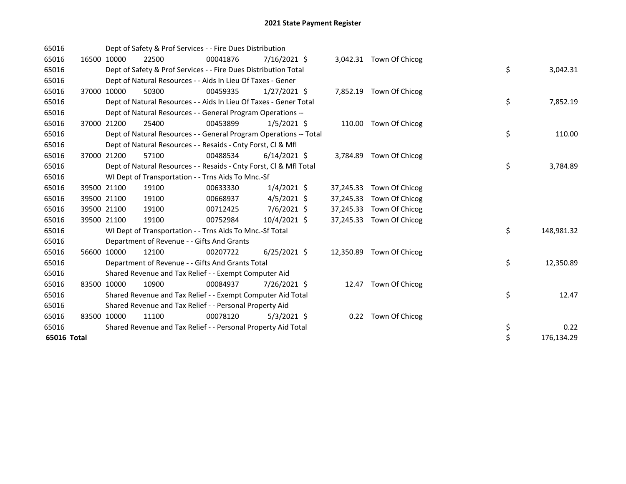| 65016       |       |             | Dept of Safety & Prof Services - - Fire Dues Distribution          |          |                |           |                         |    |            |
|-------------|-------|-------------|--------------------------------------------------------------------|----------|----------------|-----------|-------------------------|----|------------|
| 65016       |       | 16500 10000 | 22500                                                              | 00041876 | 7/16/2021 \$   |           | 3,042.31 Town Of Chicog |    |            |
| 65016       |       |             | Dept of Safety & Prof Services - - Fire Dues Distribution Total    |          |                |           |                         | \$ | 3,042.31   |
| 65016       |       |             | Dept of Natural Resources - - Aids In Lieu Of Taxes - Gener        |          |                |           |                         |    |            |
| 65016       |       | 37000 10000 | 50300                                                              | 00459335 | $1/27/2021$ \$ |           | 7,852.19 Town Of Chicog |    |            |
| 65016       |       |             | Dept of Natural Resources - - Aids In Lieu Of Taxes - Gener Total  |          |                |           |                         | \$ | 7,852.19   |
| 65016       |       |             | Dept of Natural Resources - - General Program Operations --        |          |                |           |                         |    |            |
| 65016       | 37000 | 21200       | 25400                                                              | 00453899 | $1/5/2021$ \$  |           | 110.00 Town Of Chicog   |    |            |
| 65016       |       |             | Dept of Natural Resources - - General Program Operations -- Total  |          |                |           |                         | \$ | 110.00     |
| 65016       |       |             | Dept of Natural Resources - - Resaids - Cnty Forst, CI & Mfl       |          |                |           |                         |    |            |
| 65016       |       | 37000 21200 | 57100                                                              | 00488534 | $6/14/2021$ \$ | 3,784.89  | Town Of Chicog          |    |            |
| 65016       |       |             | Dept of Natural Resources - - Resaids - Cnty Forst, CI & Mfl Total |          |                |           |                         | \$ | 3,784.89   |
| 65016       |       |             | WI Dept of Transportation - - Trns Aids To Mnc.-Sf                 |          |                |           |                         |    |            |
| 65016       |       | 39500 21100 | 19100                                                              | 00633330 | $1/4/2021$ \$  | 37,245.33 | Town Of Chicog          |    |            |
| 65016       |       | 39500 21100 | 19100                                                              | 00668937 | $4/5/2021$ \$  | 37,245.33 | Town Of Chicog          |    |            |
| 65016       |       | 39500 21100 | 19100                                                              | 00712425 | 7/6/2021 \$    | 37,245.33 | Town Of Chicog          |    |            |
| 65016       |       | 39500 21100 | 19100                                                              | 00752984 | 10/4/2021 \$   | 37,245.33 | Town Of Chicog          |    |            |
| 65016       |       |             | WI Dept of Transportation - - Trns Aids To Mnc.-Sf Total           |          |                |           |                         | \$ | 148,981.32 |
| 65016       |       |             | Department of Revenue - - Gifts And Grants                         |          |                |           |                         |    |            |
| 65016       |       | 56600 10000 | 12100                                                              | 00207722 | $6/25/2021$ \$ | 12,350.89 | Town Of Chicog          |    |            |
| 65016       |       |             | Department of Revenue - - Gifts And Grants Total                   |          |                |           |                         | \$ | 12,350.89  |
| 65016       |       |             | Shared Revenue and Tax Relief - - Exempt Computer Aid              |          |                |           |                         |    |            |
| 65016       |       | 83500 10000 | 10900                                                              | 00084937 | 7/26/2021 \$   | 12.47     | Town Of Chicog          |    |            |
| 65016       |       |             | Shared Revenue and Tax Relief - - Exempt Computer Aid Total        |          |                |           |                         | \$ | 12.47      |
| 65016       |       |             | Shared Revenue and Tax Relief - - Personal Property Aid            |          |                |           |                         |    |            |
| 65016       |       | 83500 10000 | 11100                                                              | 00078120 | $5/3/2021$ \$  | 0.22      | Town Of Chicog          |    |            |
| 65016       |       |             | Shared Revenue and Tax Relief - - Personal Property Aid Total      |          |                |           |                         | \$ | 0.22       |
| 65016 Total |       |             |                                                                    |          |                |           |                         | \$ | 176,134.29 |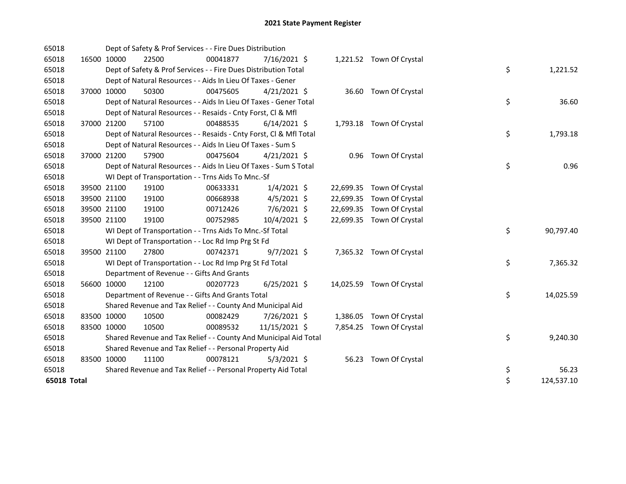| 65018       |             | Dept of Safety & Prof Services - - Fire Dues Distribution          |          |                |  |                           |    |            |
|-------------|-------------|--------------------------------------------------------------------|----------|----------------|--|---------------------------|----|------------|
| 65018       | 16500 10000 | 22500                                                              | 00041877 | 7/16/2021 \$   |  | 1,221.52 Town Of Crystal  |    |            |
| 65018       |             | Dept of Safety & Prof Services - - Fire Dues Distribution Total    |          |                |  |                           | \$ | 1,221.52   |
| 65018       |             | Dept of Natural Resources - - Aids In Lieu Of Taxes - Gener        |          |                |  |                           |    |            |
| 65018       | 37000 10000 | 50300                                                              | 00475605 | $4/21/2021$ \$ |  | 36.60 Town Of Crystal     |    |            |
| 65018       |             | Dept of Natural Resources - - Aids In Lieu Of Taxes - Gener Total  |          |                |  |                           | \$ | 36.60      |
| 65018       |             | Dept of Natural Resources - - Resaids - Cnty Forst, Cl & Mfl       |          |                |  |                           |    |            |
| 65018       | 37000 21200 | 57100                                                              | 00488535 | $6/14/2021$ \$ |  | 1,793.18 Town Of Crystal  |    |            |
| 65018       |             | Dept of Natural Resources - - Resaids - Cnty Forst, Cl & Mfl Total |          |                |  |                           | \$ | 1,793.18   |
| 65018       |             | Dept of Natural Resources - - Aids In Lieu Of Taxes - Sum S        |          |                |  |                           |    |            |
| 65018       | 37000 21200 | 57900                                                              | 00475604 | $4/21/2021$ \$ |  | 0.96 Town Of Crystal      |    |            |
| 65018       |             | Dept of Natural Resources - - Aids In Lieu Of Taxes - Sum S Total  |          |                |  |                           | \$ | 0.96       |
| 65018       |             | WI Dept of Transportation - - Trns Aids To Mnc.-Sf                 |          |                |  |                           |    |            |
| 65018       | 39500 21100 | 19100                                                              | 00633331 | $1/4/2021$ \$  |  | 22,699.35 Town Of Crystal |    |            |
| 65018       | 39500 21100 | 19100                                                              | 00668938 | $4/5/2021$ \$  |  | 22,699.35 Town Of Crystal |    |            |
| 65018       | 39500 21100 | 19100                                                              | 00712426 | $7/6/2021$ \$  |  | 22,699.35 Town Of Crystal |    |            |
| 65018       | 39500 21100 | 19100                                                              | 00752985 | 10/4/2021 \$   |  | 22,699.35 Town Of Crystal |    |            |
| 65018       |             | WI Dept of Transportation - - Trns Aids To Mnc.-Sf Total           |          |                |  |                           | \$ | 90,797.40  |
| 65018       |             | WI Dept of Transportation - - Loc Rd Imp Prg St Fd                 |          |                |  |                           |    |            |
| 65018       | 39500 21100 | 27800                                                              | 00742371 | $9/7/2021$ \$  |  | 7,365.32 Town Of Crystal  |    |            |
| 65018       |             | WI Dept of Transportation - - Loc Rd Imp Prg St Fd Total           |          |                |  |                           | \$ | 7,365.32   |
| 65018       |             | Department of Revenue - - Gifts And Grants                         |          |                |  |                           |    |            |
| 65018       | 56600 10000 | 12100                                                              | 00207723 | $6/25/2021$ \$ |  | 14,025.59 Town Of Crystal |    |            |
| 65018       |             | Department of Revenue - - Gifts And Grants Total                   |          |                |  |                           | \$ | 14,025.59  |
| 65018       |             | Shared Revenue and Tax Relief - - County And Municipal Aid         |          |                |  |                           |    |            |
| 65018       | 83500 10000 | 10500                                                              | 00082429 | 7/26/2021 \$   |  | 1,386.05 Town Of Crystal  |    |            |
| 65018       | 83500 10000 | 10500                                                              | 00089532 | 11/15/2021 \$  |  | 7,854.25 Town Of Crystal  |    |            |
| 65018       |             | Shared Revenue and Tax Relief - - County And Municipal Aid Total   |          |                |  |                           | \$ | 9,240.30   |
| 65018       |             | Shared Revenue and Tax Relief - - Personal Property Aid            |          |                |  |                           |    |            |
| 65018       | 83500 10000 | 11100                                                              | 00078121 | $5/3/2021$ \$  |  | 56.23 Town Of Crystal     |    |            |
| 65018       |             | Shared Revenue and Tax Relief - - Personal Property Aid Total      |          |                |  |                           | \$ | 56.23      |
| 65018 Total |             |                                                                    |          |                |  |                           | \$ | 124,537.10 |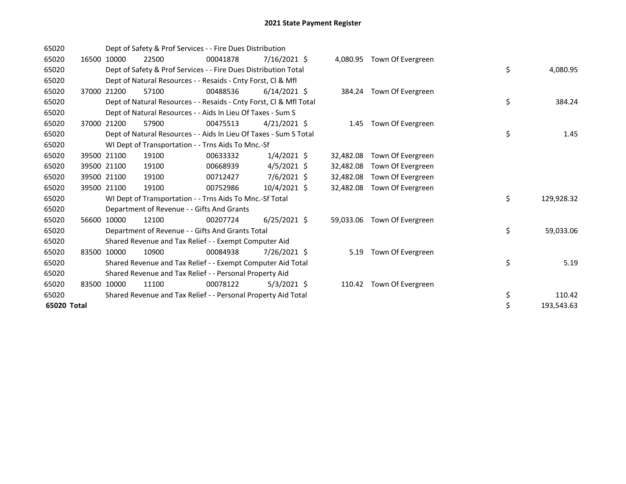| 65020       |       |             | Dept of Safety & Prof Services - - Fire Dues Distribution          |          |                |           |                            |                  |
|-------------|-------|-------------|--------------------------------------------------------------------|----------|----------------|-----------|----------------------------|------------------|
| 65020       | 16500 | 10000       | 22500                                                              | 00041878 | 7/16/2021 \$   |           | 4,080.95 Town Of Evergreen |                  |
| 65020       |       |             | Dept of Safety & Prof Services - - Fire Dues Distribution Total    |          |                |           |                            | \$<br>4,080.95   |
| 65020       |       |             | Dept of Natural Resources - - Resaids - Cnty Forst, CI & Mfl       |          |                |           |                            |                  |
| 65020       |       | 37000 21200 | 57100                                                              | 00488536 | $6/14/2021$ \$ |           | 384.24 Town Of Evergreen   |                  |
| 65020       |       |             | Dept of Natural Resources - - Resaids - Cnty Forst, Cl & Mfl Total |          |                |           |                            | \$<br>384.24     |
| 65020       |       |             | Dept of Natural Resources - - Aids In Lieu Of Taxes - Sum S        |          |                |           |                            |                  |
| 65020       |       | 37000 21200 | 57900                                                              | 00475513 | $4/21/2021$ \$ | 1.45      | Town Of Evergreen          |                  |
| 65020       |       |             | Dept of Natural Resources - - Aids In Lieu Of Taxes - Sum S Total  |          |                |           |                            | \$<br>1.45       |
| 65020       |       |             | WI Dept of Transportation - - Trns Aids To Mnc.-Sf                 |          |                |           |                            |                  |
| 65020       |       | 39500 21100 | 19100                                                              | 00633332 | $1/4/2021$ \$  | 32,482.08 | Town Of Evergreen          |                  |
| 65020       |       | 39500 21100 | 19100                                                              | 00668939 | $4/5/2021$ \$  | 32,482.08 | Town Of Evergreen          |                  |
| 65020       |       | 39500 21100 | 19100                                                              | 00712427 | $7/6/2021$ \$  | 32,482.08 | Town Of Evergreen          |                  |
| 65020       |       | 39500 21100 | 19100                                                              | 00752986 | $10/4/2021$ \$ | 32,482.08 | Town Of Evergreen          |                  |
| 65020       |       |             | WI Dept of Transportation - - Trns Aids To Mnc.-Sf Total           |          |                |           |                            | \$<br>129,928.32 |
| 65020       |       |             | Department of Revenue - - Gifts And Grants                         |          |                |           |                            |                  |
| 65020       |       | 56600 10000 | 12100                                                              | 00207724 | $6/25/2021$ \$ | 59,033.06 | Town Of Evergreen          |                  |
| 65020       |       |             | Department of Revenue - - Gifts And Grants Total                   |          |                |           |                            | \$<br>59,033.06  |
| 65020       |       |             | Shared Revenue and Tax Relief - - Exempt Computer Aid              |          |                |           |                            |                  |
| 65020       |       | 83500 10000 | 10900                                                              | 00084938 | 7/26/2021 \$   | 5.19      | Town Of Evergreen          |                  |
| 65020       |       |             | Shared Revenue and Tax Relief - - Exempt Computer Aid Total        |          |                |           |                            | \$<br>5.19       |
| 65020       |       |             | Shared Revenue and Tax Relief - - Personal Property Aid            |          |                |           |                            |                  |
| 65020       |       | 83500 10000 | 11100                                                              | 00078122 | $5/3/2021$ \$  | 110.42    | Town Of Evergreen          |                  |
| 65020       |       |             | Shared Revenue and Tax Relief - - Personal Property Aid Total      |          |                |           |                            | \$<br>110.42     |
| 65020 Total |       |             |                                                                    |          |                |           |                            | \$<br>193,543.63 |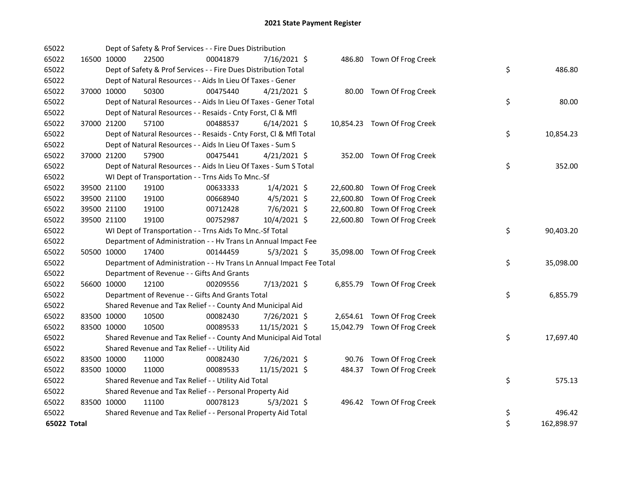| 65022       |             | Dept of Safety & Prof Services - - Fire Dues Distribution            |          |                |  |                              |    |            |
|-------------|-------------|----------------------------------------------------------------------|----------|----------------|--|------------------------------|----|------------|
| 65022       | 16500 10000 | 22500                                                                | 00041879 | 7/16/2021 \$   |  | 486.80 Town Of Frog Creek    |    |            |
| 65022       |             | Dept of Safety & Prof Services - - Fire Dues Distribution Total      |          |                |  |                              | \$ | 486.80     |
| 65022       |             | Dept of Natural Resources - - Aids In Lieu Of Taxes - Gener          |          |                |  |                              |    |            |
| 65022       | 37000 10000 | 50300                                                                | 00475440 | $4/21/2021$ \$ |  | 80.00 Town Of Frog Creek     |    |            |
| 65022       |             | Dept of Natural Resources - - Aids In Lieu Of Taxes - Gener Total    |          |                |  |                              | \$ | 80.00      |
| 65022       |             | Dept of Natural Resources - - Resaids - Cnty Forst, Cl & Mfl         |          |                |  |                              |    |            |
| 65022       | 37000 21200 | 57100                                                                | 00488537 | $6/14/2021$ \$ |  | 10,854.23 Town Of Frog Creek |    |            |
| 65022       |             | Dept of Natural Resources - - Resaids - Cnty Forst, CI & Mfl Total   |          |                |  |                              | \$ | 10,854.23  |
| 65022       |             | Dept of Natural Resources - - Aids In Lieu Of Taxes - Sum S          |          |                |  |                              |    |            |
| 65022       | 37000 21200 | 57900                                                                | 00475441 | 4/21/2021 \$   |  | 352.00 Town Of Frog Creek    |    |            |
| 65022       |             | Dept of Natural Resources - - Aids In Lieu Of Taxes - Sum S Total    |          |                |  |                              | \$ | 352.00     |
| 65022       |             | WI Dept of Transportation - - Trns Aids To Mnc.-Sf                   |          |                |  |                              |    |            |
| 65022       | 39500 21100 | 19100                                                                | 00633333 | $1/4/2021$ \$  |  | 22,600.80 Town Of Frog Creek |    |            |
| 65022       | 39500 21100 | 19100                                                                | 00668940 | $4/5/2021$ \$  |  | 22,600.80 Town Of Frog Creek |    |            |
| 65022       | 39500 21100 | 19100                                                                | 00712428 | 7/6/2021 \$    |  | 22,600.80 Town Of Frog Creek |    |            |
| 65022       | 39500 21100 | 19100                                                                | 00752987 | 10/4/2021 \$   |  | 22,600.80 Town Of Frog Creek |    |            |
| 65022       |             | WI Dept of Transportation - - Trns Aids To Mnc.-Sf Total             |          |                |  |                              | \$ | 90,403.20  |
| 65022       |             | Department of Administration - - Hv Trans Ln Annual Impact Fee       |          |                |  |                              |    |            |
| 65022       | 50500 10000 | 17400                                                                | 00144459 | $5/3/2021$ \$  |  | 35,098.00 Town Of Frog Creek |    |            |
| 65022       |             | Department of Administration - - Hv Trans Ln Annual Impact Fee Total |          |                |  |                              | \$ | 35,098.00  |
| 65022       |             | Department of Revenue - - Gifts And Grants                           |          |                |  |                              |    |            |
| 65022       | 56600 10000 | 12100                                                                | 00209556 | 7/13/2021 \$   |  | 6,855.79 Town Of Frog Creek  |    |            |
| 65022       |             | Department of Revenue - - Gifts And Grants Total                     |          |                |  |                              | \$ | 6,855.79   |
| 65022       |             | Shared Revenue and Tax Relief - - County And Municipal Aid           |          |                |  |                              |    |            |
| 65022       | 83500 10000 | 10500                                                                | 00082430 | 7/26/2021 \$   |  | 2,654.61 Town Of Frog Creek  |    |            |
| 65022       | 83500 10000 | 10500                                                                | 00089533 | 11/15/2021 \$  |  | 15,042.79 Town Of Frog Creek |    |            |
| 65022       |             | Shared Revenue and Tax Relief - - County And Municipal Aid Total     |          |                |  |                              | \$ | 17,697.40  |
| 65022       |             | Shared Revenue and Tax Relief - - Utility Aid                        |          |                |  |                              |    |            |
| 65022       | 83500 10000 | 11000                                                                | 00082430 | 7/26/2021 \$   |  | 90.76 Town Of Frog Creek     |    |            |
| 65022       | 83500 10000 | 11000                                                                | 00089533 | 11/15/2021 \$  |  | 484.37 Town Of Frog Creek    |    |            |
| 65022       |             | Shared Revenue and Tax Relief - - Utility Aid Total                  |          |                |  |                              | \$ | 575.13     |
| 65022       |             | Shared Revenue and Tax Relief - - Personal Property Aid              |          |                |  |                              |    |            |
| 65022       | 83500 10000 | 11100                                                                | 00078123 | $5/3/2021$ \$  |  | 496.42 Town Of Frog Creek    |    |            |
| 65022       |             | Shared Revenue and Tax Relief - - Personal Property Aid Total        |          |                |  |                              | \$ | 496.42     |
| 65022 Total |             |                                                                      |          |                |  |                              | \$ | 162,898.97 |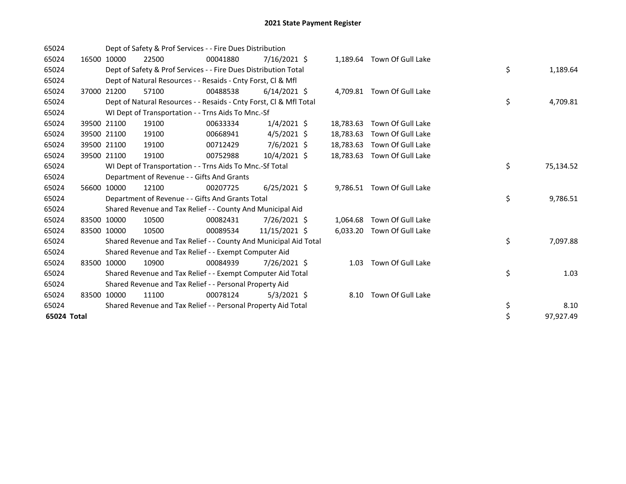| 65024       |       |             | Dept of Safety & Prof Services - - Fire Dues Distribution          |          |                |           |                            |    |           |
|-------------|-------|-------------|--------------------------------------------------------------------|----------|----------------|-----------|----------------------------|----|-----------|
| 65024       |       | 16500 10000 | 22500                                                              | 00041880 | $7/16/2021$ \$ |           | 1,189.64 Town Of Gull Lake |    |           |
| 65024       |       |             | Dept of Safety & Prof Services - - Fire Dues Distribution Total    |          |                |           |                            | \$ | 1,189.64  |
| 65024       |       |             | Dept of Natural Resources - - Resaids - Cnty Forst, CI & Mfl       |          |                |           |                            |    |           |
| 65024       |       | 37000 21200 | 57100                                                              | 00488538 | $6/14/2021$ \$ |           | 4,709.81 Town Of Gull Lake |    |           |
| 65024       |       |             | Dept of Natural Resources - - Resaids - Cnty Forst, CI & Mfl Total |          |                |           |                            | \$ | 4,709.81  |
| 65024       |       |             | WI Dept of Transportation - - Trns Aids To Mnc.-Sf                 |          |                |           |                            |    |           |
| 65024       |       | 39500 21100 | 19100                                                              | 00633334 | $1/4/2021$ \$  | 18,783.63 | Town Of Gull Lake          |    |           |
| 65024       |       | 39500 21100 | 19100                                                              | 00668941 | $4/5/2021$ \$  | 18.783.63 | Town Of Gull Lake          |    |           |
| 65024       |       | 39500 21100 | 19100                                                              | 00712429 | 7/6/2021 \$    | 18,783.63 | Town Of Gull Lake          |    |           |
| 65024       |       | 39500 21100 | 19100                                                              | 00752988 | $10/4/2021$ \$ | 18,783.63 | Town Of Gull Lake          |    |           |
| 65024       |       |             | WI Dept of Transportation - - Trns Aids To Mnc.-Sf Total           |          |                |           |                            | \$ | 75,134.52 |
| 65024       |       |             | Department of Revenue - - Gifts And Grants                         |          |                |           |                            |    |           |
| 65024       |       | 56600 10000 | 12100                                                              | 00207725 | $6/25/2021$ \$ |           | 9,786.51 Town Of Gull Lake |    |           |
| 65024       |       |             | Department of Revenue - - Gifts And Grants Total                   |          |                |           |                            | \$ | 9,786.51  |
| 65024       |       |             | Shared Revenue and Tax Relief - - County And Municipal Aid         |          |                |           |                            |    |           |
| 65024       | 83500 | 10000       | 10500                                                              | 00082431 | 7/26/2021 \$   | 1,064.68  | Town Of Gull Lake          |    |           |
| 65024       |       | 83500 10000 | 10500                                                              | 00089534 | 11/15/2021 \$  |           | 6,033.20 Town Of Gull Lake |    |           |
| 65024       |       |             | Shared Revenue and Tax Relief - - County And Municipal Aid Total   |          |                |           |                            | \$ | 7,097.88  |
| 65024       |       |             | Shared Revenue and Tax Relief - - Exempt Computer Aid              |          |                |           |                            |    |           |
| 65024       |       | 83500 10000 | 10900                                                              | 00084939 | 7/26/2021 \$   | 1.03      | Town Of Gull Lake          |    |           |
| 65024       |       |             | Shared Revenue and Tax Relief - - Exempt Computer Aid Total        |          |                |           |                            | \$ | 1.03      |
| 65024       |       |             | Shared Revenue and Tax Relief - - Personal Property Aid            |          |                |           |                            |    |           |
| 65024       |       | 83500 10000 | 11100                                                              | 00078124 | $5/3/2021$ \$  | 8.10      | Town Of Gull Lake          |    |           |
| 65024       |       |             | Shared Revenue and Tax Relief - - Personal Property Aid Total      |          |                |           |                            | \$ | 8.10      |
| 65024 Total |       |             |                                                                    |          |                |           |                            | \$ | 97,927.49 |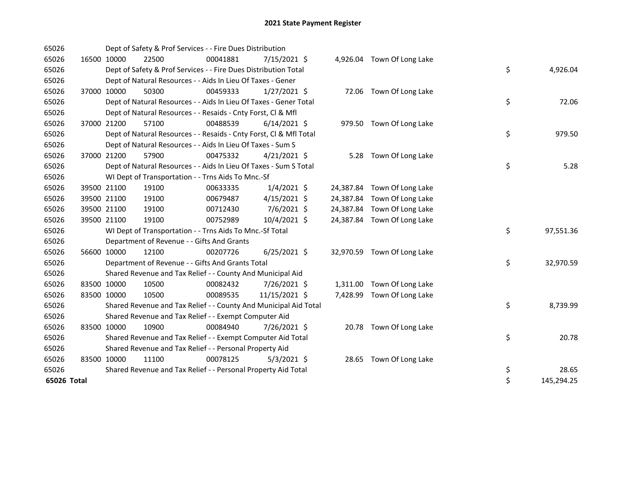| 65026       |             | Dept of Safety & Prof Services - - Fire Dues Distribution          |          |                |  |                             |    |            |
|-------------|-------------|--------------------------------------------------------------------|----------|----------------|--|-----------------------------|----|------------|
| 65026       | 16500 10000 | 22500                                                              | 00041881 | 7/15/2021 \$   |  | 4,926.04 Town Of Long Lake  |    |            |
| 65026       |             | Dept of Safety & Prof Services - - Fire Dues Distribution Total    |          |                |  |                             | \$ | 4,926.04   |
| 65026       |             | Dept of Natural Resources - - Aids In Lieu Of Taxes - Gener        |          |                |  |                             |    |            |
| 65026       | 37000 10000 | 50300                                                              | 00459333 | $1/27/2021$ \$ |  | 72.06 Town Of Long Lake     |    |            |
| 65026       |             | Dept of Natural Resources - - Aids In Lieu Of Taxes - Gener Total  |          |                |  |                             | \$ | 72.06      |
| 65026       |             | Dept of Natural Resources - - Resaids - Cnty Forst, CI & Mfl       |          |                |  |                             |    |            |
| 65026       | 37000 21200 | 57100                                                              | 00488539 | $6/14/2021$ \$ |  | 979.50 Town Of Long Lake    |    |            |
| 65026       |             | Dept of Natural Resources - - Resaids - Cnty Forst, Cl & Mfl Total |          |                |  |                             | \$ | 979.50     |
| 65026       |             | Dept of Natural Resources - - Aids In Lieu Of Taxes - Sum S        |          |                |  |                             |    |            |
| 65026       | 37000 21200 | 57900                                                              | 00475332 | $4/21/2021$ \$ |  | 5.28 Town Of Long Lake      |    |            |
| 65026       |             | Dept of Natural Resources - - Aids In Lieu Of Taxes - Sum S Total  |          |                |  |                             | \$ | 5.28       |
| 65026       |             | WI Dept of Transportation - - Trns Aids To Mnc.-Sf                 |          |                |  |                             |    |            |
| 65026       | 39500 21100 | 19100                                                              | 00633335 | $1/4/2021$ \$  |  | 24,387.84 Town Of Long Lake |    |            |
| 65026       | 39500 21100 | 19100                                                              | 00679487 | $4/15/2021$ \$ |  | 24,387.84 Town Of Long Lake |    |            |
| 65026       | 39500 21100 | 19100                                                              | 00712430 | $7/6/2021$ \$  |  | 24,387.84 Town Of Long Lake |    |            |
| 65026       | 39500 21100 | 19100                                                              | 00752989 | 10/4/2021 \$   |  | 24,387.84 Town Of Long Lake |    |            |
| 65026       |             | WI Dept of Transportation - - Trns Aids To Mnc .- Sf Total         |          |                |  |                             | \$ | 97,551.36  |
| 65026       |             | Department of Revenue - - Gifts And Grants                         |          |                |  |                             |    |            |
| 65026       | 56600 10000 | 12100                                                              | 00207726 | $6/25/2021$ \$ |  | 32,970.59 Town Of Long Lake |    |            |
| 65026       |             | Department of Revenue - - Gifts And Grants Total                   |          |                |  |                             | \$ | 32,970.59  |
| 65026       |             | Shared Revenue and Tax Relief - - County And Municipal Aid         |          |                |  |                             |    |            |
| 65026       | 83500 10000 | 10500                                                              | 00082432 | 7/26/2021 \$   |  | 1,311.00 Town Of Long Lake  |    |            |
| 65026       | 83500 10000 | 10500                                                              | 00089535 | 11/15/2021 \$  |  | 7,428.99 Town Of Long Lake  |    |            |
| 65026       |             | Shared Revenue and Tax Relief - - County And Municipal Aid Total   |          |                |  |                             | \$ | 8,739.99   |
| 65026       |             | Shared Revenue and Tax Relief - - Exempt Computer Aid              |          |                |  |                             |    |            |
| 65026       | 83500 10000 | 10900                                                              | 00084940 | 7/26/2021 \$   |  | 20.78 Town Of Long Lake     |    |            |
| 65026       |             | Shared Revenue and Tax Relief - - Exempt Computer Aid Total        |          |                |  |                             | \$ | 20.78      |
| 65026       |             | Shared Revenue and Tax Relief - - Personal Property Aid            |          |                |  |                             |    |            |
| 65026       | 83500 10000 | 11100                                                              | 00078125 | $5/3/2021$ \$  |  | 28.65 Town Of Long Lake     |    |            |
| 65026       |             | Shared Revenue and Tax Relief - - Personal Property Aid Total      |          |                |  |                             | \$ | 28.65      |
| 65026 Total |             |                                                                    |          |                |  |                             | \$ | 145,294.25 |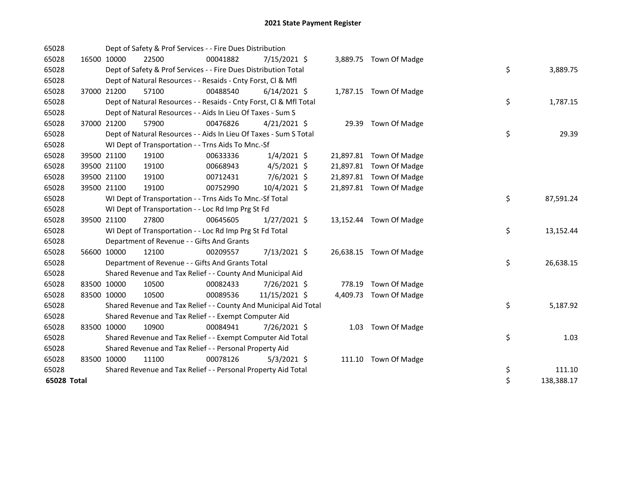| 65028       |             |             | Dept of Safety & Prof Services - - Fire Dues Distribution          |          |                |  |                         |    |            |
|-------------|-------------|-------------|--------------------------------------------------------------------|----------|----------------|--|-------------------------|----|------------|
| 65028       |             | 16500 10000 | 22500                                                              | 00041882 | $7/15/2021$ \$ |  | 3,889.75 Town Of Madge  |    |            |
| 65028       |             |             | Dept of Safety & Prof Services - - Fire Dues Distribution Total    |          |                |  |                         | \$ | 3,889.75   |
| 65028       |             |             | Dept of Natural Resources - - Resaids - Cnty Forst, CI & Mfl       |          |                |  |                         |    |            |
| 65028       |             | 37000 21200 | 57100                                                              | 00488540 | $6/14/2021$ \$ |  | 1,787.15 Town Of Madge  |    |            |
| 65028       |             |             | Dept of Natural Resources - - Resaids - Cnty Forst, Cl & Mfl Total |          |                |  |                         | \$ | 1,787.15   |
| 65028       |             |             | Dept of Natural Resources - - Aids In Lieu Of Taxes - Sum S        |          |                |  |                         |    |            |
| 65028       |             | 37000 21200 | 57900                                                              | 00476826 | $4/21/2021$ \$ |  | 29.39 Town Of Madge     |    |            |
| 65028       |             |             | Dept of Natural Resources - - Aids In Lieu Of Taxes - Sum S Total  |          |                |  |                         | \$ | 29.39      |
| 65028       |             |             | WI Dept of Transportation - - Trns Aids To Mnc.-Sf                 |          |                |  |                         |    |            |
| 65028       |             | 39500 21100 | 19100                                                              | 00633336 | $1/4/2021$ \$  |  | 21,897.81 Town Of Madge |    |            |
| 65028       |             | 39500 21100 | 19100                                                              | 00668943 | $4/5/2021$ \$  |  | 21,897.81 Town Of Madge |    |            |
| 65028       |             | 39500 21100 | 19100                                                              | 00712431 | $7/6/2021$ \$  |  | 21,897.81 Town Of Madge |    |            |
| 65028       |             | 39500 21100 | 19100                                                              | 00752990 | 10/4/2021 \$   |  | 21,897.81 Town Of Madge |    |            |
| 65028       |             |             | WI Dept of Transportation - - Trns Aids To Mnc.-Sf Total           |          |                |  |                         | \$ | 87,591.24  |
| 65028       |             |             | WI Dept of Transportation - - Loc Rd Imp Prg St Fd                 |          |                |  |                         |    |            |
| 65028       |             | 39500 21100 | 27800                                                              | 00645605 | $1/27/2021$ \$ |  | 13,152.44 Town Of Madge |    |            |
| 65028       |             |             | WI Dept of Transportation - - Loc Rd Imp Prg St Fd Total           |          |                |  |                         | \$ | 13,152.44  |
| 65028       |             |             | Department of Revenue - - Gifts And Grants                         |          |                |  |                         |    |            |
| 65028       |             | 56600 10000 | 12100                                                              | 00209557 | 7/13/2021 \$   |  | 26,638.15 Town Of Madge |    |            |
| 65028       |             |             | Department of Revenue - - Gifts And Grants Total                   |          |                |  |                         | \$ | 26,638.15  |
| 65028       |             |             | Shared Revenue and Tax Relief - - County And Municipal Aid         |          |                |  |                         |    |            |
| 65028       | 83500 10000 |             | 10500                                                              | 00082433 | 7/26/2021 \$   |  | 778.19 Town Of Madge    |    |            |
| 65028       | 83500 10000 |             | 10500                                                              | 00089536 | 11/15/2021 \$  |  | 4,409.73 Town Of Madge  |    |            |
| 65028       |             |             | Shared Revenue and Tax Relief - - County And Municipal Aid Total   |          |                |  |                         | \$ | 5,187.92   |
| 65028       |             |             | Shared Revenue and Tax Relief - - Exempt Computer Aid              |          |                |  |                         |    |            |
| 65028       | 83500 10000 |             | 10900                                                              | 00084941 | 7/26/2021 \$   |  | 1.03 Town Of Madge      |    |            |
| 65028       |             |             | Shared Revenue and Tax Relief - - Exempt Computer Aid Total        |          |                |  |                         | \$ | 1.03       |
| 65028       |             |             | Shared Revenue and Tax Relief - - Personal Property Aid            |          |                |  |                         |    |            |
| 65028       | 83500 10000 |             | 11100                                                              | 00078126 | $5/3/2021$ \$  |  | 111.10 Town Of Madge    |    |            |
| 65028       |             |             | Shared Revenue and Tax Relief - - Personal Property Aid Total      |          |                |  |                         | \$ | 111.10     |
| 65028 Total |             |             |                                                                    |          |                |  |                         | \$ | 138,388.17 |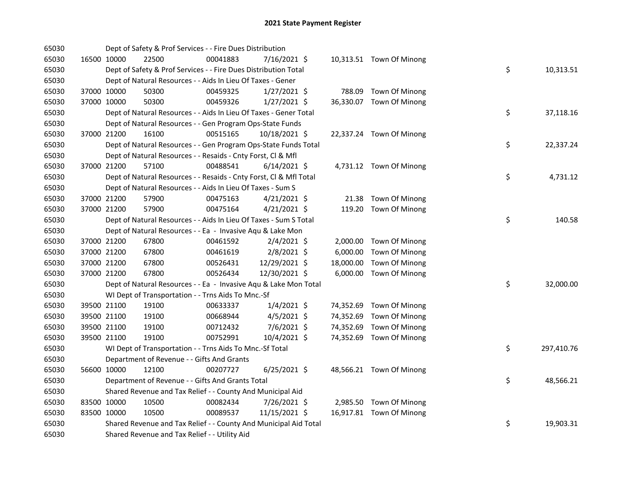| 65030 |             | Dept of Safety & Prof Services - - Fire Dues Distribution          |          |                |           |                          |    |            |
|-------|-------------|--------------------------------------------------------------------|----------|----------------|-----------|--------------------------|----|------------|
| 65030 | 16500 10000 | 22500                                                              | 00041883 | 7/16/2021 \$   |           | 10,313.51 Town Of Minong |    |            |
| 65030 |             | Dept of Safety & Prof Services - - Fire Dues Distribution Total    |          |                |           |                          | \$ | 10,313.51  |
| 65030 |             | Dept of Natural Resources - - Aids In Lieu Of Taxes - Gener        |          |                |           |                          |    |            |
| 65030 | 37000 10000 | 50300                                                              | 00459325 | $1/27/2021$ \$ |           | 788.09 Town Of Minong    |    |            |
| 65030 | 37000 10000 | 50300                                                              | 00459326 | $1/27/2021$ \$ |           | 36,330.07 Town Of Minong |    |            |
| 65030 |             | Dept of Natural Resources - - Aids In Lieu Of Taxes - Gener Total  |          |                |           |                          | \$ | 37,118.16  |
| 65030 |             | Dept of Natural Resources - - Gen Program Ops-State Funds          |          |                |           |                          |    |            |
| 65030 | 37000 21200 | 16100                                                              | 00515165 | 10/18/2021 \$  |           | 22,337.24 Town Of Minong |    |            |
| 65030 |             | Dept of Natural Resources - - Gen Program Ops-State Funds Total    |          |                |           |                          | \$ | 22,337.24  |
| 65030 |             | Dept of Natural Resources - - Resaids - Cnty Forst, Cl & Mfl       |          |                |           |                          |    |            |
| 65030 | 37000 21200 | 57100                                                              | 00488541 | $6/14/2021$ \$ |           | 4,731.12 Town Of Minong  |    |            |
| 65030 |             | Dept of Natural Resources - - Resaids - Cnty Forst, Cl & Mfl Total |          |                |           |                          | \$ | 4,731.12   |
| 65030 |             | Dept of Natural Resources - - Aids In Lieu Of Taxes - Sum S        |          |                |           |                          |    |            |
| 65030 | 37000 21200 | 57900                                                              | 00475163 | $4/21/2021$ \$ |           | 21.38 Town Of Minong     |    |            |
| 65030 | 37000 21200 | 57900                                                              | 00475164 | $4/21/2021$ \$ |           | 119.20 Town Of Minong    |    |            |
| 65030 |             | Dept of Natural Resources - - Aids In Lieu Of Taxes - Sum S Total  |          |                |           |                          | \$ | 140.58     |
| 65030 |             | Dept of Natural Resources - - Ea - Invasive Aqu & Lake Mon         |          |                |           |                          |    |            |
| 65030 | 37000 21200 | 67800                                                              | 00461592 | $2/4/2021$ \$  |           | 2,000.00 Town Of Minong  |    |            |
| 65030 | 37000 21200 | 67800                                                              | 00461619 | 2/8/2021 \$    |           | 6,000.00 Town Of Minong  |    |            |
| 65030 | 37000 21200 | 67800                                                              | 00526431 | 12/29/2021 \$  |           | 18,000.00 Town Of Minong |    |            |
| 65030 | 37000 21200 | 67800                                                              | 00526434 | 12/30/2021 \$  |           | 6,000.00 Town Of Minong  |    |            |
| 65030 |             | Dept of Natural Resources - - Ea - Invasive Aqu & Lake Mon Total   |          |                |           |                          | \$ | 32,000.00  |
| 65030 |             | WI Dept of Transportation - - Trns Aids To Mnc.-Sf                 |          |                |           |                          |    |            |
| 65030 | 39500 21100 | 19100                                                              | 00633337 | $1/4/2021$ \$  |           | 74,352.69 Town Of Minong |    |            |
| 65030 | 39500 21100 | 19100                                                              | 00668944 | $4/5/2021$ \$  | 74,352.69 | Town Of Minong           |    |            |
| 65030 | 39500 21100 | 19100                                                              | 00712432 | 7/6/2021 \$    | 74,352.69 | Town Of Minong           |    |            |
| 65030 | 39500 21100 | 19100                                                              | 00752991 | 10/4/2021 \$   |           | 74,352.69 Town Of Minong |    |            |
| 65030 |             | WI Dept of Transportation - - Trns Aids To Mnc.-Sf Total           |          |                |           |                          | \$ | 297,410.76 |
| 65030 |             | Department of Revenue - - Gifts And Grants                         |          |                |           |                          |    |            |
| 65030 | 56600 10000 | 12100                                                              | 00207727 | $6/25/2021$ \$ |           | 48,566.21 Town Of Minong |    |            |
| 65030 |             | Department of Revenue - - Gifts And Grants Total                   |          |                |           |                          | \$ | 48,566.21  |
| 65030 |             | Shared Revenue and Tax Relief - - County And Municipal Aid         |          |                |           |                          |    |            |
| 65030 | 83500 10000 | 10500                                                              | 00082434 | 7/26/2021 \$   |           | 2,985.50 Town Of Minong  |    |            |
| 65030 | 83500 10000 | 10500                                                              | 00089537 | 11/15/2021 \$  |           | 16,917.81 Town Of Minong |    |            |
| 65030 |             | Shared Revenue and Tax Relief - - County And Municipal Aid Total   |          |                |           |                          | \$ | 19,903.31  |
| 65030 |             | Shared Revenue and Tax Relief - - Utility Aid                      |          |                |           |                          |    |            |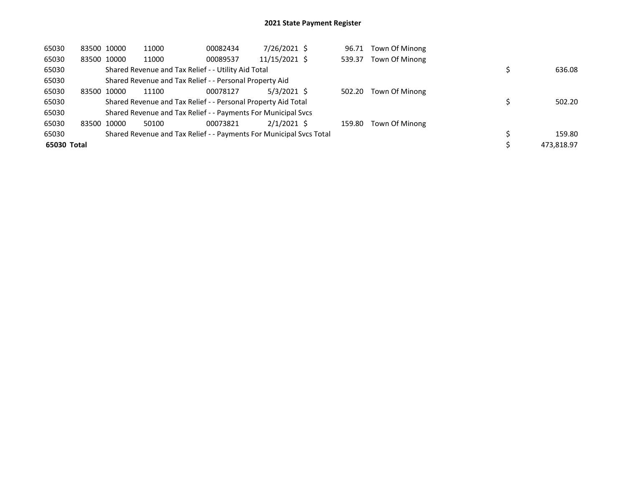| 65030       | 83500 10000 | 11000                                                               | 00082434 | 7/26/2021 \$  | 96.71  | Town Of Minong |            |
|-------------|-------------|---------------------------------------------------------------------|----------|---------------|--------|----------------|------------|
| 65030       | 83500 10000 | 11000                                                               | 00089537 | 11/15/2021 \$ | 539.37 | Town Of Minong |            |
| 65030       |             | Shared Revenue and Tax Relief - - Utility Aid Total                 |          |               |        |                | 636.08     |
| 65030       |             | Shared Revenue and Tax Relief - - Personal Property Aid             |          |               |        |                |            |
| 65030       | 83500 10000 | 11100                                                               | 00078127 | 5/3/2021 S    | 502.20 | Town Of Minong |            |
| 65030       |             | Shared Revenue and Tax Relief - - Personal Property Aid Total       |          |               |        |                | 502.20     |
| 65030       |             | Shared Revenue and Tax Relief - - Payments For Municipal Svcs       |          |               |        |                |            |
| 65030       | 83500 10000 | 50100                                                               | 00073821 | $2/1/2021$ \$ | 159.80 | Town Of Minong |            |
| 65030       |             | Shared Revenue and Tax Relief - - Payments For Municipal Svcs Total |          |               |        |                | 159.80     |
| 65030 Total |             |                                                                     |          |               |        |                | 473,818.97 |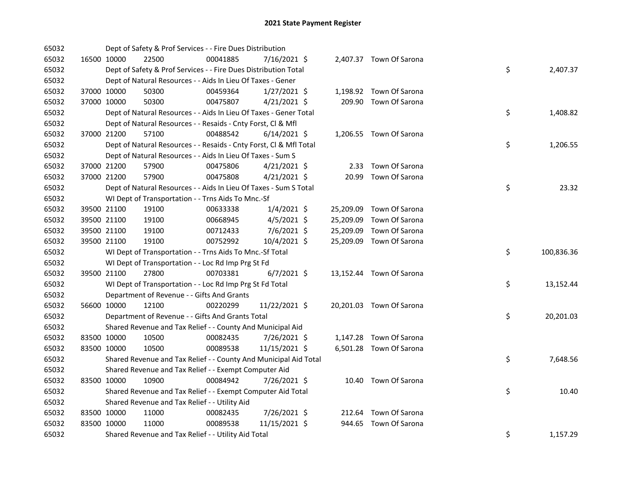| 65032 |             | Dept of Safety & Prof Services - - Fire Dues Distribution          |          |                |           |                          |    |            |
|-------|-------------|--------------------------------------------------------------------|----------|----------------|-----------|--------------------------|----|------------|
| 65032 | 16500 10000 | 22500                                                              | 00041885 | 7/16/2021 \$   |           | 2,407.37 Town Of Sarona  |    |            |
| 65032 |             | Dept of Safety & Prof Services - - Fire Dues Distribution Total    |          |                |           |                          | \$ | 2,407.37   |
| 65032 |             | Dept of Natural Resources - - Aids In Lieu Of Taxes - Gener        |          |                |           |                          |    |            |
| 65032 | 37000 10000 | 50300                                                              | 00459364 | $1/27/2021$ \$ |           | 1,198.92 Town Of Sarona  |    |            |
| 65032 | 37000 10000 | 50300                                                              | 00475807 | $4/21/2021$ \$ |           | 209.90 Town Of Sarona    |    |            |
| 65032 |             | Dept of Natural Resources - - Aids In Lieu Of Taxes - Gener Total  |          |                |           |                          | \$ | 1,408.82   |
| 65032 |             | Dept of Natural Resources - - Resaids - Cnty Forst, Cl & Mfl       |          |                |           |                          |    |            |
| 65032 | 37000 21200 | 57100                                                              | 00488542 | $6/14/2021$ \$ |           | 1,206.55 Town Of Sarona  |    |            |
| 65032 |             | Dept of Natural Resources - - Resaids - Cnty Forst, Cl & Mfl Total |          |                |           |                          | \$ | 1,206.55   |
| 65032 |             | Dept of Natural Resources - - Aids In Lieu Of Taxes - Sum S        |          |                |           |                          |    |            |
| 65032 | 37000 21200 | 57900                                                              | 00475806 | $4/21/2021$ \$ |           | 2.33 Town Of Sarona      |    |            |
| 65032 | 37000 21200 | 57900                                                              | 00475808 | $4/21/2021$ \$ | 20.99     | Town Of Sarona           |    |            |
| 65032 |             | Dept of Natural Resources - - Aids In Lieu Of Taxes - Sum S Total  |          |                |           |                          | \$ | 23.32      |
| 65032 |             | WI Dept of Transportation - - Trns Aids To Mnc.-Sf                 |          |                |           |                          |    |            |
| 65032 | 39500 21100 | 19100                                                              | 00633338 | $1/4/2021$ \$  |           | 25,209.09 Town Of Sarona |    |            |
| 65032 | 39500 21100 | 19100                                                              | 00668945 | $4/5/2021$ \$  | 25,209.09 | Town Of Sarona           |    |            |
| 65032 | 39500 21100 | 19100                                                              | 00712433 | $7/6/2021$ \$  | 25,209.09 | Town Of Sarona           |    |            |
| 65032 | 39500 21100 | 19100                                                              | 00752992 | 10/4/2021 \$   |           | 25,209.09 Town Of Sarona |    |            |
| 65032 |             | WI Dept of Transportation - - Trns Aids To Mnc.-Sf Total           |          |                |           |                          | \$ | 100,836.36 |
| 65032 |             | WI Dept of Transportation - - Loc Rd Imp Prg St Fd                 |          |                |           |                          |    |            |
| 65032 | 39500 21100 | 27800                                                              | 00703381 | $6/7/2021$ \$  |           | 13,152.44 Town Of Sarona |    |            |
| 65032 |             | WI Dept of Transportation - - Loc Rd Imp Prg St Fd Total           |          |                |           |                          | \$ | 13,152.44  |
| 65032 |             | Department of Revenue - - Gifts And Grants                         |          |                |           |                          |    |            |
| 65032 | 56600 10000 | 12100                                                              | 00220299 | 11/22/2021 \$  |           | 20,201.03 Town Of Sarona |    |            |
| 65032 |             | Department of Revenue - - Gifts And Grants Total                   |          |                |           |                          | \$ | 20,201.03  |
| 65032 |             | Shared Revenue and Tax Relief - - County And Municipal Aid         |          |                |           |                          |    |            |
| 65032 | 83500 10000 | 10500                                                              | 00082435 | 7/26/2021 \$   |           | 1,147.28 Town Of Sarona  |    |            |
| 65032 | 83500 10000 | 10500                                                              | 00089538 | 11/15/2021 \$  |           | 6,501.28 Town Of Sarona  |    |            |
| 65032 |             | Shared Revenue and Tax Relief - - County And Municipal Aid Total   |          |                |           |                          | \$ | 7,648.56   |
| 65032 |             | Shared Revenue and Tax Relief - - Exempt Computer Aid              |          |                |           |                          |    |            |
| 65032 | 83500 10000 | 10900                                                              | 00084942 | 7/26/2021 \$   |           | 10.40 Town Of Sarona     |    |            |
| 65032 |             | Shared Revenue and Tax Relief - - Exempt Computer Aid Total        |          |                |           |                          | \$ | 10.40      |
| 65032 |             | Shared Revenue and Tax Relief - - Utility Aid                      |          |                |           |                          |    |            |
| 65032 | 83500 10000 | 11000                                                              | 00082435 | 7/26/2021 \$   |           | 212.64 Town Of Sarona    |    |            |
| 65032 | 83500 10000 | 11000                                                              | 00089538 | 11/15/2021 \$  |           | 944.65 Town Of Sarona    |    |            |
| 65032 |             | Shared Revenue and Tax Relief - - Utility Aid Total                |          |                |           |                          | \$ | 1,157.29   |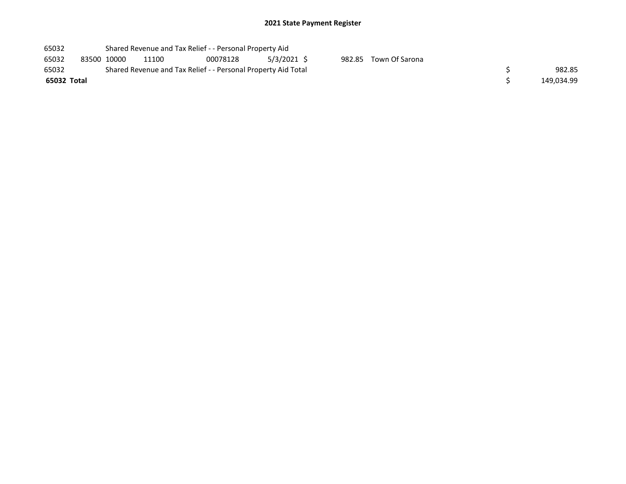| 65032       |             | Shared Revenue and Tax Relief - - Personal Property Aid       |          |             |  |                       |  |
|-------------|-------------|---------------------------------------------------------------|----------|-------------|--|-----------------------|--|
| 65032       | 83500 10000 | 11100                                                         | 00078128 | 5/3/2021 \$ |  | 982.85 Town Of Sarona |  |
| 65032       |             | Shared Revenue and Tax Relief - - Personal Property Aid Total |          | 982.85      |  |                       |  |
| 65032 Total |             |                                                               |          | 149.034.99  |  |                       |  |
|             |             |                                                               |          |             |  |                       |  |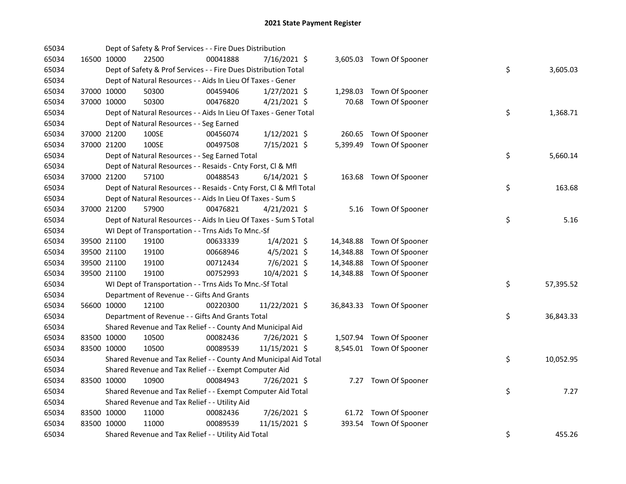| 65034 |             |             | Dept of Safety & Prof Services - - Fire Dues Distribution          |          |                |          |                           |    |           |
|-------|-------------|-------------|--------------------------------------------------------------------|----------|----------------|----------|---------------------------|----|-----------|
| 65034 |             | 16500 10000 | 22500                                                              | 00041888 | 7/16/2021 \$   |          | 3,605.03 Town Of Spooner  |    |           |
| 65034 |             |             | Dept of Safety & Prof Services - - Fire Dues Distribution Total    |          |                |          |                           | \$ | 3,605.03  |
| 65034 |             |             | Dept of Natural Resources - - Aids In Lieu Of Taxes - Gener        |          |                |          |                           |    |           |
| 65034 |             | 37000 10000 | 50300                                                              | 00459406 | $1/27/2021$ \$ |          | 1,298.03 Town Of Spooner  |    |           |
| 65034 | 37000 10000 |             | 50300                                                              | 00476820 | $4/21/2021$ \$ |          | 70.68 Town Of Spooner     |    |           |
| 65034 |             |             | Dept of Natural Resources - - Aids In Lieu Of Taxes - Gener Total  |          |                |          |                           | \$ | 1,368.71  |
| 65034 |             |             | Dept of Natural Resources - - Seg Earned                           |          |                |          |                           |    |           |
| 65034 |             | 37000 21200 | 100SE                                                              | 00456074 | $1/12/2021$ \$ | 260.65   | Town Of Spooner           |    |           |
| 65034 | 37000 21200 |             | 100SE                                                              | 00497508 | 7/15/2021 \$   | 5,399.49 | Town Of Spooner           |    |           |
| 65034 |             |             | Dept of Natural Resources - - Seg Earned Total                     |          |                |          |                           | \$ | 5,660.14  |
| 65034 |             |             | Dept of Natural Resources - - Resaids - Cnty Forst, Cl & Mfl       |          |                |          |                           |    |           |
| 65034 |             | 37000 21200 | 57100                                                              | 00488543 | $6/14/2021$ \$ |          | 163.68 Town Of Spooner    |    |           |
| 65034 |             |             | Dept of Natural Resources - - Resaids - Cnty Forst, Cl & Mfl Total |          |                |          |                           | \$ | 163.68    |
| 65034 |             |             | Dept of Natural Resources - - Aids In Lieu Of Taxes - Sum S        |          |                |          |                           |    |           |
| 65034 | 37000 21200 |             | 57900                                                              | 00476821 | $4/21/2021$ \$ |          | 5.16 Town Of Spooner      |    |           |
| 65034 |             |             | Dept of Natural Resources - - Aids In Lieu Of Taxes - Sum S Total  |          |                |          |                           | \$ | 5.16      |
| 65034 |             |             | WI Dept of Transportation - - Trns Aids To Mnc.-Sf                 |          |                |          |                           |    |           |
| 65034 |             | 39500 21100 | 19100                                                              | 00633339 | $1/4/2021$ \$  |          | 14,348.88 Town Of Spooner |    |           |
| 65034 |             | 39500 21100 | 19100                                                              | 00668946 | $4/5/2021$ \$  |          | 14,348.88 Town Of Spooner |    |           |
| 65034 |             | 39500 21100 | 19100                                                              | 00712434 | 7/6/2021 \$    |          | 14,348.88 Town Of Spooner |    |           |
| 65034 |             | 39500 21100 | 19100                                                              | 00752993 | 10/4/2021 \$   |          | 14,348.88 Town Of Spooner |    |           |
| 65034 |             |             | WI Dept of Transportation - - Trns Aids To Mnc.-Sf Total           |          |                |          |                           | \$ | 57,395.52 |
| 65034 |             |             | Department of Revenue - - Gifts And Grants                         |          |                |          |                           |    |           |
| 65034 | 56600 10000 |             | 12100                                                              | 00220300 | 11/22/2021 \$  |          | 36,843.33 Town Of Spooner |    |           |
| 65034 |             |             | Department of Revenue - - Gifts And Grants Total                   |          |                |          |                           | \$ | 36,843.33 |
| 65034 |             |             | Shared Revenue and Tax Relief - - County And Municipal Aid         |          |                |          |                           |    |           |
| 65034 |             | 83500 10000 | 10500                                                              | 00082436 | 7/26/2021 \$   |          | 1,507.94 Town Of Spooner  |    |           |
| 65034 | 83500 10000 |             | 10500                                                              | 00089539 | 11/15/2021 \$  |          | 8,545.01 Town Of Spooner  |    |           |
| 65034 |             |             | Shared Revenue and Tax Relief - - County And Municipal Aid Total   |          |                |          |                           | \$ | 10,052.95 |
| 65034 |             |             | Shared Revenue and Tax Relief - - Exempt Computer Aid              |          |                |          |                           |    |           |
| 65034 |             | 83500 10000 | 10900                                                              | 00084943 | 7/26/2021 \$   |          | 7.27 Town Of Spooner      |    |           |
| 65034 |             |             | Shared Revenue and Tax Relief - - Exempt Computer Aid Total        |          |                |          |                           | \$ | 7.27      |
| 65034 |             |             | Shared Revenue and Tax Relief - - Utility Aid                      |          |                |          |                           |    |           |
| 65034 |             | 83500 10000 | 11000                                                              | 00082436 | 7/26/2021 \$   |          | 61.72 Town Of Spooner     |    |           |
| 65034 | 83500 10000 |             | 11000                                                              | 00089539 | 11/15/2021 \$  |          | 393.54 Town Of Spooner    |    |           |
| 65034 |             |             | Shared Revenue and Tax Relief - - Utility Aid Total                |          |                |          |                           | \$ | 455.26    |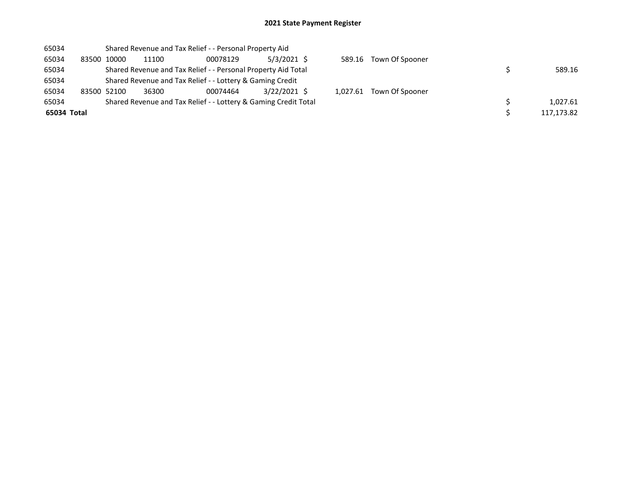| 65034       |             |       | Shared Revenue and Tax Relief - - Personal Property Aid         |               |          |                        |            |
|-------------|-------------|-------|-----------------------------------------------------------------|---------------|----------|------------------------|------------|
| 65034       | 83500 10000 | 11100 | 00078129                                                        | $5/3/2021$ \$ |          | 589.16 Town Of Spooner |            |
| 65034       |             |       | Shared Revenue and Tax Relief - - Personal Property Aid Total   |               |          |                        | 589.16     |
| 65034       |             |       | Shared Revenue and Tax Relief - - Lottery & Gaming Credit       |               |          |                        |            |
| 65034       | 83500 52100 | 36300 | 00074464                                                        | 3/22/2021 \$  | 1.027.61 | Town Of Spooner        |            |
| 65034       |             |       | Shared Revenue and Tax Relief - - Lottery & Gaming Credit Total |               |          |                        | 1.027.61   |
| 65034 Total |             |       |                                                                 |               |          |                        | 117,173.82 |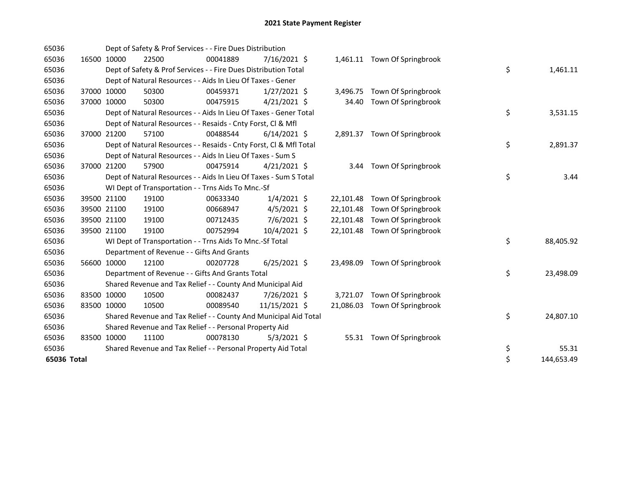| 65036       |             |             | Dept of Safety & Prof Services - - Fire Dues Distribution          |          |                |           |                              |    |            |
|-------------|-------------|-------------|--------------------------------------------------------------------|----------|----------------|-----------|------------------------------|----|------------|
| 65036       |             | 16500 10000 | 22500                                                              | 00041889 | $7/16/2021$ \$ |           | 1,461.11 Town Of Springbrook |    |            |
| 65036       |             |             | Dept of Safety & Prof Services - - Fire Dues Distribution Total    |          |                |           |                              | \$ | 1,461.11   |
| 65036       |             |             | Dept of Natural Resources - - Aids In Lieu Of Taxes - Gener        |          |                |           |                              |    |            |
| 65036       | 37000 10000 |             | 50300                                                              | 00459371 | $1/27/2021$ \$ | 3,496.75  | Town Of Springbrook          |    |            |
| 65036       | 37000 10000 |             | 50300                                                              | 00475915 | $4/21/2021$ \$ | 34.40     | Town Of Springbrook          |    |            |
| 65036       |             |             | Dept of Natural Resources - - Aids In Lieu Of Taxes - Gener Total  |          |                |           |                              | \$ | 3,531.15   |
| 65036       |             |             | Dept of Natural Resources - - Resaids - Cnty Forst, Cl & Mfl       |          |                |           |                              |    |            |
| 65036       | 37000       | 21200       | 57100                                                              | 00488544 | $6/14/2021$ \$ |           | 2,891.37 Town Of Springbrook |    |            |
| 65036       |             |             | Dept of Natural Resources - - Resaids - Cnty Forst, CI & Mfl Total |          |                |           |                              | \$ | 2,891.37   |
| 65036       |             |             | Dept of Natural Resources - - Aids In Lieu Of Taxes - Sum S        |          |                |           |                              |    |            |
| 65036       | 37000       | 21200       | 57900                                                              | 00475914 | $4/21/2021$ \$ | 3.44      | Town Of Springbrook          |    |            |
| 65036       |             |             | Dept of Natural Resources - - Aids In Lieu Of Taxes - Sum S Total  |          |                |           |                              | \$ | 3.44       |
| 65036       |             |             | WI Dept of Transportation - - Trns Aids To Mnc.-Sf                 |          |                |           |                              |    |            |
| 65036       |             | 39500 21100 | 19100                                                              | 00633340 | $1/4/2021$ \$  | 22,101.48 | Town Of Springbrook          |    |            |
| 65036       |             | 39500 21100 | 19100                                                              | 00668947 | $4/5/2021$ \$  | 22,101.48 | Town Of Springbrook          |    |            |
| 65036       |             | 39500 21100 | 19100                                                              | 00712435 | 7/6/2021 \$    | 22,101.48 | Town Of Springbrook          |    |            |
| 65036       |             | 39500 21100 | 19100                                                              | 00752994 | 10/4/2021 \$   | 22,101.48 | Town Of Springbrook          |    |            |
| 65036       |             |             | WI Dept of Transportation - - Trns Aids To Mnc.-Sf Total           |          |                |           |                              | \$ | 88,405.92  |
| 65036       |             |             | Department of Revenue - - Gifts And Grants                         |          |                |           |                              |    |            |
| 65036       |             | 56600 10000 | 12100                                                              | 00207728 | $6/25/2021$ \$ | 23,498.09 | Town Of Springbrook          |    |            |
| 65036       |             |             | Department of Revenue - - Gifts And Grants Total                   |          |                |           |                              | \$ | 23,498.09  |
| 65036       |             |             | Shared Revenue and Tax Relief - - County And Municipal Aid         |          |                |           |                              |    |            |
| 65036       |             | 83500 10000 | 10500                                                              | 00082437 | 7/26/2021 \$   | 3,721.07  | Town Of Springbrook          |    |            |
| 65036       |             | 83500 10000 | 10500                                                              | 00089540 | 11/15/2021 \$  | 21,086.03 | Town Of Springbrook          |    |            |
| 65036       |             |             | Shared Revenue and Tax Relief - - County And Municipal Aid Total   |          |                |           |                              | \$ | 24,807.10  |
| 65036       |             |             | Shared Revenue and Tax Relief - - Personal Property Aid            |          |                |           |                              |    |            |
| 65036       |             | 83500 10000 | 11100                                                              | 00078130 | $5/3/2021$ \$  |           | 55.31 Town Of Springbrook    |    |            |
| 65036       |             |             | Shared Revenue and Tax Relief - - Personal Property Aid Total      |          |                |           |                              | \$ | 55.31      |
| 65036 Total |             |             |                                                                    |          |                |           |                              | \$ | 144,653.49 |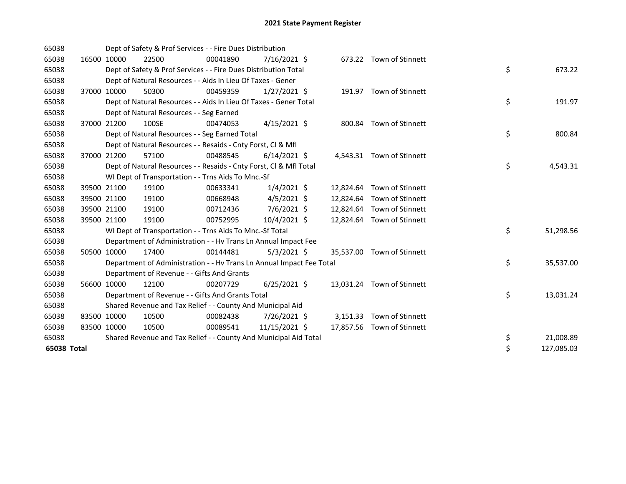| 65038       |             | Dept of Safety & Prof Services - - Fire Dues Distribution            |          |                |  |                            |    |            |
|-------------|-------------|----------------------------------------------------------------------|----------|----------------|--|----------------------------|----|------------|
| 65038       | 16500 10000 | 22500                                                                | 00041890 | 7/16/2021 \$   |  | 673.22 Town of Stinnett    |    |            |
| 65038       |             | Dept of Safety & Prof Services - - Fire Dues Distribution Total      |          |                |  |                            | \$ | 673.22     |
| 65038       |             | Dept of Natural Resources - - Aids In Lieu Of Taxes - Gener          |          |                |  |                            |    |            |
| 65038       | 37000 10000 | 50300                                                                | 00459359 | $1/27/2021$ \$ |  | 191.97 Town of Stinnett    |    |            |
| 65038       |             | Dept of Natural Resources - - Aids In Lieu Of Taxes - Gener Total    |          |                |  |                            | \$ | 191.97     |
| 65038       |             | Dept of Natural Resources - - Seg Earned                             |          |                |  |                            |    |            |
| 65038       | 37000 21200 | 100SE                                                                | 00474053 | $4/15/2021$ \$ |  | 800.84 Town of Stinnett    |    |            |
| 65038       |             | Dept of Natural Resources - - Seg Earned Total                       |          |                |  |                            | \$ | 800.84     |
| 65038       |             | Dept of Natural Resources - - Resaids - Cnty Forst, Cl & Mfl         |          |                |  |                            |    |            |
| 65038       | 37000 21200 | 57100                                                                | 00488545 | $6/14/2021$ \$ |  | 4,543.31 Town of Stinnett  |    |            |
| 65038       |             | Dept of Natural Resources - - Resaids - Cnty Forst, Cl & Mfl Total   |          |                |  |                            | \$ | 4,543.31   |
| 65038       |             | WI Dept of Transportation - - Trns Aids To Mnc.-Sf                   |          |                |  |                            |    |            |
| 65038       | 39500 21100 | 19100                                                                | 00633341 | $1/4/2021$ \$  |  | 12,824.64 Town of Stinnett |    |            |
| 65038       | 39500 21100 | 19100                                                                | 00668948 | $4/5/2021$ \$  |  | 12,824.64 Town of Stinnett |    |            |
| 65038       | 39500 21100 | 19100                                                                | 00712436 | $7/6/2021$ \$  |  | 12,824.64 Town of Stinnett |    |            |
| 65038       | 39500 21100 | 19100                                                                | 00752995 | 10/4/2021 \$   |  | 12,824.64 Town of Stinnett |    |            |
| 65038       |             | WI Dept of Transportation - - Trns Aids To Mnc .- Sf Total           |          |                |  |                            | \$ | 51,298.56  |
| 65038       |             | Department of Administration - - Hv Trans Ln Annual Impact Fee       |          |                |  |                            |    |            |
| 65038       | 50500 10000 | 17400                                                                | 00144481 | $5/3/2021$ \$  |  | 35,537.00 Town of Stinnett |    |            |
| 65038       |             | Department of Administration - - Hv Trans Ln Annual Impact Fee Total |          |                |  |                            | \$ | 35,537.00  |
| 65038       |             | Department of Revenue - - Gifts And Grants                           |          |                |  |                            |    |            |
| 65038       | 56600 10000 | 12100                                                                | 00207729 | $6/25/2021$ \$ |  | 13,031.24 Town of Stinnett |    |            |
| 65038       |             | Department of Revenue - - Gifts And Grants Total                     |          |                |  |                            | \$ | 13,031.24  |
| 65038       |             | Shared Revenue and Tax Relief - - County And Municipal Aid           |          |                |  |                            |    |            |
| 65038       | 83500 10000 | 10500                                                                | 00082438 | 7/26/2021 \$   |  | 3,151.33 Town of Stinnett  |    |            |
| 65038       | 83500 10000 | 10500                                                                | 00089541 | 11/15/2021 \$  |  | 17,857.56 Town of Stinnett |    |            |
| 65038       |             | Shared Revenue and Tax Relief - - County And Municipal Aid Total     |          |                |  |                            | \$ | 21,008.89  |
| 65038 Total |             |                                                                      |          |                |  |                            | \$ | 127,085.03 |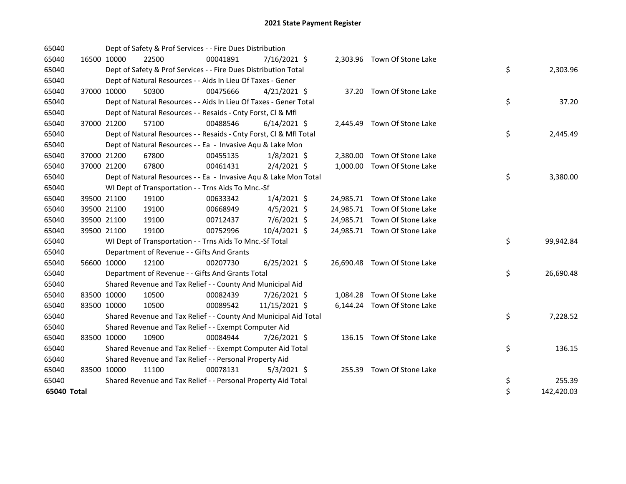| 65040       |             | Dept of Safety & Prof Services - - Fire Dues Distribution          |          |                |  |                              |    |            |
|-------------|-------------|--------------------------------------------------------------------|----------|----------------|--|------------------------------|----|------------|
| 65040       | 16500 10000 | 22500                                                              | 00041891 | 7/16/2021 \$   |  | 2,303.96 Town Of Stone Lake  |    |            |
| 65040       |             | Dept of Safety & Prof Services - - Fire Dues Distribution Total    |          |                |  |                              | \$ | 2,303.96   |
| 65040       |             | Dept of Natural Resources - - Aids In Lieu Of Taxes - Gener        |          |                |  |                              |    |            |
| 65040       | 37000 10000 | 50300                                                              | 00475666 | $4/21/2021$ \$ |  | 37.20 Town Of Stone Lake     |    |            |
| 65040       |             | Dept of Natural Resources - - Aids In Lieu Of Taxes - Gener Total  |          |                |  |                              | \$ | 37.20      |
| 65040       |             | Dept of Natural Resources - - Resaids - Cnty Forst, Cl & Mfl       |          |                |  |                              |    |            |
| 65040       | 37000 21200 | 57100                                                              | 00488546 | $6/14/2021$ \$ |  | 2,445.49 Town Of Stone Lake  |    |            |
| 65040       |             | Dept of Natural Resources - - Resaids - Cnty Forst, CI & Mfl Total |          |                |  |                              | \$ | 2,445.49   |
| 65040       |             | Dept of Natural Resources - - Ea - Invasive Aqu & Lake Mon         |          |                |  |                              |    |            |
| 65040       | 37000 21200 | 67800                                                              | 00455135 | $1/8/2021$ \$  |  | 2,380.00 Town Of Stone Lake  |    |            |
| 65040       | 37000 21200 | 67800                                                              | 00461431 | $2/4/2021$ \$  |  | 1,000.00 Town Of Stone Lake  |    |            |
| 65040       |             | Dept of Natural Resources - - Ea - Invasive Aqu & Lake Mon Total   |          |                |  |                              | \$ | 3,380.00   |
| 65040       |             | WI Dept of Transportation - - Trns Aids To Mnc.-Sf                 |          |                |  |                              |    |            |
| 65040       | 39500 21100 | 19100                                                              | 00633342 | $1/4/2021$ \$  |  | 24,985.71 Town Of Stone Lake |    |            |
| 65040       | 39500 21100 | 19100                                                              | 00668949 | $4/5/2021$ \$  |  | 24,985.71 Town Of Stone Lake |    |            |
| 65040       | 39500 21100 | 19100                                                              | 00712437 | 7/6/2021 \$    |  | 24,985.71 Town Of Stone Lake |    |            |
| 65040       | 39500 21100 | 19100                                                              | 00752996 | 10/4/2021 \$   |  | 24,985.71 Town Of Stone Lake |    |            |
| 65040       |             | WI Dept of Transportation - - Trns Aids To Mnc.-Sf Total           |          |                |  |                              | \$ | 99,942.84  |
| 65040       |             | Department of Revenue - - Gifts And Grants                         |          |                |  |                              |    |            |
| 65040       | 56600 10000 | 12100                                                              | 00207730 | $6/25/2021$ \$ |  | 26,690.48 Town Of Stone Lake |    |            |
| 65040       |             | Department of Revenue - - Gifts And Grants Total                   |          |                |  |                              | \$ | 26,690.48  |
| 65040       |             | Shared Revenue and Tax Relief - - County And Municipal Aid         |          |                |  |                              |    |            |
| 65040       | 83500 10000 | 10500                                                              | 00082439 | 7/26/2021 \$   |  | 1,084.28 Town Of Stone Lake  |    |            |
| 65040       | 83500 10000 | 10500                                                              | 00089542 | 11/15/2021 \$  |  | 6,144.24 Town Of Stone Lake  |    |            |
| 65040       |             | Shared Revenue and Tax Relief - - County And Municipal Aid Total   |          |                |  |                              | \$ | 7,228.52   |
| 65040       |             | Shared Revenue and Tax Relief - - Exempt Computer Aid              |          |                |  |                              |    |            |
| 65040       | 83500 10000 | 10900                                                              | 00084944 | 7/26/2021 \$   |  | 136.15 Town Of Stone Lake    |    |            |
| 65040       |             | Shared Revenue and Tax Relief - - Exempt Computer Aid Total        |          |                |  |                              | \$ | 136.15     |
| 65040       |             | Shared Revenue and Tax Relief - - Personal Property Aid            |          |                |  |                              |    |            |
| 65040       | 83500 10000 | 11100                                                              | 00078131 | $5/3/2021$ \$  |  | 255.39 Town Of Stone Lake    |    |            |
| 65040       |             | Shared Revenue and Tax Relief - - Personal Property Aid Total      |          |                |  |                              | \$ | 255.39     |
| 65040 Total |             |                                                                    |          |                |  |                              | \$ | 142,420.03 |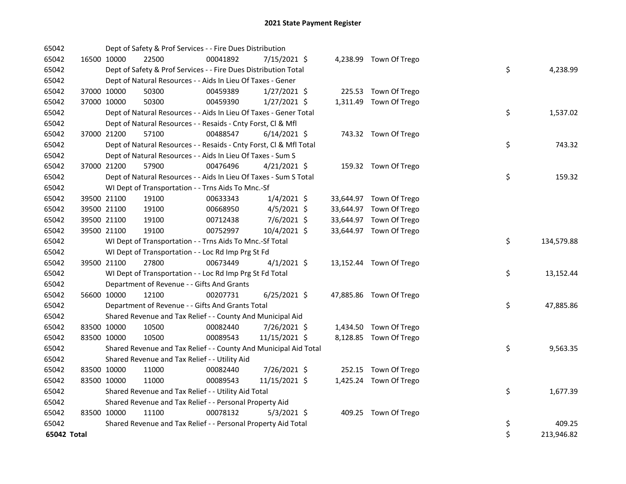| 65042       |             | Dept of Safety & Prof Services - - Fire Dues Distribution          |          |                |  |                         |    |            |
|-------------|-------------|--------------------------------------------------------------------|----------|----------------|--|-------------------------|----|------------|
| 65042       | 16500 10000 | 22500                                                              | 00041892 | 7/15/2021 \$   |  | 4,238.99 Town Of Trego  |    |            |
| 65042       |             | Dept of Safety & Prof Services - - Fire Dues Distribution Total    |          |                |  |                         | \$ | 4,238.99   |
| 65042       |             | Dept of Natural Resources - - Aids In Lieu Of Taxes - Gener        |          |                |  |                         |    |            |
| 65042       | 37000 10000 | 50300                                                              | 00459389 | $1/27/2021$ \$ |  | 225.53 Town Of Trego    |    |            |
| 65042       | 37000 10000 | 50300                                                              | 00459390 | $1/27/2021$ \$ |  | 1,311.49 Town Of Trego  |    |            |
| 65042       |             | Dept of Natural Resources - - Aids In Lieu Of Taxes - Gener Total  |          |                |  |                         | \$ | 1,537.02   |
| 65042       |             | Dept of Natural Resources - - Resaids - Cnty Forst, Cl & Mfl       |          |                |  |                         |    |            |
| 65042       | 37000 21200 | 57100                                                              | 00488547 | $6/14/2021$ \$ |  | 743.32 Town Of Trego    |    |            |
| 65042       |             | Dept of Natural Resources - - Resaids - Cnty Forst, Cl & Mfl Total |          |                |  |                         | \$ | 743.32     |
| 65042       |             | Dept of Natural Resources - - Aids In Lieu Of Taxes - Sum S        |          |                |  |                         |    |            |
| 65042       | 37000 21200 | 57900                                                              | 00476496 | $4/21/2021$ \$ |  | 159.32 Town Of Trego    |    |            |
| 65042       |             | Dept of Natural Resources - - Aids In Lieu Of Taxes - Sum S Total  |          |                |  |                         | \$ | 159.32     |
| 65042       |             | WI Dept of Transportation - - Trns Aids To Mnc.-Sf                 |          |                |  |                         |    |            |
| 65042       | 39500 21100 | 19100                                                              | 00633343 | $1/4/2021$ \$  |  | 33,644.97 Town Of Trego |    |            |
| 65042       | 39500 21100 | 19100                                                              | 00668950 | $4/5/2021$ \$  |  | 33,644.97 Town Of Trego |    |            |
| 65042       | 39500 21100 | 19100                                                              | 00712438 | 7/6/2021 \$    |  | 33,644.97 Town Of Trego |    |            |
| 65042       | 39500 21100 | 19100                                                              | 00752997 | 10/4/2021 \$   |  | 33,644.97 Town Of Trego |    |            |
| 65042       |             | WI Dept of Transportation - - Trns Aids To Mnc.-Sf Total           |          |                |  |                         | \$ | 134,579.88 |
| 65042       |             | WI Dept of Transportation - - Loc Rd Imp Prg St Fd                 |          |                |  |                         |    |            |
| 65042       | 39500 21100 | 27800                                                              | 00673449 | $4/1/2021$ \$  |  | 13,152.44 Town Of Trego |    |            |
| 65042       |             | WI Dept of Transportation - - Loc Rd Imp Prg St Fd Total           |          |                |  |                         | \$ | 13,152.44  |
| 65042       |             | Department of Revenue - - Gifts And Grants                         |          |                |  |                         |    |            |
| 65042       | 56600 10000 | 12100                                                              | 00207731 | $6/25/2021$ \$ |  | 47,885.86 Town Of Trego |    |            |
| 65042       |             | Department of Revenue - - Gifts And Grants Total                   |          |                |  |                         | \$ | 47,885.86  |
| 65042       |             | Shared Revenue and Tax Relief - - County And Municipal Aid         |          |                |  |                         |    |            |
| 65042       | 83500 10000 | 10500                                                              | 00082440 | 7/26/2021 \$   |  | 1,434.50 Town Of Trego  |    |            |
| 65042       | 83500 10000 | 10500                                                              | 00089543 | 11/15/2021 \$  |  | 8,128.85 Town Of Trego  |    |            |
| 65042       |             | Shared Revenue and Tax Relief - - County And Municipal Aid Total   |          |                |  |                         | \$ | 9,563.35   |
| 65042       |             | Shared Revenue and Tax Relief - - Utility Aid                      |          |                |  |                         |    |            |
| 65042       | 83500 10000 | 11000                                                              | 00082440 | 7/26/2021 \$   |  | 252.15 Town Of Trego    |    |            |
| 65042       | 83500 10000 | 11000                                                              | 00089543 | 11/15/2021 \$  |  | 1,425.24 Town Of Trego  |    |            |
| 65042       |             | Shared Revenue and Tax Relief - - Utility Aid Total                |          |                |  |                         | \$ | 1,677.39   |
| 65042       |             | Shared Revenue and Tax Relief - - Personal Property Aid            |          |                |  |                         |    |            |
| 65042       | 83500 10000 | 11100                                                              | 00078132 | $5/3/2021$ \$  |  | 409.25 Town Of Trego    |    |            |
| 65042       |             | Shared Revenue and Tax Relief - - Personal Property Aid Total      |          |                |  |                         | \$ | 409.25     |
| 65042 Total |             |                                                                    |          |                |  |                         | \$ | 213,946.82 |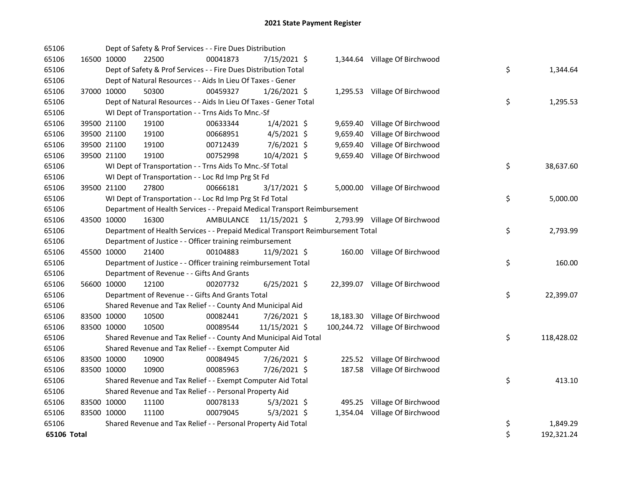| 65106       |             |             | Dept of Safety & Prof Services - - Fire Dues Distribution                       |           |                |  |                                 |    |            |
|-------------|-------------|-------------|---------------------------------------------------------------------------------|-----------|----------------|--|---------------------------------|----|------------|
| 65106       |             | 16500 10000 | 22500                                                                           | 00041873  | 7/15/2021 \$   |  | 1,344.64 Village Of Birchwood   |    |            |
| 65106       |             |             | Dept of Safety & Prof Services - - Fire Dues Distribution Total                 |           |                |  |                                 | \$ | 1,344.64   |
| 65106       |             |             | Dept of Natural Resources - - Aids In Lieu Of Taxes - Gener                     |           |                |  |                                 |    |            |
| 65106       |             | 37000 10000 | 50300                                                                           | 00459327  | $1/26/2021$ \$ |  | 1,295.53 Village Of Birchwood   |    |            |
| 65106       |             |             | Dept of Natural Resources - - Aids In Lieu Of Taxes - Gener Total               |           |                |  |                                 | \$ | 1,295.53   |
| 65106       |             |             | WI Dept of Transportation - - Trns Aids To Mnc.-Sf                              |           |                |  |                                 |    |            |
| 65106       |             | 39500 21100 | 19100                                                                           | 00633344  | $1/4/2021$ \$  |  | 9,659.40 Village Of Birchwood   |    |            |
| 65106       |             | 39500 21100 | 19100                                                                           | 00668951  | $4/5/2021$ \$  |  | 9,659.40 Village Of Birchwood   |    |            |
| 65106       |             | 39500 21100 | 19100                                                                           | 00712439  | 7/6/2021 \$    |  | 9,659.40 Village Of Birchwood   |    |            |
| 65106       |             | 39500 21100 | 19100                                                                           | 00752998  | 10/4/2021 \$   |  | 9,659.40 Village Of Birchwood   |    |            |
| 65106       |             |             | WI Dept of Transportation - - Trns Aids To Mnc.-Sf Total                        |           |                |  |                                 | \$ | 38,637.60  |
| 65106       |             |             | WI Dept of Transportation - - Loc Rd Imp Prg St Fd                              |           |                |  |                                 |    |            |
| 65106       |             | 39500 21100 | 27800                                                                           | 00666181  | 3/17/2021 \$   |  | 5,000.00 Village Of Birchwood   |    |            |
| 65106       |             |             | WI Dept of Transportation - - Loc Rd Imp Prg St Fd Total                        |           |                |  |                                 | \$ | 5,000.00   |
| 65106       |             |             | Department of Health Services - - Prepaid Medical Transport Reimbursement       |           |                |  |                                 |    |            |
| 65106       | 43500 10000 |             | 16300                                                                           | AMBULANCE | 11/15/2021 \$  |  | 2,793.99 Village Of Birchwood   |    |            |
| 65106       |             |             | Department of Health Services - - Prepaid Medical Transport Reimbursement Total |           |                |  |                                 | \$ | 2,793.99   |
| 65106       |             |             | Department of Justice - - Officer training reimbursement                        |           |                |  |                                 |    |            |
| 65106       | 45500 10000 |             | 21400                                                                           | 00104883  | 11/9/2021 \$   |  | 160.00 Village Of Birchwood     |    |            |
| 65106       |             |             | Department of Justice - - Officer training reimbursement Total                  |           |                |  |                                 | \$ | 160.00     |
| 65106       |             |             | Department of Revenue - - Gifts And Grants                                      |           |                |  |                                 |    |            |
| 65106       |             | 56600 10000 | 12100                                                                           | 00207732  | $6/25/2021$ \$ |  | 22,399.07 Village Of Birchwood  |    |            |
| 65106       |             |             | Department of Revenue - - Gifts And Grants Total                                |           |                |  |                                 | \$ | 22,399.07  |
| 65106       |             |             | Shared Revenue and Tax Relief - - County And Municipal Aid                      |           |                |  |                                 |    |            |
| 65106       |             | 83500 10000 | 10500                                                                           | 00082441  | 7/26/2021 \$   |  | 18,183.30 Village Of Birchwood  |    |            |
| 65106       | 83500 10000 |             | 10500                                                                           | 00089544  | 11/15/2021 \$  |  | 100,244.72 Village Of Birchwood |    |            |
| 65106       |             |             | Shared Revenue and Tax Relief - - County And Municipal Aid Total                |           |                |  |                                 | \$ | 118,428.02 |
| 65106       |             |             | Shared Revenue and Tax Relief - - Exempt Computer Aid                           |           |                |  |                                 |    |            |
| 65106       |             | 83500 10000 | 10900                                                                           | 00084945  | 7/26/2021 \$   |  | 225.52 Village Of Birchwood     |    |            |
| 65106       | 83500 10000 |             | 10900                                                                           | 00085963  | 7/26/2021 \$   |  | 187.58 Village Of Birchwood     |    |            |
| 65106       |             |             | Shared Revenue and Tax Relief - - Exempt Computer Aid Total                     |           |                |  |                                 | \$ | 413.10     |
| 65106       |             |             | Shared Revenue and Tax Relief - - Personal Property Aid                         |           |                |  |                                 |    |            |
| 65106       | 83500 10000 |             | 11100                                                                           | 00078133  | $5/3/2021$ \$  |  | 495.25 Village Of Birchwood     |    |            |
| 65106       | 83500 10000 |             | 11100                                                                           | 00079045  | $5/3/2021$ \$  |  | 1,354.04 Village Of Birchwood   |    |            |
| 65106       |             |             | Shared Revenue and Tax Relief - - Personal Property Aid Total                   |           |                |  |                                 | \$ | 1,849.29   |
| 65106 Total |             |             |                                                                                 |           |                |  |                                 | \$ | 192,321.24 |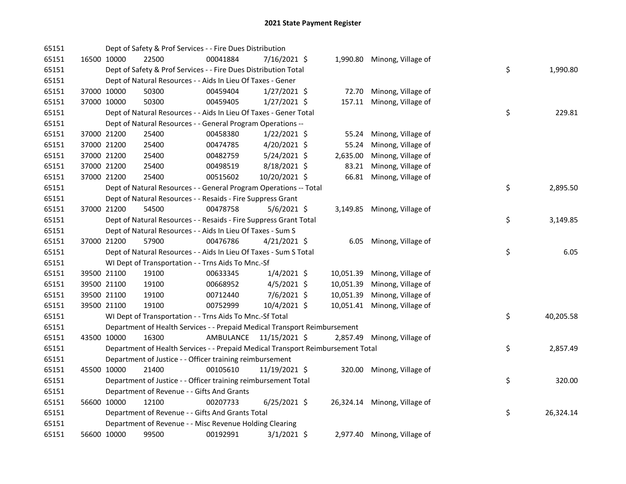| 65151 |             | Dept of Safety & Prof Services - - Fire Dues Distribution                       |           |                |           |                              |    |           |
|-------|-------------|---------------------------------------------------------------------------------|-----------|----------------|-----------|------------------------------|----|-----------|
| 65151 | 16500 10000 | 22500                                                                           | 00041884  | 7/16/2021 \$   |           | 1,990.80 Minong, Village of  |    |           |
| 65151 |             | Dept of Safety & Prof Services - - Fire Dues Distribution Total                 |           |                |           |                              | \$ | 1,990.80  |
| 65151 |             | Dept of Natural Resources - - Aids In Lieu Of Taxes - Gener                     |           |                |           |                              |    |           |
| 65151 | 37000 10000 | 50300                                                                           | 00459404  | $1/27/2021$ \$ | 72.70     | Minong, Village of           |    |           |
| 65151 | 37000 10000 | 50300                                                                           | 00459405  | $1/27/2021$ \$ |           | 157.11 Minong, Village of    |    |           |
| 65151 |             | Dept of Natural Resources - - Aids In Lieu Of Taxes - Gener Total               |           |                |           |                              | \$ | 229.81    |
| 65151 |             | Dept of Natural Resources - - General Program Operations --                     |           |                |           |                              |    |           |
| 65151 | 37000 21200 | 25400                                                                           | 00458380  | $1/22/2021$ \$ | 55.24     | Minong, Village of           |    |           |
| 65151 | 37000 21200 | 25400                                                                           | 00474785  | $4/20/2021$ \$ | 55.24     | Minong, Village of           |    |           |
| 65151 | 37000 21200 | 25400                                                                           | 00482759  | 5/24/2021 \$   | 2,635.00  | Minong, Village of           |    |           |
| 65151 | 37000 21200 | 25400                                                                           | 00498519  | 8/18/2021 \$   | 83.21     | Minong, Village of           |    |           |
| 65151 | 37000 21200 | 25400                                                                           | 00515602  | 10/20/2021 \$  | 66.81     | Minong, Village of           |    |           |
| 65151 |             | Dept of Natural Resources - - General Program Operations -- Total               |           |                |           |                              | \$ | 2,895.50  |
| 65151 |             | Dept of Natural Resources - - Resaids - Fire Suppress Grant                     |           |                |           |                              |    |           |
| 65151 | 37000 21200 | 54500                                                                           | 00478758  | $5/6/2021$ \$  |           | 3,149.85 Minong, Village of  |    |           |
| 65151 |             | Dept of Natural Resources - - Resaids - Fire Suppress Grant Total               |           |                |           |                              | \$ | 3,149.85  |
| 65151 |             | Dept of Natural Resources - - Aids In Lieu Of Taxes - Sum S                     |           |                |           |                              |    |           |
| 65151 | 37000 21200 | 57900                                                                           | 00476786  | $4/21/2021$ \$ |           | 6.05 Minong, Village of      |    |           |
| 65151 |             | Dept of Natural Resources - - Aids In Lieu Of Taxes - Sum S Total               |           |                |           |                              | \$ | 6.05      |
| 65151 |             | WI Dept of Transportation - - Trns Aids To Mnc.-Sf                              |           |                |           |                              |    |           |
| 65151 | 39500 21100 | 19100                                                                           | 00633345  | $1/4/2021$ \$  | 10,051.39 | Minong, Village of           |    |           |
| 65151 | 39500 21100 | 19100                                                                           | 00668952  | $4/5/2021$ \$  | 10,051.39 | Minong, Village of           |    |           |
| 65151 | 39500 21100 | 19100                                                                           | 00712440  | 7/6/2021 \$    | 10,051.39 | Minong, Village of           |    |           |
| 65151 | 39500 21100 | 19100                                                                           | 00752999  | 10/4/2021 \$   | 10,051.41 | Minong, Village of           |    |           |
| 65151 |             | WI Dept of Transportation - - Trns Aids To Mnc.-Sf Total                        |           |                |           |                              | \$ | 40,205.58 |
| 65151 |             | Department of Health Services - - Prepaid Medical Transport Reimbursement       |           |                |           |                              |    |           |
| 65151 | 43500 10000 | 16300                                                                           | AMBULANCE | 11/15/2021 \$  | 2,857.49  | Minong, Village of           |    |           |
| 65151 |             | Department of Health Services - - Prepaid Medical Transport Reimbursement Total |           |                |           |                              | \$ | 2,857.49  |
| 65151 |             | Department of Justice - - Officer training reimbursement                        |           |                |           |                              |    |           |
| 65151 | 45500 10000 | 21400                                                                           | 00105610  | 11/19/2021 \$  |           | 320.00 Minong, Village of    |    |           |
| 65151 |             | Department of Justice - - Officer training reimbursement Total                  |           |                |           |                              | \$ | 320.00    |
| 65151 |             | Department of Revenue - - Gifts And Grants                                      |           |                |           |                              |    |           |
| 65151 | 56600 10000 | 12100                                                                           | 00207733  | $6/25/2021$ \$ |           | 26,324.14 Minong, Village of |    |           |
| 65151 |             | Department of Revenue - - Gifts And Grants Total                                |           |                |           |                              | \$ | 26,324.14 |
| 65151 |             | Department of Revenue - - Misc Revenue Holding Clearing                         |           |                |           |                              |    |           |
| 65151 | 56600 10000 | 99500                                                                           | 00192991  | $3/1/2021$ \$  |           | 2,977.40 Minong, Village of  |    |           |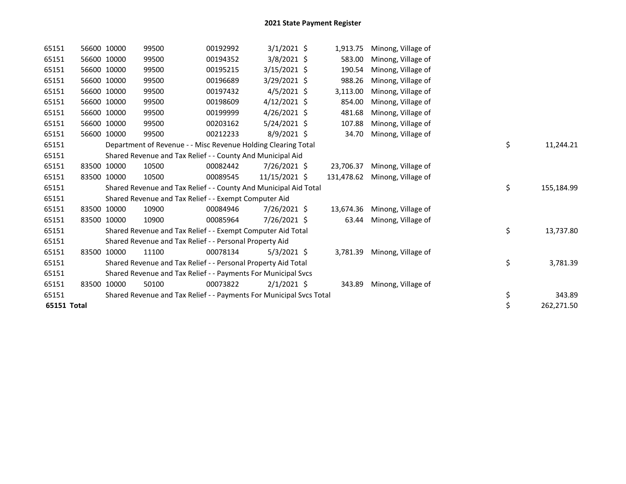| 65151       | 56600 10000 | 99500                                                               | 00192992 | $3/1/2021$ \$  | 1,913.75   | Minong, Village of |    |            |
|-------------|-------------|---------------------------------------------------------------------|----------|----------------|------------|--------------------|----|------------|
| 65151       | 56600 10000 | 99500                                                               | 00194352 | $3/8/2021$ \$  | 583.00     | Minong, Village of |    |            |
| 65151       | 56600 10000 | 99500                                                               | 00195215 | 3/15/2021 \$   | 190.54     | Minong, Village of |    |            |
| 65151       | 56600 10000 | 99500                                                               | 00196689 | 3/29/2021 \$   | 988.26     | Minong, Village of |    |            |
| 65151       | 56600 10000 | 99500                                                               | 00197432 | $4/5/2021$ \$  | 3,113.00   | Minong, Village of |    |            |
| 65151       | 56600 10000 | 99500                                                               | 00198609 | $4/12/2021$ \$ | 854.00     | Minong, Village of |    |            |
| 65151       | 56600 10000 | 99500                                                               | 00199999 | 4/26/2021 \$   | 481.68     | Minong, Village of |    |            |
| 65151       | 56600 10000 | 99500                                                               | 00203162 | 5/24/2021 \$   | 107.88     | Minong, Village of |    |            |
| 65151       | 56600 10000 | 99500                                                               | 00212233 | $8/9/2021$ \$  | 34.70      | Minong, Village of |    |            |
| 65151       |             | Department of Revenue - - Misc Revenue Holding Clearing Total       |          |                |            |                    | \$ | 11,244.21  |
| 65151       |             | Shared Revenue and Tax Relief - - County And Municipal Aid          |          |                |            |                    |    |            |
| 65151       | 83500 10000 | 10500                                                               | 00082442 | 7/26/2021 \$   | 23,706.37  | Minong, Village of |    |            |
| 65151       | 83500 10000 | 10500                                                               | 00089545 | 11/15/2021 \$  | 131,478.62 | Minong, Village of |    |            |
| 65151       |             | Shared Revenue and Tax Relief - - County And Municipal Aid Total    |          |                |            |                    | \$ | 155,184.99 |
| 65151       |             | Shared Revenue and Tax Relief - - Exempt Computer Aid               |          |                |            |                    |    |            |
| 65151       | 83500 10000 | 10900                                                               | 00084946 | 7/26/2021 \$   | 13,674.36  | Minong, Village of |    |            |
| 65151       | 83500 10000 | 10900                                                               | 00085964 | 7/26/2021 \$   | 63.44      | Minong, Village of |    |            |
| 65151       |             | Shared Revenue and Tax Relief - - Exempt Computer Aid Total         |          |                |            |                    | \$ | 13,737.80  |
| 65151       |             | Shared Revenue and Tax Relief - - Personal Property Aid             |          |                |            |                    |    |            |
| 65151       | 83500 10000 | 11100                                                               | 00078134 | $5/3/2021$ \$  | 3,781.39   | Minong, Village of |    |            |
| 65151       |             | Shared Revenue and Tax Relief - - Personal Property Aid Total       |          |                |            |                    | \$ | 3,781.39   |
| 65151       |             | Shared Revenue and Tax Relief - - Payments For Municipal Svcs       |          |                |            |                    |    |            |
| 65151       | 83500 10000 | 50100                                                               | 00073822 | $2/1/2021$ \$  | 343.89     | Minong, Village of |    |            |
| 65151       |             | Shared Revenue and Tax Relief - - Payments For Municipal Svcs Total |          |                |            |                    | \$ | 343.89     |
| 65151 Total |             |                                                                     |          |                |            |                    | \$ | 262,271.50 |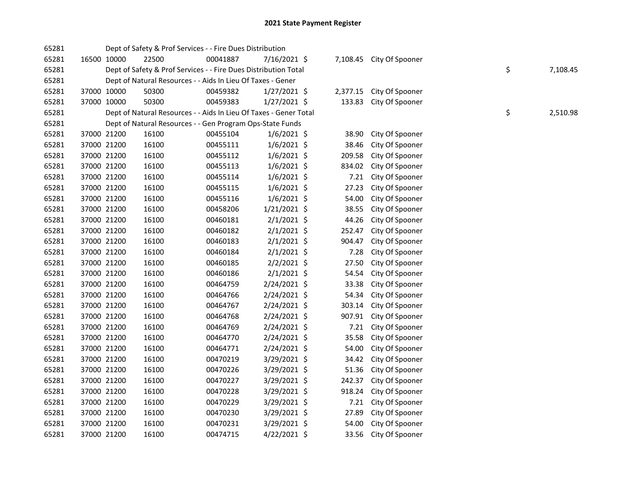| 65281 |             |             | Dept of Safety & Prof Services - - Fire Dues Distribution         |          |                |          |                          |                |
|-------|-------------|-------------|-------------------------------------------------------------------|----------|----------------|----------|--------------------------|----------------|
| 65281 | 16500 10000 |             | 22500                                                             | 00041887 | 7/16/2021 \$   |          | 7,108.45 City Of Spooner |                |
| 65281 |             |             | Dept of Safety & Prof Services - - Fire Dues Distribution Total   |          |                |          |                          | \$<br>7,108.45 |
| 65281 |             |             | Dept of Natural Resources - - Aids In Lieu Of Taxes - Gener       |          |                |          |                          |                |
| 65281 |             | 37000 10000 | 50300                                                             | 00459382 | $1/27/2021$ \$ | 2,377.15 | City Of Spooner          |                |
| 65281 |             | 37000 10000 | 50300                                                             | 00459383 | $1/27/2021$ \$ | 133.83   | City Of Spooner          |                |
| 65281 |             |             | Dept of Natural Resources - - Aids In Lieu Of Taxes - Gener Total |          |                |          |                          | \$<br>2,510.98 |
| 65281 |             |             | Dept of Natural Resources - - Gen Program Ops-State Funds         |          |                |          |                          |                |
| 65281 |             | 37000 21200 | 16100                                                             | 00455104 | 1/6/2021 \$    | 38.90    | City Of Spooner          |                |
| 65281 |             | 37000 21200 | 16100                                                             | 00455111 | $1/6/2021$ \$  | 38.46    | City Of Spooner          |                |
| 65281 |             | 37000 21200 | 16100                                                             | 00455112 | $1/6/2021$ \$  | 209.58   | City Of Spooner          |                |
| 65281 |             | 37000 21200 | 16100                                                             | 00455113 | $1/6/2021$ \$  | 834.02   | City Of Spooner          |                |
| 65281 |             | 37000 21200 | 16100                                                             | 00455114 | 1/6/2021 \$    | 7.21     | City Of Spooner          |                |
| 65281 |             | 37000 21200 | 16100                                                             | 00455115 | $1/6/2021$ \$  | 27.23    | City Of Spooner          |                |
| 65281 |             | 37000 21200 | 16100                                                             | 00455116 | $1/6/2021$ \$  | 54.00    | City Of Spooner          |                |
| 65281 |             | 37000 21200 | 16100                                                             | 00458206 | 1/21/2021 \$   | 38.55    | City Of Spooner          |                |
| 65281 |             | 37000 21200 | 16100                                                             | 00460181 | $2/1/2021$ \$  | 44.26    | City Of Spooner          |                |
| 65281 |             | 37000 21200 | 16100                                                             | 00460182 | $2/1/2021$ \$  | 252.47   | City Of Spooner          |                |
| 65281 |             | 37000 21200 | 16100                                                             | 00460183 | 2/1/2021 \$    | 904.47   | City Of Spooner          |                |
| 65281 |             | 37000 21200 | 16100                                                             | 00460184 | $2/1/2021$ \$  | 7.28     | City Of Spooner          |                |
| 65281 |             | 37000 21200 | 16100                                                             | 00460185 | 2/2/2021 \$    | 27.50    | City Of Spooner          |                |
| 65281 |             | 37000 21200 | 16100                                                             | 00460186 | $2/1/2021$ \$  | 54.54    | City Of Spooner          |                |
| 65281 |             | 37000 21200 | 16100                                                             | 00464759 | 2/24/2021 \$   | 33.38    | City Of Spooner          |                |
| 65281 | 37000 21200 |             | 16100                                                             | 00464766 | 2/24/2021 \$   | 54.34    | City Of Spooner          |                |
| 65281 |             | 37000 21200 | 16100                                                             | 00464767 | 2/24/2021 \$   | 303.14   | City Of Spooner          |                |
| 65281 | 37000 21200 |             | 16100                                                             | 00464768 | 2/24/2021 \$   | 907.91   | City Of Spooner          |                |
| 65281 |             | 37000 21200 | 16100                                                             | 00464769 | 2/24/2021 \$   | 7.21     | City Of Spooner          |                |
| 65281 |             | 37000 21200 | 16100                                                             | 00464770 | 2/24/2021 \$   | 35.58    | City Of Spooner          |                |
| 65281 | 37000 21200 |             | 16100                                                             | 00464771 | 2/24/2021 \$   | 54.00    | City Of Spooner          |                |
| 65281 | 37000 21200 |             | 16100                                                             | 00470219 | 3/29/2021 \$   | 34.42    | City Of Spooner          |                |
| 65281 |             | 37000 21200 | 16100                                                             | 00470226 | 3/29/2021 \$   | 51.36    | City Of Spooner          |                |
| 65281 |             | 37000 21200 | 16100                                                             | 00470227 | 3/29/2021 \$   | 242.37   | City Of Spooner          |                |
| 65281 |             | 37000 21200 | 16100                                                             | 00470228 | 3/29/2021 \$   | 918.24   | City Of Spooner          |                |
| 65281 |             | 37000 21200 | 16100                                                             | 00470229 | 3/29/2021 \$   | 7.21     | City Of Spooner          |                |
| 65281 |             | 37000 21200 | 16100                                                             | 00470230 | 3/29/2021 \$   | 27.89    | City Of Spooner          |                |
| 65281 |             | 37000 21200 | 16100                                                             | 00470231 | 3/29/2021 \$   | 54.00    | City Of Spooner          |                |
| 65281 | 37000 21200 |             | 16100                                                             | 00474715 | $4/22/2021$ \$ | 33.56    | City Of Spooner          |                |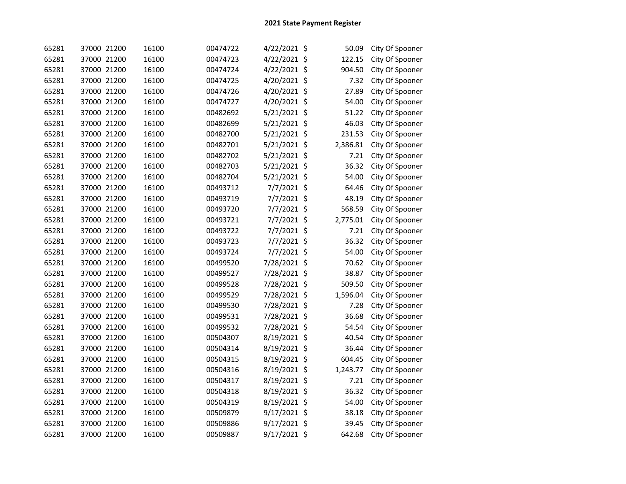| 65281 | 37000 21200 | 16100 | 00474722 | 4/22/2021 \$ |         | 50.09    | City Of Spooner |
|-------|-------------|-------|----------|--------------|---------|----------|-----------------|
| 65281 | 37000 21200 | 16100 | 00474723 | 4/22/2021 \$ |         | 122.15   | City Of Spooner |
| 65281 | 37000 21200 | 16100 | 00474724 | 4/22/2021    | $\zeta$ | 904.50   | City Of Spooner |
| 65281 | 37000 21200 | 16100 | 00474725 | 4/20/2021    | $\zeta$ | 7.32     | City Of Spooner |
| 65281 | 37000 21200 | 16100 | 00474726 | 4/20/2021    | $\zeta$ | 27.89    | City Of Spooner |
| 65281 | 37000 21200 | 16100 | 00474727 | 4/20/2021    | $\zeta$ | 54.00    | City Of Spooner |
| 65281 | 37000 21200 | 16100 | 00482692 | 5/21/2021    | \$      | 51.22    | City Of Spooner |
| 65281 | 37000 21200 | 16100 | 00482699 | 5/21/2021    | $\zeta$ | 46.03    | City Of Spooner |
| 65281 | 37000 21200 | 16100 | 00482700 | 5/21/2021    | \$      | 231.53   | City Of Spooner |
| 65281 | 37000 21200 | 16100 | 00482701 | 5/21/2021    | \$      | 2,386.81 | City Of Spooner |
| 65281 | 37000 21200 | 16100 | 00482702 | 5/21/2021    | \$      | 7.21     | City Of Spooner |
| 65281 | 37000 21200 | 16100 | 00482703 | 5/21/2021 \$ |         | 36.32    | City Of Spooner |
| 65281 | 37000 21200 | 16100 | 00482704 | 5/21/2021 \$ |         | 54.00    | City Of Spooner |
| 65281 | 37000 21200 | 16100 | 00493712 | 7/7/2021 \$  |         | 64.46    | City Of Spooner |
| 65281 | 37000 21200 | 16100 | 00493719 | 7/7/2021 \$  |         | 48.19    | City Of Spooner |
| 65281 | 37000 21200 | 16100 | 00493720 | 7/7/2021 \$  |         | 568.59   | City Of Spooner |
| 65281 | 37000 21200 | 16100 | 00493721 | 7/7/2021 \$  |         | 2,775.01 | City Of Spooner |
| 65281 | 37000 21200 | 16100 | 00493722 | 7/7/2021 \$  |         | 7.21     | City Of Spooner |
| 65281 | 37000 21200 | 16100 | 00493723 | 7/7/2021 \$  |         | 36.32    | City Of Spooner |
| 65281 | 37000 21200 | 16100 | 00493724 | 7/7/2021 \$  |         | 54.00    | City Of Spooner |
| 65281 | 37000 21200 | 16100 | 00499520 | 7/28/2021 \$ |         | 70.62    | City Of Spooner |
| 65281 | 37000 21200 | 16100 | 00499527 | 7/28/2021 \$ |         | 38.87    | City Of Spooner |
| 65281 | 37000 21200 | 16100 | 00499528 | 7/28/2021 \$ |         | 509.50   | City Of Spooner |
| 65281 | 37000 21200 | 16100 | 00499529 | 7/28/2021 \$ |         | 1,596.04 | City Of Spooner |
| 65281 | 37000 21200 | 16100 | 00499530 | 7/28/2021 \$ |         | 7.28     | City Of Spooner |
| 65281 | 37000 21200 | 16100 | 00499531 | 7/28/2021 \$ |         | 36.68    | City Of Spooner |
| 65281 | 37000 21200 | 16100 | 00499532 | 7/28/2021 \$ |         | 54.54    | City Of Spooner |
| 65281 | 37000 21200 | 16100 | 00504307 | 8/19/2021    | \$      | 40.54    | City Of Spooner |
| 65281 | 37000 21200 | 16100 | 00504314 | 8/19/2021    | \$      | 36.44    | City Of Spooner |
| 65281 | 37000 21200 | 16100 | 00504315 | 8/19/2021    | \$      | 604.45   | City Of Spooner |
| 65281 | 37000 21200 | 16100 | 00504316 | 8/19/2021    | $\zeta$ | 1,243.77 | City Of Spooner |
| 65281 | 37000 21200 | 16100 | 00504317 | 8/19/2021 \$ |         | 7.21     | City Of Spooner |
| 65281 | 37000 21200 | 16100 | 00504318 | 8/19/2021 \$ |         | 36.32    | City Of Spooner |
| 65281 | 37000 21200 | 16100 | 00504319 | 8/19/2021 \$ |         | 54.00    | City Of Spooner |
| 65281 | 37000 21200 | 16100 | 00509879 | 9/17/2021 \$ |         | 38.18    | City Of Spooner |
| 65281 | 37000 21200 | 16100 | 00509886 | 9/17/2021    | -\$     | 39.45    | City Of Spooner |
| 65281 | 37000 21200 | 16100 | 00509887 | 9/17/2021 \$ |         | 642.68   | City Of Spooner |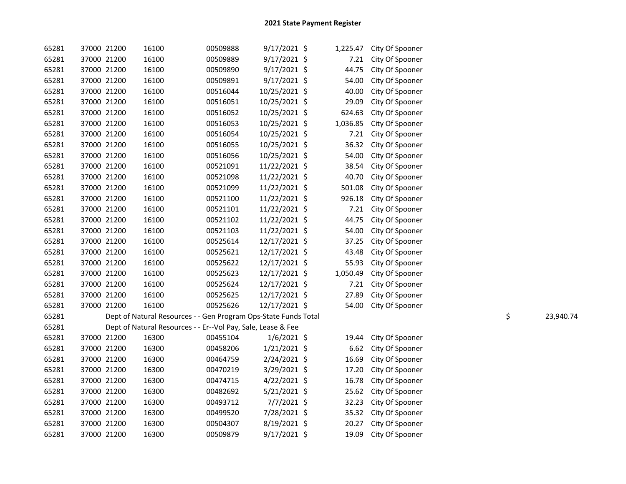| 65281 | 37000 21200 |             | 16100                                                           | 00509888 | $9/17/2021$ \$ | 1,225.47 | City Of Spooner |                 |
|-------|-------------|-------------|-----------------------------------------------------------------|----------|----------------|----------|-----------------|-----------------|
| 65281 | 37000 21200 |             | 16100                                                           | 00509889 | 9/17/2021 \$   | 7.21     | City Of Spooner |                 |
| 65281 | 37000 21200 |             | 16100                                                           | 00509890 | 9/17/2021 \$   | 44.75    | City Of Spooner |                 |
| 65281 | 37000 21200 |             | 16100                                                           | 00509891 | 9/17/2021 \$   | 54.00    | City Of Spooner |                 |
| 65281 | 37000 21200 |             | 16100                                                           | 00516044 | 10/25/2021 \$  | 40.00    | City Of Spooner |                 |
| 65281 | 37000 21200 |             | 16100                                                           | 00516051 | 10/25/2021 \$  | 29.09    | City Of Spooner |                 |
| 65281 |             | 37000 21200 | 16100                                                           | 00516052 | 10/25/2021 \$  | 624.63   | City Of Spooner |                 |
| 65281 | 37000 21200 |             | 16100                                                           | 00516053 | 10/25/2021 \$  | 1,036.85 | City Of Spooner |                 |
| 65281 | 37000 21200 |             | 16100                                                           | 00516054 | 10/25/2021 \$  | 7.21     | City Of Spooner |                 |
| 65281 | 37000 21200 |             | 16100                                                           | 00516055 | 10/25/2021 \$  | 36.32    | City Of Spooner |                 |
| 65281 | 37000 21200 |             | 16100                                                           | 00516056 | 10/25/2021 \$  | 54.00    | City Of Spooner |                 |
| 65281 | 37000 21200 |             | 16100                                                           | 00521091 | 11/22/2021 \$  | 38.54    | City Of Spooner |                 |
| 65281 | 37000 21200 |             | 16100                                                           | 00521098 | 11/22/2021 \$  | 40.70    | City Of Spooner |                 |
| 65281 | 37000 21200 |             | 16100                                                           | 00521099 | 11/22/2021 \$  | 501.08   | City Of Spooner |                 |
| 65281 | 37000 21200 |             | 16100                                                           | 00521100 | 11/22/2021 \$  | 926.18   | City Of Spooner |                 |
| 65281 | 37000 21200 |             | 16100                                                           | 00521101 | 11/22/2021 \$  | 7.21     | City Of Spooner |                 |
| 65281 | 37000 21200 |             | 16100                                                           | 00521102 | 11/22/2021 \$  | 44.75    | City Of Spooner |                 |
| 65281 | 37000 21200 |             | 16100                                                           | 00521103 | 11/22/2021 \$  | 54.00    | City Of Spooner |                 |
| 65281 | 37000 21200 |             | 16100                                                           | 00525614 | 12/17/2021 \$  | 37.25    | City Of Spooner |                 |
| 65281 | 37000 21200 |             | 16100                                                           | 00525621 | 12/17/2021 \$  | 43.48    | City Of Spooner |                 |
| 65281 | 37000 21200 |             | 16100                                                           | 00525622 | 12/17/2021 \$  | 55.93    | City Of Spooner |                 |
| 65281 | 37000 21200 |             | 16100                                                           | 00525623 | 12/17/2021 \$  | 1,050.49 | City Of Spooner |                 |
| 65281 | 37000 21200 |             | 16100                                                           | 00525624 | 12/17/2021 \$  | 7.21     | City Of Spooner |                 |
| 65281 | 37000 21200 |             | 16100                                                           | 00525625 | 12/17/2021 \$  | 27.89    | City Of Spooner |                 |
| 65281 | 37000 21200 |             | 16100                                                           | 00525626 | 12/17/2021 \$  | 54.00    | City Of Spooner |                 |
| 65281 |             |             | Dept of Natural Resources - - Gen Program Ops-State Funds Total |          |                |          |                 | \$<br>23,940.74 |
| 65281 |             |             | Dept of Natural Resources - - Er--Vol Pay, Sale, Lease & Fee    |          |                |          |                 |                 |
| 65281 |             | 37000 21200 | 16300                                                           | 00455104 | $1/6/2021$ \$  | 19.44    | City Of Spooner |                 |
| 65281 | 37000 21200 |             | 16300                                                           | 00458206 | $1/21/2021$ \$ | 6.62     | City Of Spooner |                 |
| 65281 | 37000 21200 |             | 16300                                                           | 00464759 | 2/24/2021 \$   | 16.69    | City Of Spooner |                 |
| 65281 | 37000 21200 |             | 16300                                                           | 00470219 | 3/29/2021 \$   | 17.20    | City Of Spooner |                 |
| 65281 | 37000 21200 |             | 16300                                                           | 00474715 | $4/22/2021$ \$ | 16.78    | City Of Spooner |                 |
| 65281 | 37000 21200 |             | 16300                                                           | 00482692 | $5/21/2021$ \$ | 25.62    | City Of Spooner |                 |
| 65281 | 37000 21200 |             | 16300                                                           | 00493712 | 7/7/2021 \$    | 32.23    | City Of Spooner |                 |
| 65281 | 37000 21200 |             | 16300                                                           | 00499520 | 7/28/2021 \$   | 35.32    | City Of Spooner |                 |
| 65281 | 37000 21200 |             | 16300                                                           | 00504307 | 8/19/2021 \$   | 20.27    | City Of Spooner |                 |
| 65281 | 37000 21200 |             | 16300                                                           | 00509879 | 9/17/2021 \$   | 19.09    | City Of Spooner |                 |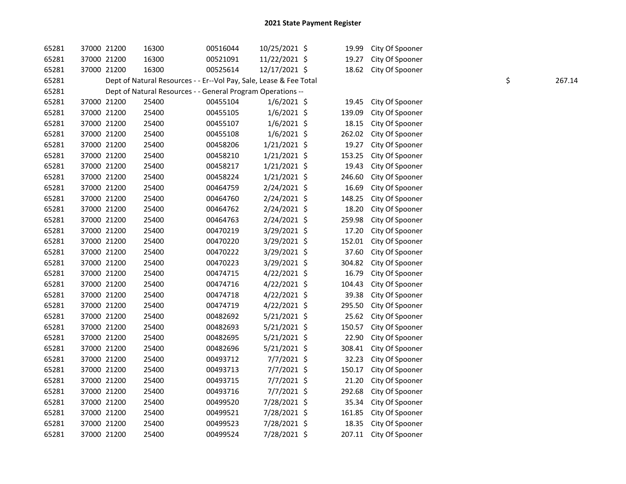| 65281 | 37000 21200 | 16300                                                              | 00516044 | 10/25/2021 \$  | 19.99  | City Of Spooner |              |
|-------|-------------|--------------------------------------------------------------------|----------|----------------|--------|-----------------|--------------|
| 65281 | 37000 21200 | 16300                                                              | 00521091 | 11/22/2021 \$  | 19.27  | City Of Spooner |              |
| 65281 | 37000 21200 | 16300                                                              | 00525614 | 12/17/2021 \$  | 18.62  | City Of Spooner |              |
| 65281 |             | Dept of Natural Resources - - Er--Vol Pay, Sale, Lease & Fee Total |          |                |        |                 | \$<br>267.14 |
| 65281 |             | Dept of Natural Resources - - General Program Operations --        |          |                |        |                 |              |
| 65281 | 37000 21200 | 25400                                                              | 00455104 | $1/6/2021$ \$  | 19.45  | City Of Spooner |              |
| 65281 | 37000 21200 | 25400                                                              | 00455105 | $1/6/2021$ \$  | 139.09 | City Of Spooner |              |
| 65281 | 37000 21200 | 25400                                                              | 00455107 | $1/6/2021$ \$  | 18.15  | City Of Spooner |              |
| 65281 | 37000 21200 | 25400                                                              | 00455108 | $1/6/2021$ \$  | 262.02 | City Of Spooner |              |
| 65281 | 37000 21200 | 25400                                                              | 00458206 | $1/21/2021$ \$ | 19.27  | City Of Spooner |              |
| 65281 | 37000 21200 | 25400                                                              | 00458210 | $1/21/2021$ \$ | 153.25 | City Of Spooner |              |
| 65281 | 37000 21200 | 25400                                                              | 00458217 | $1/21/2021$ \$ | 19.43  | City Of Spooner |              |
| 65281 | 37000 21200 | 25400                                                              | 00458224 | 1/21/2021 \$   | 246.60 | City Of Spooner |              |
| 65281 | 37000 21200 | 25400                                                              | 00464759 | 2/24/2021 \$   | 16.69  | City Of Spooner |              |
| 65281 | 37000 21200 | 25400                                                              | 00464760 | 2/24/2021 \$   | 148.25 | City Of Spooner |              |
| 65281 | 37000 21200 | 25400                                                              | 00464762 | 2/24/2021 \$   | 18.20  | City Of Spooner |              |
| 65281 | 37000 21200 | 25400                                                              | 00464763 | 2/24/2021 \$   | 259.98 | City Of Spooner |              |
| 65281 | 37000 21200 | 25400                                                              | 00470219 | 3/29/2021 \$   | 17.20  | City Of Spooner |              |
| 65281 | 37000 21200 | 25400                                                              | 00470220 | 3/29/2021 \$   | 152.01 | City Of Spooner |              |
| 65281 | 37000 21200 | 25400                                                              | 00470222 | 3/29/2021 \$   | 37.60  | City Of Spooner |              |
| 65281 | 37000 21200 | 25400                                                              | 00470223 | 3/29/2021 \$   | 304.82 | City Of Spooner |              |
| 65281 | 37000 21200 | 25400                                                              | 00474715 | 4/22/2021 \$   | 16.79  | City Of Spooner |              |
| 65281 | 37000 21200 | 25400                                                              | 00474716 | 4/22/2021 \$   | 104.43 | City Of Spooner |              |
| 65281 | 37000 21200 | 25400                                                              | 00474718 | 4/22/2021 \$   | 39.38  | City Of Spooner |              |
| 65281 | 37000 21200 | 25400                                                              | 00474719 | $4/22/2021$ \$ | 295.50 | City Of Spooner |              |
| 65281 | 37000 21200 | 25400                                                              | 00482692 | 5/21/2021 \$   | 25.62  | City Of Spooner |              |
| 65281 | 37000 21200 | 25400                                                              | 00482693 | 5/21/2021 \$   | 150.57 | City Of Spooner |              |
| 65281 | 37000 21200 | 25400                                                              | 00482695 | $5/21/2021$ \$ | 22.90  | City Of Spooner |              |
| 65281 | 37000 21200 | 25400                                                              | 00482696 | 5/21/2021 \$   | 308.41 | City Of Spooner |              |
| 65281 | 37000 21200 | 25400                                                              | 00493712 | 7/7/2021 \$    | 32.23  | City Of Spooner |              |
| 65281 | 37000 21200 | 25400                                                              | 00493713 | 7/7/2021 \$    | 150.17 | City Of Spooner |              |
| 65281 | 37000 21200 | 25400                                                              | 00493715 | $7/7/2021$ \$  | 21.20  | City Of Spooner |              |
| 65281 | 37000 21200 | 25400                                                              | 00493716 | $7/7/2021$ \$  | 292.68 | City Of Spooner |              |
| 65281 | 37000 21200 | 25400                                                              | 00499520 | 7/28/2021 \$   | 35.34  | City Of Spooner |              |
| 65281 | 37000 21200 | 25400                                                              | 00499521 | 7/28/2021 \$   | 161.85 | City Of Spooner |              |
| 65281 | 37000 21200 | 25400                                                              | 00499523 | 7/28/2021 \$   | 18.35  | City Of Spooner |              |
| 65281 | 37000 21200 | 25400                                                              | 00499524 | 7/28/2021 \$   | 207.11 | City Of Spooner |              |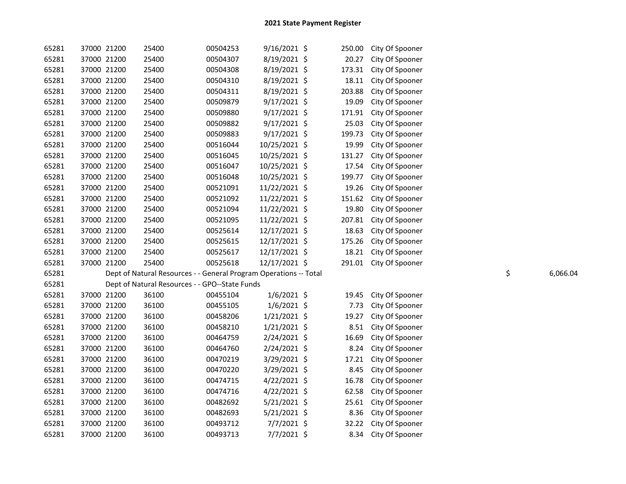| 65281 |             | 37000 21200 | 25400                                                             | 00504253 | $9/16/2021$ \$ | 250.00 | City Of Spooner |                |
|-------|-------------|-------------|-------------------------------------------------------------------|----------|----------------|--------|-----------------|----------------|
| 65281 | 37000 21200 |             | 25400                                                             | 00504307 | 8/19/2021 \$   | 20.27  | City Of Spooner |                |
| 65281 | 37000 21200 |             | 25400                                                             | 00504308 | 8/19/2021 \$   | 173.31 | City Of Spooner |                |
| 65281 | 37000 21200 |             | 25400                                                             | 00504310 | 8/19/2021 \$   | 18.11  | City Of Spooner |                |
| 65281 | 37000 21200 |             | 25400                                                             | 00504311 | 8/19/2021 \$   | 203.88 | City Of Spooner |                |
| 65281 | 37000 21200 |             | 25400                                                             | 00509879 | $9/17/2021$ \$ | 19.09  | City Of Spooner |                |
| 65281 | 37000 21200 |             | 25400                                                             | 00509880 | 9/17/2021 \$   | 171.91 | City Of Spooner |                |
| 65281 | 37000 21200 |             | 25400                                                             | 00509882 | $9/17/2021$ \$ | 25.03  | City Of Spooner |                |
| 65281 | 37000 21200 |             | 25400                                                             | 00509883 | $9/17/2021$ \$ | 199.73 | City Of Spooner |                |
| 65281 | 37000 21200 |             | 25400                                                             | 00516044 | 10/25/2021 \$  | 19.99  | City Of Spooner |                |
| 65281 | 37000 21200 |             | 25400                                                             | 00516045 | 10/25/2021 \$  | 131.27 | City Of Spooner |                |
| 65281 | 37000 21200 |             | 25400                                                             | 00516047 | 10/25/2021 \$  | 17.54  | City Of Spooner |                |
| 65281 | 37000 21200 |             | 25400                                                             | 00516048 | 10/25/2021 \$  | 199.77 | City Of Spooner |                |
| 65281 | 37000 21200 |             | 25400                                                             | 00521091 | 11/22/2021 \$  | 19.26  | City Of Spooner |                |
| 65281 | 37000 21200 |             | 25400                                                             | 00521092 | 11/22/2021 \$  | 151.62 | City Of Spooner |                |
| 65281 | 37000 21200 |             | 25400                                                             | 00521094 | 11/22/2021 \$  | 19.80  | City Of Spooner |                |
| 65281 | 37000 21200 |             | 25400                                                             | 00521095 | 11/22/2021 \$  | 207.81 | City Of Spooner |                |
| 65281 | 37000 21200 |             | 25400                                                             | 00525614 | 12/17/2021 \$  | 18.63  | City Of Spooner |                |
| 65281 | 37000 21200 |             | 25400                                                             | 00525615 | 12/17/2021 \$  | 175.26 | City Of Spooner |                |
| 65281 | 37000 21200 |             | 25400                                                             | 00525617 | 12/17/2021 \$  | 18.21  | City Of Spooner |                |
| 65281 | 37000 21200 |             | 25400                                                             | 00525618 | 12/17/2021 \$  | 291.01 | City Of Spooner |                |
| 65281 |             |             | Dept of Natural Resources - - General Program Operations -- Total |          |                |        |                 | \$<br>6,066.04 |
| 65281 |             |             | Dept of Natural Resources - - GPO--State Funds                    |          |                |        |                 |                |
| 65281 | 37000 21200 |             | 36100                                                             | 00455104 | $1/6/2021$ \$  | 19.45  | City Of Spooner |                |
| 65281 | 37000 21200 |             | 36100                                                             | 00455105 | $1/6/2021$ \$  | 7.73   | City Of Spooner |                |
| 65281 | 37000 21200 |             | 36100                                                             | 00458206 | $1/21/2021$ \$ | 19.27  | City Of Spooner |                |
| 65281 | 37000 21200 |             | 36100                                                             | 00458210 | $1/21/2021$ \$ | 8.51   | City Of Spooner |                |
| 65281 | 37000 21200 |             | 36100                                                             | 00464759 | 2/24/2021 \$   | 16.69  | City Of Spooner |                |
| 65281 | 37000 21200 |             | 36100                                                             | 00464760 | 2/24/2021 \$   | 8.24   | City Of Spooner |                |
| 65281 |             |             |                                                                   |          |                |        |                 |                |
|       | 37000 21200 |             | 36100                                                             | 00470219 | 3/29/2021 \$   | 17.21  | City Of Spooner |                |
| 65281 | 37000 21200 |             | 36100                                                             | 00470220 | $3/29/2021$ \$ | 8.45   | City Of Spooner |                |
| 65281 | 37000 21200 |             | 36100                                                             | 00474715 | $4/22/2021$ \$ | 16.78  | City Of Spooner |                |
| 65281 | 37000 21200 |             | 36100                                                             | 00474716 | $4/22/2021$ \$ | 62.58  | City Of Spooner |                |
| 65281 | 37000 21200 |             | 36100                                                             | 00482692 | $5/21/2021$ \$ | 25.61  | City Of Spooner |                |
| 65281 | 37000 21200 |             | 36100                                                             | 00482693 | $5/21/2021$ \$ | 8.36   | City Of Spooner |                |
| 65281 | 37000 21200 |             | 36100                                                             | 00493712 | $7/7/2021$ \$  | 32.22  | City Of Spooner |                |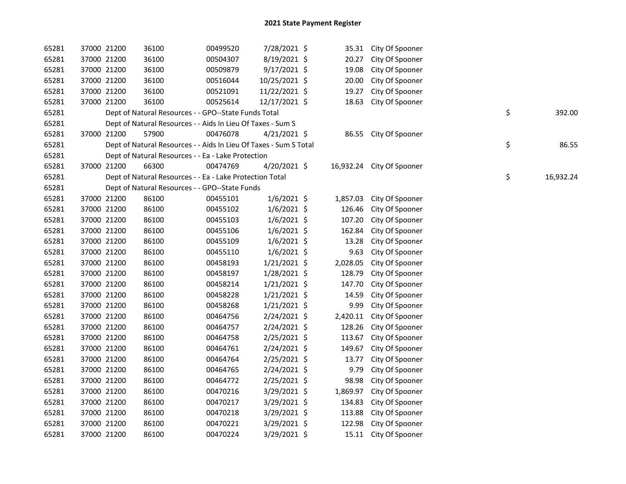| 65281 | 37000 21200 | 36100                                                             | 00499520 | 7/28/2021 \$   |          | 35.31 City Of Spooner     |                 |
|-------|-------------|-------------------------------------------------------------------|----------|----------------|----------|---------------------------|-----------------|
| 65281 | 37000 21200 | 36100                                                             | 00504307 | 8/19/2021 \$   | 20.27    | City Of Spooner           |                 |
| 65281 | 37000 21200 | 36100                                                             | 00509879 | 9/17/2021 \$   | 19.08    | City Of Spooner           |                 |
| 65281 | 37000 21200 | 36100                                                             | 00516044 | 10/25/2021 \$  | 20.00    | City Of Spooner           |                 |
| 65281 | 37000 21200 | 36100                                                             | 00521091 | 11/22/2021 \$  | 19.27    | City Of Spooner           |                 |
| 65281 | 37000 21200 | 36100                                                             | 00525614 | 12/17/2021 \$  | 18.63    | City Of Spooner           |                 |
| 65281 |             | Dept of Natural Resources - - GPO--State Funds Total              |          |                |          |                           | \$<br>392.00    |
| 65281 |             | Dept of Natural Resources - - Aids In Lieu Of Taxes - Sum S       |          |                |          |                           |                 |
| 65281 | 37000 21200 | 57900                                                             | 00476078 | $4/21/2021$ \$ | 86.55    | City Of Spooner           |                 |
| 65281 |             | Dept of Natural Resources - - Aids In Lieu Of Taxes - Sum S Total |          |                |          |                           | \$<br>86.55     |
| 65281 |             | Dept of Natural Resources - - Ea - Lake Protection                |          |                |          |                           |                 |
| 65281 | 37000 21200 | 66300                                                             | 00474769 | 4/20/2021 \$   |          | 16,932.24 City Of Spooner |                 |
| 65281 |             | Dept of Natural Resources - - Ea - Lake Protection Total          |          |                |          |                           | \$<br>16,932.24 |
| 65281 |             | Dept of Natural Resources - - GPO--State Funds                    |          |                |          |                           |                 |
| 65281 | 37000 21200 | 86100                                                             | 00455101 | $1/6/2021$ \$  | 1,857.03 | City Of Spooner           |                 |
| 65281 | 37000 21200 | 86100                                                             | 00455102 | $1/6/2021$ \$  | 126.46   | City Of Spooner           |                 |
| 65281 | 37000 21200 | 86100                                                             | 00455103 | $1/6/2021$ \$  | 107.20   | City Of Spooner           |                 |
| 65281 | 37000 21200 | 86100                                                             | 00455106 | 1/6/2021 \$    | 162.84   | City Of Spooner           |                 |
| 65281 | 37000 21200 | 86100                                                             | 00455109 | $1/6/2021$ \$  | 13.28    | City Of Spooner           |                 |
| 65281 | 37000 21200 | 86100                                                             | 00455110 | $1/6/2021$ \$  | 9.63     | City Of Spooner           |                 |
| 65281 | 37000 21200 | 86100                                                             | 00458193 | $1/21/2021$ \$ | 2,028.05 | City Of Spooner           |                 |
| 65281 | 37000 21200 | 86100                                                             | 00458197 | 1/28/2021 \$   | 128.79   | City Of Spooner           |                 |
| 65281 | 37000 21200 | 86100                                                             | 00458214 | 1/21/2021 \$   | 147.70   | City Of Spooner           |                 |
| 65281 | 37000 21200 | 86100                                                             | 00458228 | $1/21/2021$ \$ | 14.59    | City Of Spooner           |                 |
| 65281 | 37000 21200 | 86100                                                             | 00458268 | $1/21/2021$ \$ | 9.99     | City Of Spooner           |                 |
| 65281 | 37000 21200 | 86100                                                             | 00464756 | 2/24/2021 \$   | 2,420.11 | City Of Spooner           |                 |
| 65281 | 37000 21200 | 86100                                                             | 00464757 | 2/24/2021 \$   | 128.26   | City Of Spooner           |                 |
| 65281 | 37000 21200 | 86100                                                             | 00464758 | $2/25/2021$ \$ | 113.67   | City Of Spooner           |                 |
| 65281 | 37000 21200 | 86100                                                             | 00464761 | $2/24/2021$ \$ | 149.67   | City Of Spooner           |                 |
| 65281 | 37000 21200 | 86100                                                             | 00464764 | 2/25/2021 \$   | 13.77    | City Of Spooner           |                 |
| 65281 | 37000 21200 | 86100                                                             | 00464765 | 2/24/2021 \$   | 9.79     | City Of Spooner           |                 |
| 65281 | 37000 21200 | 86100                                                             | 00464772 | $2/25/2021$ \$ | 98.98    | City Of Spooner           |                 |
| 65281 | 37000 21200 | 86100                                                             | 00470216 | $3/29/2021$ \$ | 1,869.97 | City Of Spooner           |                 |
| 65281 | 37000 21200 | 86100                                                             | 00470217 | 3/29/2021 \$   | 134.83   | City Of Spooner           |                 |
| 65281 | 37000 21200 | 86100                                                             | 00470218 | 3/29/2021 \$   | 113.88   | City Of Spooner           |                 |
| 65281 | 37000 21200 | 86100                                                             | 00470221 | 3/29/2021 \$   | 122.98   | City Of Spooner           |                 |
| 65281 | 37000 21200 | 86100                                                             | 00470224 | 3/29/2021 \$   |          | 15.11 City Of Spooner     |                 |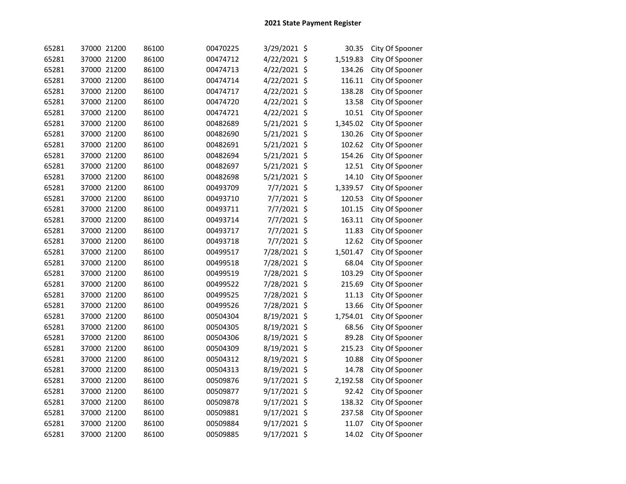| 65281 | 37000 21200 | 86100 | 00470225 | 3/29/2021 \$   | 30.35    | City Of Spooner |
|-------|-------------|-------|----------|----------------|----------|-----------------|
| 65281 | 37000 21200 | 86100 | 00474712 | 4/22/2021 \$   | 1,519.83 | City Of Spooner |
| 65281 | 37000 21200 | 86100 | 00474713 | 4/22/2021 \$   | 134.26   | City Of Spooner |
| 65281 | 37000 21200 | 86100 | 00474714 | 4/22/2021 \$   | 116.11   | City Of Spooner |
| 65281 | 37000 21200 | 86100 | 00474717 | 4/22/2021 \$   | 138.28   | City Of Spooner |
| 65281 | 37000 21200 | 86100 | 00474720 | 4/22/2021 \$   | 13.58    | City Of Spooner |
| 65281 | 37000 21200 | 86100 | 00474721 | 4/22/2021 \$   | 10.51    | City Of Spooner |
| 65281 | 37000 21200 | 86100 | 00482689 | 5/21/2021 \$   | 1,345.02 | City Of Spooner |
| 65281 | 37000 21200 | 86100 | 00482690 | 5/21/2021 \$   | 130.26   | City Of Spooner |
| 65281 | 37000 21200 | 86100 | 00482691 | $5/21/2021$ \$ | 102.62   | City Of Spooner |
| 65281 | 37000 21200 | 86100 | 00482694 | 5/21/2021 \$   | 154.26   | City Of Spooner |
| 65281 | 37000 21200 | 86100 | 00482697 | 5/21/2021 \$   | 12.51    | City Of Spooner |
| 65281 | 37000 21200 | 86100 | 00482698 | 5/21/2021 \$   | 14.10    | City Of Spooner |
| 65281 | 37000 21200 | 86100 | 00493709 | 7/7/2021 \$    | 1,339.57 | City Of Spooner |
| 65281 | 37000 21200 | 86100 | 00493710 | 7/7/2021 \$    | 120.53   | City Of Spooner |
| 65281 | 37000 21200 | 86100 | 00493711 | 7/7/2021 \$    | 101.15   | City Of Spooner |
| 65281 | 37000 21200 | 86100 | 00493714 | 7/7/2021 \$    | 163.11   | City Of Spooner |
| 65281 | 37000 21200 | 86100 | 00493717 | 7/7/2021 \$    | 11.83    | City Of Spooner |
| 65281 | 37000 21200 | 86100 | 00493718 | 7/7/2021 \$    | 12.62    | City Of Spooner |
| 65281 | 37000 21200 | 86100 | 00499517 | 7/28/2021 \$   | 1,501.47 | City Of Spooner |
| 65281 | 37000 21200 | 86100 | 00499518 | 7/28/2021 \$   | 68.04    | City Of Spooner |
| 65281 | 37000 21200 | 86100 | 00499519 | 7/28/2021 \$   | 103.29   | City Of Spooner |
| 65281 | 37000 21200 | 86100 | 00499522 | 7/28/2021 \$   | 215.69   | City Of Spooner |
| 65281 | 37000 21200 | 86100 | 00499525 | 7/28/2021 \$   | 11.13    | City Of Spooner |
| 65281 | 37000 21200 | 86100 | 00499526 | 7/28/2021 \$   | 13.66    | City Of Spooner |
| 65281 | 37000 21200 | 86100 | 00504304 | 8/19/2021 \$   | 1,754.01 | City Of Spooner |
| 65281 | 37000 21200 | 86100 | 00504305 | 8/19/2021 \$   | 68.56    | City Of Spooner |
| 65281 | 37000 21200 | 86100 | 00504306 | 8/19/2021 \$   | 89.28    | City Of Spooner |
| 65281 | 37000 21200 | 86100 | 00504309 | 8/19/2021 \$   | 215.23   | City Of Spooner |
| 65281 | 37000 21200 | 86100 | 00504312 | 8/19/2021 \$   | 10.88    | City Of Spooner |
| 65281 | 37000 21200 | 86100 | 00504313 | 8/19/2021 \$   | 14.78    | City Of Spooner |
| 65281 | 37000 21200 | 86100 | 00509876 | 9/17/2021 \$   | 2,192.58 | City Of Spooner |
| 65281 | 37000 21200 | 86100 | 00509877 | 9/17/2021 \$   | 92.42    | City Of Spooner |
| 65281 | 37000 21200 | 86100 | 00509878 | 9/17/2021 \$   | 138.32   | City Of Spooner |
| 65281 | 37000 21200 | 86100 | 00509881 | 9/17/2021 \$   | 237.58   | City Of Spooner |
| 65281 | 37000 21200 | 86100 | 00509884 | 9/17/2021 \$   | 11.07    | City Of Spooner |
| 65281 | 37000 21200 | 86100 | 00509885 | 9/17/2021 \$   | 14.02    | City Of Spooner |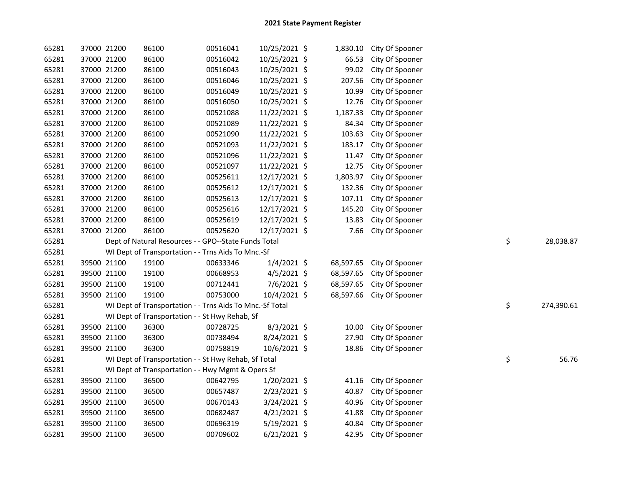| 65281 | 37000 21200 |             | 86100                                                    | 00516041 | 10/25/2021 \$  | 1,830.10  | City Of Spooner |    |            |
|-------|-------------|-------------|----------------------------------------------------------|----------|----------------|-----------|-----------------|----|------------|
| 65281 |             | 37000 21200 | 86100                                                    | 00516042 | 10/25/2021 \$  | 66.53     | City Of Spooner |    |            |
| 65281 | 37000 21200 |             | 86100                                                    | 00516043 | 10/25/2021 \$  | 99.02     | City Of Spooner |    |            |
| 65281 | 37000 21200 |             | 86100                                                    | 00516046 | 10/25/2021 \$  | 207.56    | City Of Spooner |    |            |
| 65281 | 37000 21200 |             | 86100                                                    | 00516049 | 10/25/2021 \$  | 10.99     | City Of Spooner |    |            |
| 65281 | 37000 21200 |             | 86100                                                    | 00516050 | 10/25/2021 \$  | 12.76     | City Of Spooner |    |            |
| 65281 | 37000 21200 |             | 86100                                                    | 00521088 | 11/22/2021 \$  | 1,187.33  | City Of Spooner |    |            |
| 65281 | 37000 21200 |             | 86100                                                    | 00521089 | 11/22/2021 \$  | 84.34     | City Of Spooner |    |            |
| 65281 | 37000 21200 |             | 86100                                                    | 00521090 | 11/22/2021 \$  | 103.63    | City Of Spooner |    |            |
| 65281 | 37000 21200 |             | 86100                                                    | 00521093 | 11/22/2021 \$  | 183.17    | City Of Spooner |    |            |
| 65281 | 37000 21200 |             | 86100                                                    | 00521096 | 11/22/2021 \$  | 11.47     | City Of Spooner |    |            |
| 65281 | 37000 21200 |             | 86100                                                    | 00521097 | 11/22/2021 \$  | 12.75     | City Of Spooner |    |            |
| 65281 | 37000 21200 |             | 86100                                                    | 00525611 | 12/17/2021 \$  | 1,803.97  | City Of Spooner |    |            |
| 65281 | 37000 21200 |             | 86100                                                    | 00525612 | 12/17/2021 \$  | 132.36    | City Of Spooner |    |            |
| 65281 | 37000 21200 |             | 86100                                                    | 00525613 | 12/17/2021 \$  | 107.11    | City Of Spooner |    |            |
| 65281 | 37000 21200 |             | 86100                                                    | 00525616 | 12/17/2021 \$  | 145.20    | City Of Spooner |    |            |
| 65281 | 37000 21200 |             | 86100                                                    | 00525619 | 12/17/2021 \$  | 13.83     | City Of Spooner |    |            |
| 65281 | 37000 21200 |             | 86100                                                    | 00525620 | 12/17/2021 \$  | 7.66      | City Of Spooner |    |            |
| 65281 |             |             | Dept of Natural Resources - - GPO--State Funds Total     |          |                |           |                 | \$ | 28,038.87  |
| 65281 |             |             | WI Dept of Transportation - - Trns Aids To Mnc.-Sf       |          |                |           |                 |    |            |
| 65281 |             | 39500 21100 | 19100                                                    | 00633346 | $1/4/2021$ \$  | 68,597.65 | City Of Spooner |    |            |
| 65281 |             | 39500 21100 | 19100                                                    | 00668953 | $4/5/2021$ \$  | 68,597.65 | City Of Spooner |    |            |
| 65281 | 39500 21100 |             | 19100                                                    | 00712441 | 7/6/2021 \$    | 68,597.65 | City Of Spooner |    |            |
| 65281 | 39500 21100 |             | 19100                                                    | 00753000 | 10/4/2021 \$   | 68,597.66 | City Of Spooner |    |            |
| 65281 |             |             | WI Dept of Transportation - - Trns Aids To Mnc.-Sf Total |          |                |           |                 | \$ | 274,390.61 |
| 65281 |             |             | WI Dept of Transportation - - St Hwy Rehab, Sf           |          |                |           |                 |    |            |
| 65281 |             | 39500 21100 | 36300                                                    | 00728725 | 8/3/2021 \$    | 10.00     | City Of Spooner |    |            |
| 65281 |             | 39500 21100 | 36300                                                    | 00738494 | 8/24/2021 \$   | 27.90     | City Of Spooner |    |            |
| 65281 | 39500 21100 |             | 36300                                                    | 00758819 | 10/6/2021 \$   | 18.86     | City Of Spooner |    |            |
| 65281 |             |             | WI Dept of Transportation - - St Hwy Rehab, Sf Total     |          |                |           |                 | \$ | 56.76      |
| 65281 |             |             | WI Dept of Transportation - - Hwy Mgmt & Opers Sf        |          |                |           |                 |    |            |
| 65281 |             | 39500 21100 | 36500                                                    | 00642795 | $1/20/2021$ \$ | 41.16     | City Of Spooner |    |            |
| 65281 | 39500 21100 |             | 36500                                                    | 00657487 | $2/23/2021$ \$ | 40.87     | City Of Spooner |    |            |
| 65281 | 39500 21100 |             | 36500                                                    | 00670143 | 3/24/2021 \$   | 40.96     | City Of Spooner |    |            |
| 65281 | 39500 21100 |             | 36500                                                    | 00682487 | $4/21/2021$ \$ | 41.88     | City Of Spooner |    |            |
| 65281 | 39500 21100 |             | 36500                                                    | 00696319 | $5/19/2021$ \$ | 40.84     | City Of Spooner |    |            |
| 65281 | 39500 21100 |             | 36500                                                    | 00709602 | $6/21/2021$ \$ | 42.95     | City Of Spooner |    |            |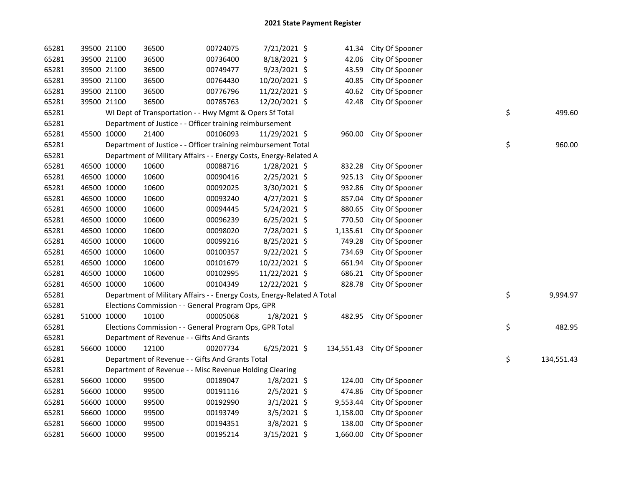| 65281 |             | 39500 21100 | 36500                                                                   | 00724075 | 7/21/2021 \$   | 41.34    | City Of Spooner            |    |            |
|-------|-------------|-------------|-------------------------------------------------------------------------|----------|----------------|----------|----------------------------|----|------------|
| 65281 |             | 39500 21100 | 36500                                                                   | 00736400 | 8/18/2021 \$   | 42.06    | City Of Spooner            |    |            |
| 65281 |             | 39500 21100 | 36500                                                                   | 00749477 | 9/23/2021 \$   | 43.59    | City Of Spooner            |    |            |
| 65281 |             | 39500 21100 | 36500                                                                   | 00764430 | 10/20/2021 \$  | 40.85    | City Of Spooner            |    |            |
| 65281 |             | 39500 21100 | 36500                                                                   | 00776796 | 11/22/2021 \$  | 40.62    | City Of Spooner            |    |            |
| 65281 |             | 39500 21100 | 36500                                                                   | 00785763 | 12/20/2021 \$  | 42.48    | City Of Spooner            |    |            |
| 65281 |             |             | WI Dept of Transportation - - Hwy Mgmt & Opers Sf Total                 |          |                |          |                            | \$ | 499.60     |
| 65281 |             |             | Department of Justice - - Officer training reimbursement                |          |                |          |                            |    |            |
| 65281 | 45500 10000 |             | 21400                                                                   | 00106093 | 11/29/2021 \$  |          | 960.00 City Of Spooner     |    |            |
| 65281 |             |             | Department of Justice - - Officer training reimbursement Total          |          |                |          |                            | \$ | 960.00     |
| 65281 |             |             | Department of Military Affairs - - Energy Costs, Energy-Related A       |          |                |          |                            |    |            |
| 65281 | 46500 10000 |             | 10600                                                                   | 00088716 | $1/28/2021$ \$ | 832.28   | City Of Spooner            |    |            |
| 65281 | 46500 10000 |             | 10600                                                                   | 00090416 | 2/25/2021 \$   | 925.13   | City Of Spooner            |    |            |
| 65281 | 46500 10000 |             | 10600                                                                   | 00092025 | 3/30/2021 \$   | 932.86   | City Of Spooner            |    |            |
| 65281 |             | 46500 10000 | 10600                                                                   | 00093240 | $4/27/2021$ \$ | 857.04   | City Of Spooner            |    |            |
| 65281 | 46500 10000 |             | 10600                                                                   | 00094445 | 5/24/2021 \$   | 880.65   | City Of Spooner            |    |            |
| 65281 | 46500 10000 |             | 10600                                                                   | 00096239 | $6/25/2021$ \$ | 770.50   | City Of Spooner            |    |            |
| 65281 | 46500 10000 |             | 10600                                                                   | 00098020 | 7/28/2021 \$   | 1,135.61 | City Of Spooner            |    |            |
| 65281 | 46500 10000 |             | 10600                                                                   | 00099216 | 8/25/2021 \$   | 749.28   | City Of Spooner            |    |            |
| 65281 | 46500 10000 |             | 10600                                                                   | 00100357 | $9/22/2021$ \$ | 734.69   | City Of Spooner            |    |            |
| 65281 | 46500 10000 |             | 10600                                                                   | 00101679 | 10/22/2021 \$  | 661.94   | City Of Spooner            |    |            |
| 65281 | 46500 10000 |             | 10600                                                                   | 00102995 | 11/22/2021 \$  | 686.21   | City Of Spooner            |    |            |
| 65281 | 46500 10000 |             | 10600                                                                   | 00104349 | 12/22/2021 \$  | 828.78   | City Of Spooner            |    |            |
| 65281 |             |             | Department of Military Affairs - - Energy Costs, Energy-Related A Total |          |                |          |                            | \$ | 9,994.97   |
| 65281 |             |             | Elections Commission - - General Program Ops, GPR                       |          |                |          |                            |    |            |
| 65281 |             | 51000 10000 | 10100                                                                   | 00005068 | $1/8/2021$ \$  |          | 482.95 City Of Spooner     |    |            |
| 65281 |             |             | Elections Commission - - General Program Ops, GPR Total                 |          |                |          |                            | \$ | 482.95     |
| 65281 |             |             | Department of Revenue - - Gifts And Grants                              |          |                |          |                            |    |            |
| 65281 |             | 56600 10000 | 12100                                                                   | 00207734 | $6/25/2021$ \$ |          | 134,551.43 City Of Spooner |    |            |
| 65281 |             |             | Department of Revenue - - Gifts And Grants Total                        |          |                |          |                            | \$ | 134,551.43 |
| 65281 |             |             | Department of Revenue - - Misc Revenue Holding Clearing                 |          |                |          |                            |    |            |
| 65281 |             | 56600 10000 | 99500                                                                   | 00189047 | $1/8/2021$ \$  | 124.00   | City Of Spooner            |    |            |
| 65281 |             | 56600 10000 | 99500                                                                   | 00191116 | $2/5/2021$ \$  | 474.86   | City Of Spooner            |    |            |
| 65281 |             | 56600 10000 | 99500                                                                   | 00192990 | $3/1/2021$ \$  | 9,553.44 | City Of Spooner            |    |            |
| 65281 |             | 56600 10000 | 99500                                                                   | 00193749 | $3/5/2021$ \$  | 1,158.00 | City Of Spooner            |    |            |
| 65281 |             | 56600 10000 | 99500                                                                   | 00194351 | 3/8/2021 \$    | 138.00   | City Of Spooner            |    |            |
| 65281 |             | 56600 10000 | 99500                                                                   | 00195214 | 3/15/2021 \$   | 1,660.00 | City Of Spooner            |    |            |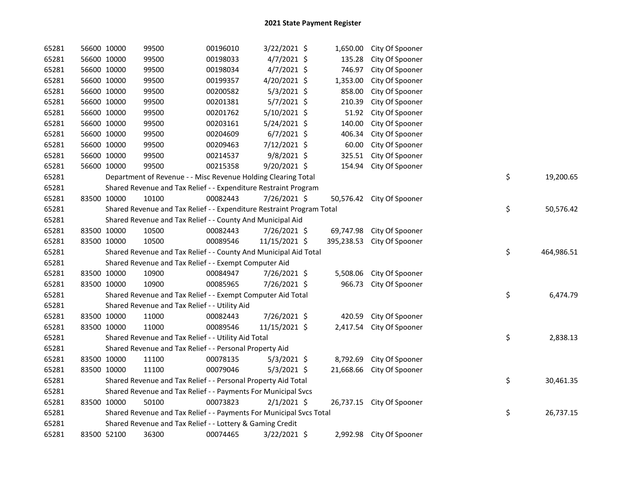| 65281 | 56600 10000 | 99500                                                                 | 00196010 | 3/22/2021 \$   |            | 1,650.00 City Of Spooner  |    |            |
|-------|-------------|-----------------------------------------------------------------------|----------|----------------|------------|---------------------------|----|------------|
| 65281 | 56600 10000 | 99500                                                                 | 00198033 | $4/7/2021$ \$  | 135.28     | City Of Spooner           |    |            |
| 65281 | 56600 10000 | 99500                                                                 | 00198034 | $4/7/2021$ \$  | 746.97     | City Of Spooner           |    |            |
| 65281 | 56600 10000 | 99500                                                                 | 00199357 | 4/20/2021 \$   | 1,353.00   | City Of Spooner           |    |            |
| 65281 | 56600 10000 | 99500                                                                 | 00200582 | 5/3/2021 \$    | 858.00     | City Of Spooner           |    |            |
| 65281 | 56600 10000 | 99500                                                                 | 00201381 | 5/7/2021 \$    | 210.39     | City Of Spooner           |    |            |
| 65281 | 56600 10000 | 99500                                                                 | 00201762 | 5/10/2021 \$   | 51.92      | City Of Spooner           |    |            |
| 65281 | 56600 10000 | 99500                                                                 | 00203161 | $5/24/2021$ \$ | 140.00     | City Of Spooner           |    |            |
| 65281 | 56600 10000 | 99500                                                                 | 00204609 | $6/7/2021$ \$  | 406.34     | City Of Spooner           |    |            |
| 65281 | 56600 10000 | 99500                                                                 | 00209463 | 7/12/2021 \$   | 60.00      | City Of Spooner           |    |            |
| 65281 | 56600 10000 | 99500                                                                 | 00214537 | $9/8/2021$ \$  | 325.51     | City Of Spooner           |    |            |
| 65281 | 56600 10000 | 99500                                                                 | 00215358 | 9/20/2021 \$   | 154.94     | City Of Spooner           |    |            |
| 65281 |             | Department of Revenue - - Misc Revenue Holding Clearing Total         |          |                |            |                           | \$ | 19,200.65  |
| 65281 |             | Shared Revenue and Tax Relief - - Expenditure Restraint Program       |          |                |            |                           |    |            |
| 65281 | 83500 10000 | 10100                                                                 | 00082443 | 7/26/2021 \$   |            | 50,576.42 City Of Spooner |    |            |
| 65281 |             | Shared Revenue and Tax Relief - - Expenditure Restraint Program Total |          |                |            |                           | \$ | 50,576.42  |
| 65281 |             | Shared Revenue and Tax Relief - - County And Municipal Aid            |          |                |            |                           |    |            |
| 65281 | 83500 10000 | 10500                                                                 | 00082443 | 7/26/2021 \$   |            | 69,747.98 City Of Spooner |    |            |
| 65281 | 83500 10000 | 10500                                                                 | 00089546 | 11/15/2021 \$  | 395,238.53 | City Of Spooner           |    |            |
| 65281 |             | Shared Revenue and Tax Relief - - County And Municipal Aid Total      |          |                |            |                           | \$ | 464,986.51 |
| 65281 |             | Shared Revenue and Tax Relief - - Exempt Computer Aid                 |          |                |            |                           |    |            |
| 65281 | 83500 10000 | 10900                                                                 | 00084947 | 7/26/2021 \$   | 5,508.06   | City Of Spooner           |    |            |
| 65281 | 83500 10000 | 10900                                                                 | 00085965 | 7/26/2021 \$   | 966.73     | City Of Spooner           |    |            |
| 65281 |             | Shared Revenue and Tax Relief - - Exempt Computer Aid Total           |          |                |            |                           | \$ | 6,474.79   |
| 65281 |             | Shared Revenue and Tax Relief - - Utility Aid                         |          |                |            |                           |    |            |
| 65281 | 83500 10000 | 11000                                                                 | 00082443 | 7/26/2021 \$   | 420.59     | City Of Spooner           |    |            |
| 65281 | 83500 10000 | 11000                                                                 | 00089546 | 11/15/2021 \$  | 2,417.54   | City Of Spooner           |    |            |
| 65281 |             | Shared Revenue and Tax Relief - - Utility Aid Total                   |          |                |            |                           | \$ | 2,838.13   |
| 65281 |             | Shared Revenue and Tax Relief - - Personal Property Aid               |          |                |            |                           |    |            |
| 65281 | 83500 10000 | 11100                                                                 | 00078135 | $5/3/2021$ \$  | 8,792.69   | City Of Spooner           |    |            |
| 65281 | 83500 10000 | 11100                                                                 | 00079046 | $5/3/2021$ \$  | 21,668.66  | City Of Spooner           |    |            |
| 65281 |             | Shared Revenue and Tax Relief - - Personal Property Aid Total         |          |                |            |                           | \$ | 30,461.35  |
| 65281 |             | Shared Revenue and Tax Relief - - Payments For Municipal Svcs         |          |                |            |                           |    |            |
| 65281 | 83500 10000 | 50100                                                                 | 00073823 | $2/1/2021$ \$  |            | 26,737.15 City Of Spooner |    |            |
| 65281 |             | Shared Revenue and Tax Relief - - Payments For Municipal Svcs Total   |          |                |            |                           | \$ | 26,737.15  |
| 65281 |             | Shared Revenue and Tax Relief - - Lottery & Gaming Credit             |          |                |            |                           |    |            |
| 65281 | 83500 52100 | 36300                                                                 | 00074465 | 3/22/2021 \$   |            | 2,992.98 City Of Spooner  |    |            |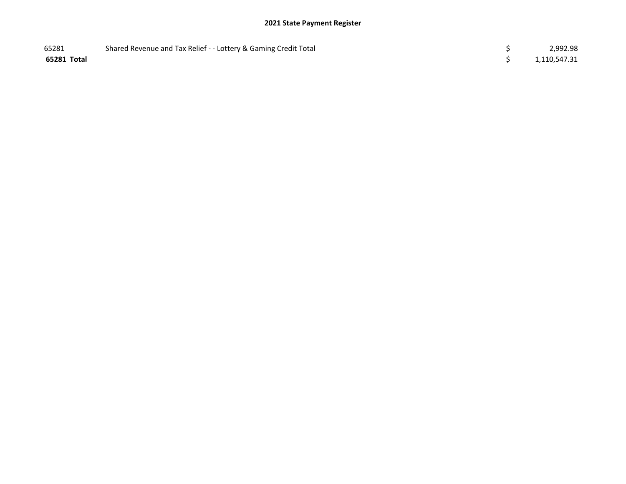| 65281       | Shared Revenue and Tax Relief - - Lottery & Gaming Credit Total | 2,992.98     |
|-------------|-----------------------------------------------------------------|--------------|
| 65281 Total |                                                                 | 1,110,547.31 |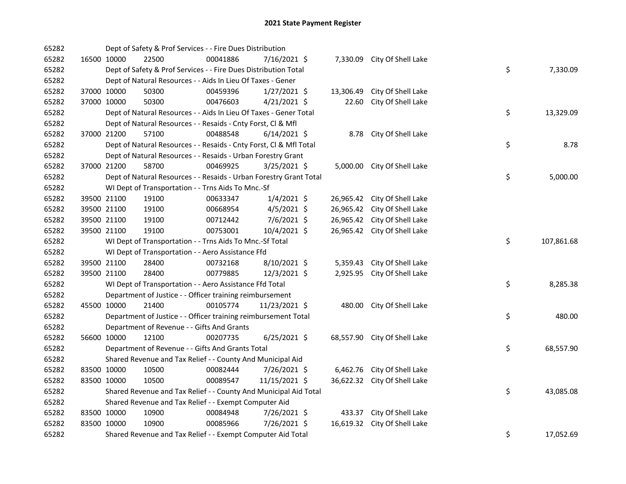| 65282 |             | Dept of Safety & Prof Services - - Fire Dues Distribution          |          |                |           |                              |    |            |
|-------|-------------|--------------------------------------------------------------------|----------|----------------|-----------|------------------------------|----|------------|
| 65282 | 16500 10000 | 22500                                                              | 00041886 | 7/16/2021 \$   |           | 7,330.09 City Of Shell Lake  |    |            |
| 65282 |             | Dept of Safety & Prof Services - - Fire Dues Distribution Total    |          |                |           |                              | \$ | 7,330.09   |
| 65282 |             | Dept of Natural Resources - - Aids In Lieu Of Taxes - Gener        |          |                |           |                              |    |            |
| 65282 | 37000 10000 | 50300                                                              | 00459396 | $1/27/2021$ \$ | 13,306.49 | City Of Shell Lake           |    |            |
| 65282 | 37000 10000 | 50300                                                              | 00476603 | $4/21/2021$ \$ | 22.60     | City Of Shell Lake           |    |            |
| 65282 |             | Dept of Natural Resources - - Aids In Lieu Of Taxes - Gener Total  |          |                |           |                              | \$ | 13,329.09  |
| 65282 |             | Dept of Natural Resources - - Resaids - Cnty Forst, Cl & Mfl       |          |                |           |                              |    |            |
| 65282 | 37000 21200 | 57100                                                              | 00488548 | $6/14/2021$ \$ |           | 8.78 City Of Shell Lake      |    |            |
| 65282 |             | Dept of Natural Resources - - Resaids - Cnty Forst, CI & Mfl Total |          |                |           |                              | \$ | 8.78       |
| 65282 |             | Dept of Natural Resources - - Resaids - Urban Forestry Grant       |          |                |           |                              |    |            |
| 65282 | 37000 21200 | 58700                                                              | 00469925 | 3/25/2021 \$   |           | 5,000.00 City Of Shell Lake  |    |            |
| 65282 |             | Dept of Natural Resources - - Resaids - Urban Forestry Grant Total |          |                |           |                              | \$ | 5,000.00   |
| 65282 |             | WI Dept of Transportation - - Trns Aids To Mnc.-Sf                 |          |                |           |                              |    |            |
| 65282 | 39500 21100 | 19100                                                              | 00633347 | $1/4/2021$ \$  |           | 26,965.42 City Of Shell Lake |    |            |
| 65282 | 39500 21100 | 19100                                                              | 00668954 | $4/5/2021$ \$  | 26,965.42 | City Of Shell Lake           |    |            |
| 65282 | 39500 21100 | 19100                                                              | 00712442 | $7/6/2021$ \$  | 26,965.42 | City Of Shell Lake           |    |            |
| 65282 | 39500 21100 | 19100                                                              | 00753001 | 10/4/2021 \$   |           | 26,965.42 City Of Shell Lake |    |            |
| 65282 |             | WI Dept of Transportation - - Trns Aids To Mnc.-Sf Total           |          |                |           |                              | \$ | 107,861.68 |
| 65282 |             | WI Dept of Transportation - - Aero Assistance Ffd                  |          |                |           |                              |    |            |
| 65282 | 39500 21100 | 28400                                                              | 00732168 | 8/10/2021 \$   | 5,359.43  | City Of Shell Lake           |    |            |
| 65282 | 39500 21100 | 28400                                                              | 00779885 | 12/3/2021 \$   | 2,925.95  | City Of Shell Lake           |    |            |
| 65282 |             | WI Dept of Transportation - - Aero Assistance Ffd Total            |          |                |           |                              | \$ | 8,285.38   |
| 65282 |             | Department of Justice - - Officer training reimbursement           |          |                |           |                              |    |            |
| 65282 | 45500 10000 | 21400                                                              | 00105774 | 11/23/2021 \$  |           | 480.00 City Of Shell Lake    |    |            |
| 65282 |             | Department of Justice - - Officer training reimbursement Total     |          |                |           |                              | \$ | 480.00     |
| 65282 |             | Department of Revenue - - Gifts And Grants                         |          |                |           |                              |    |            |
| 65282 | 56600 10000 | 12100                                                              | 00207735 | $6/25/2021$ \$ |           | 68,557.90 City Of Shell Lake |    |            |
| 65282 |             | Department of Revenue - - Gifts And Grants Total                   |          |                |           |                              | \$ | 68,557.90  |
| 65282 |             | Shared Revenue and Tax Relief - - County And Municipal Aid         |          |                |           |                              |    |            |
| 65282 | 83500 10000 | 10500                                                              | 00082444 | 7/26/2021 \$   |           | 6,462.76 City Of Shell Lake  |    |            |
| 65282 | 83500 10000 | 10500                                                              | 00089547 | 11/15/2021 \$  |           | 36,622.32 City Of Shell Lake |    |            |
| 65282 |             | Shared Revenue and Tax Relief - - County And Municipal Aid Total   |          |                |           |                              | \$ | 43,085.08  |
| 65282 |             | Shared Revenue and Tax Relief - - Exempt Computer Aid              |          |                |           |                              |    |            |
| 65282 | 83500 10000 | 10900                                                              | 00084948 | 7/26/2021 \$   |           | 433.37 City Of Shell Lake    |    |            |
| 65282 | 83500 10000 | 10900                                                              | 00085966 | 7/26/2021 \$   | 16,619.32 | City Of Shell Lake           |    |            |
| 65282 |             | Shared Revenue and Tax Relief - - Exempt Computer Aid Total        |          |                |           |                              | \$ | 17,052.69  |